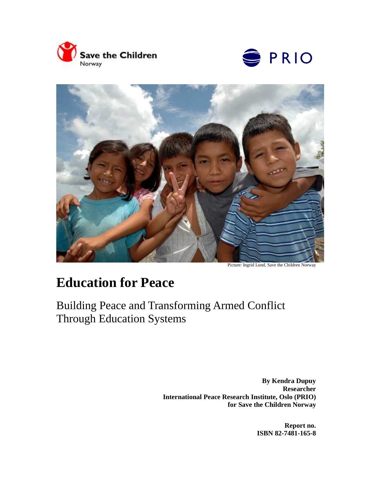





Picture: Ingrid Lund, Save the Children Norway

# **Education for Peace**

Building Peace and Transforming Armed Conflict Through Education Systems

> **By Kendra Dupuy Researcher International Peace Research Institute, Oslo (PRIO) for Save the Children Norway**

> > **Report no. ISBN 82-7481-165-8**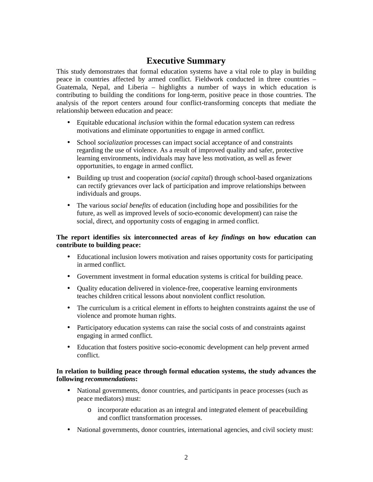## **Executive Summary**

This study demonstrates that formal education systems have a vital role to play in building peace in countries affected by armed conflict. Fieldwork conducted in three countries – Guatemala, Nepal, and Liberia – highlights a number of ways in which education is contributing to building the conditions for long-term, positive peace in those countries. The analysis of the report centers around four conflict-transforming concepts that mediate the relationship between education and peace:

- Equitable educational *inclusion* within the formal education system can redress motivations and eliminate opportunities to engage in armed conflict.
- School *socialization* processes can impact social acceptance of and constraints regarding the use of violence. As a result of improved quality and safer, protective learning environments, individuals may have less motivation, as well as fewer opportunities, to engage in armed conflict.
- Building up trust and cooperation (*social capital*) through school-based organizations can rectify grievances over lack of participation and improve relationships between individuals and groups.
- The various *social benefits* of education (including hope and possibilities for the future, as well as improved levels of socio-economic development) can raise the social, direct, and opportunity costs of engaging in armed conflict.

#### **The report identifies six interconnected areas of** *key findings* **on how education can contribute to building peace:**

- Educational inclusion lowers motivation and raises opportunity costs for participating in armed conflict.
- Government investment in formal education systems is critical for building peace.
- Ouality education delivered in violence-free, cooperative learning environments teaches children critical lessons about nonviolent conflict resolution.
- The curriculum is a critical element in efforts to heighten constraints against the use of violence and promote human rights.
- Participatory education systems can raise the social costs of and constraints against engaging in armed conflict.
- Education that fosters positive socio-economic development can help prevent armed conflict.

#### **In relation to building peace through formal education systems, the study advances the following** *recommendations***:**

- National governments, donor countries, and participants in peace processes (such as peace mediators) must:
	- o incorporate education as an integral and integrated element of peacebuilding and conflict transformation processes.
- National governments, donor countries, international agencies, and civil society must: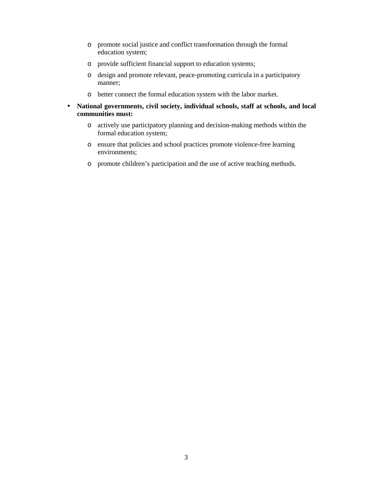- o promote social justice and conflict transformation through the formal education system;
- o provide sufficient financial support to education systems;
- o design and promote relevant, peace-promoting curricula in a participatory manner;
- o better connect the formal education system with the labor market.
- **National governments, civil society, individual schools, staff at schools, and local communities must:** 
	- o actively use participatory planning and decision-making methods within the formal education system;
	- o ensure that policies and school practices promote violence-free learning environments;
	- o promote children's participation and the use of active teaching methods.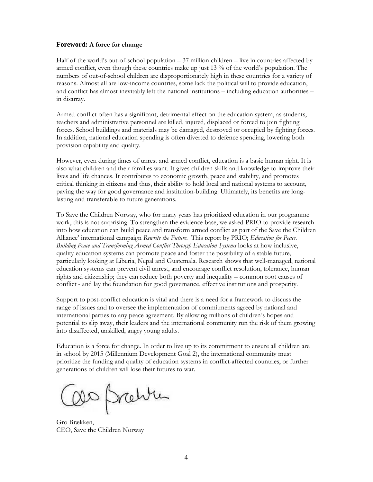#### **Foreword:** A force for change

Half of the world's out-of-school population – 37 million children – live in countries affected by armed conflict, even though these countries make up just 13 % of the world's population. The numbers of out-of-school children are disproportionately high in these countries for a variety of reasons. Almost all are low-income countries, some lack the political will to provide education, and conflict has almost inevitably left the national institutions – including education authorities – in disarray.

Armed conflict often has a significant, detrimental effect on the education system, as students, teachers and administrative personnel are killed, injured, displaced or forced to join fighting forces. School buildings and materials may be damaged, destroyed or occupied by fighting forces. In addition, national education spending is often diverted to defence spending, lowering both provision capability and quality.

However, even during times of unrest and armed conflict, education is a basic human right. It is also what children and their families want. It gives children skills and knowledge to improve their lives and life chances. It contributes to economic growth, peace and stability, and promotes critical thinking in citizens and thus, their ability to hold local and national systems to account, paving the way for good governance and institution-building. Ultimately, its benefits are longlasting and transferable to future generations.

To Save the Children Norway, who for many years has prioritized education in our programme work, this is not surprising. To strengthen the evidence base, we asked PRIO to provide research into how education can build peace and transform armed conflict as part of the Save the Children Alliance' international campaign Rewrite the Future. This report by PRIO; Education for Peace. Building Peace and Transforming Armed Conflict Through Education Systems looks at how inclusive, quality education systems can promote peace and foster the possibility of a stable future, particularly looking at Liberia, Nepal and Guatemala. Research shows that well-managed, national education systems can prevent civil unrest, and encourage conflict resolution, tolerance, human rights and citizenship; they can reduce both poverty and inequality – common root causes of conflict - and lay the foundation for good governance, effective institutions and prosperity.

Support to post-conflict education is vital and there is a need for a framework to discuss the range of issues and to oversee the implementation of commitments agreed by national and international parties to any peace agreement. By allowing millions of children's hopes and potential to slip away, their leaders and the international community run the risk of them growing into disaffected, unskilled, angry young adults.

Education is a force for change. In order to live up to its commitment to ensure all children are in school by 2015 (Millennium Development Goal 2), the international community must prioritize the funding and quality of education systems in conflict-affected countries, or further generations of children will lose their futures to war.

OD Pretire

Gro Brækken, CEO, Save the Children Norway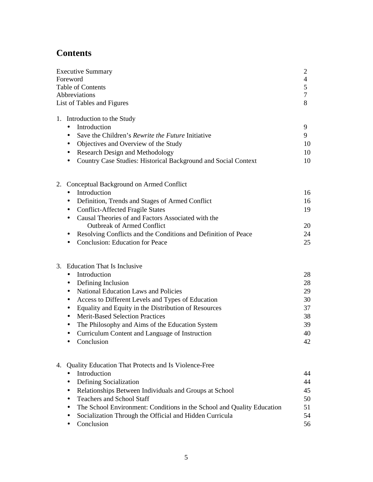## **Contents**

| <b>Executive Summary</b>                                                                                    | 2<br>4   |  |
|-------------------------------------------------------------------------------------------------------------|----------|--|
| Foreword                                                                                                    |          |  |
| Table of Contents                                                                                           |          |  |
| Abbreviations<br>List of Tables and Figures                                                                 |          |  |
|                                                                                                             | 8        |  |
| 1. Introduction to the Study                                                                                |          |  |
| Introduction<br>$\bullet$                                                                                   | 9        |  |
| Save the Children's Rewrite the Future Initiative<br>$\bullet$                                              | 9        |  |
| Objectives and Overview of the Study<br>٠                                                                   | 10       |  |
| <b>Research Design and Methodology</b><br>٠                                                                 | 10       |  |
| Country Case Studies: Historical Background and Social Context<br>$\bullet$                                 | 10       |  |
| Conceptual Background on Armed Conflict<br>2.                                                               |          |  |
| Introduction<br>$\bullet$                                                                                   | 16       |  |
| Definition, Trends and Stages of Armed Conflict<br>$\bullet$                                                | 16       |  |
| <b>Conflict-Affected Fragile States</b><br>٠                                                                | 19       |  |
| Causal Theories of and Factors Associated with the<br>$\bullet$                                             |          |  |
| <b>Outbreak of Armed Conflict</b>                                                                           | 20       |  |
| Resolving Conflicts and the Conditions and Definition of Peace<br>$\bullet$                                 | 24       |  |
| <b>Conclusion: Education for Peace</b>                                                                      | 25       |  |
|                                                                                                             |          |  |
| 3. Education That Is Inclusive                                                                              |          |  |
| Introduction<br>$\bullet$                                                                                   | 28       |  |
| Defining Inclusion<br>$\bullet$                                                                             | 28       |  |
| <b>National Education Laws and Policies</b><br>$\bullet$                                                    | 29       |  |
| Access to Different Levels and Types of Education<br>$\bullet$                                              | 30       |  |
| Equality and Equity in the Distribution of Resources<br>$\bullet$<br><b>Merit-Based Selection Practices</b> | 37<br>38 |  |
| $\bullet$                                                                                                   | 39       |  |
| The Philosophy and Aims of the Education System<br>٠<br>Curriculum Content and Language of Instruction      | 40       |  |
| $\bullet$<br>Conclusion                                                                                     | 42       |  |
|                                                                                                             |          |  |
| Quality Education That Protects and Is Violence-Free<br>4.                                                  |          |  |
| Introduction                                                                                                | 44       |  |
| Defining Socialization                                                                                      | 44       |  |
| Relationships Between Individuals and Groups at School<br>$\bullet$                                         | 45       |  |
| <b>Teachers and School Staff</b><br>$\bullet$                                                               | 50       |  |
| The School Environment: Conditions in the School and Quality Education                                      | 51       |  |
| Socialization Through the Official and Hidden Curricula                                                     | 54       |  |
| Conclusion                                                                                                  | 56       |  |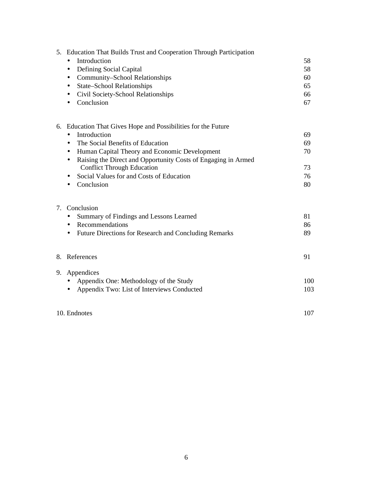| 5. Education That Builds Trust and Cooperation Through Participation<br>Introduction<br>$\bullet$<br>Defining Social Capital<br>$\bullet$<br>Community-School Relationships<br>$\bullet$<br><b>State-School Relationships</b><br>٠<br>Civil Society-School Relationships<br>٠<br>Conclusion<br>$\bullet$                                                                                            | 58<br>58<br>60<br>65<br>66<br>67 |
|-----------------------------------------------------------------------------------------------------------------------------------------------------------------------------------------------------------------------------------------------------------------------------------------------------------------------------------------------------------------------------------------------------|----------------------------------|
| 6. Education That Gives Hope and Possibilities for the Future<br>Introduction<br>$\bullet$<br>The Social Benefits of Education<br>$\bullet$<br>Human Capital Theory and Economic Development<br>$\bullet$<br>Raising the Direct and Opportunity Costs of Engaging in Armed<br>$\bullet$<br><b>Conflict Through Education</b><br>Social Values for and Costs of Education<br>$\bullet$<br>Conclusion | 69<br>69<br>70<br>73<br>76<br>80 |
| 7. Conclusion<br>Summary of Findings and Lessons Learned<br>$\bullet$<br>Recommendations<br>$\bullet$<br>Future Directions for Research and Concluding Remarks<br>$\bullet$                                                                                                                                                                                                                         | 81<br>86<br>89                   |
| 8. References                                                                                                                                                                                                                                                                                                                                                                                       | 91                               |
| 9. Appendices<br>Appendix One: Methodology of the Study<br>$\bullet$<br>Appendix Two: List of Interviews Conducted<br>$\bullet$<br>10. Endnotes                                                                                                                                                                                                                                                     | 100<br>103<br>107                |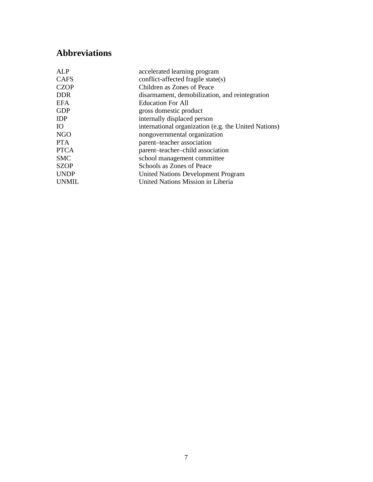## **Abbreviations**

| AI.P         | accelerated learning program                         |
|--------------|------------------------------------------------------|
| <b>CAFS</b>  | conflict-affected fragile state(s)                   |
| <b>CZOP</b>  | Children as Zones of Peace                           |
| <b>DDR</b>   | disarmament, demobilization, and reintegration       |
| <b>EFA</b>   | <b>Education For All</b>                             |
| <b>GDP</b>   | gross domestic product                               |
| <b>IDP</b>   | internally displaced person                          |
| IO           | international organization (e.g. the United Nations) |
| <b>NGO</b>   | nongovernmental organization                         |
| PTA.         | parent-teacher association                           |
| <b>PTCA</b>  | parent-teacher-child association                     |
| <b>SMC</b>   | school management committee                          |
| <b>SZOP</b>  | Schools as Zones of Peace                            |
| <b>UNDP</b>  | <b>United Nations Development Program</b>            |
| <b>UNMIL</b> | United Nations Mission in Liberia                    |
|              |                                                      |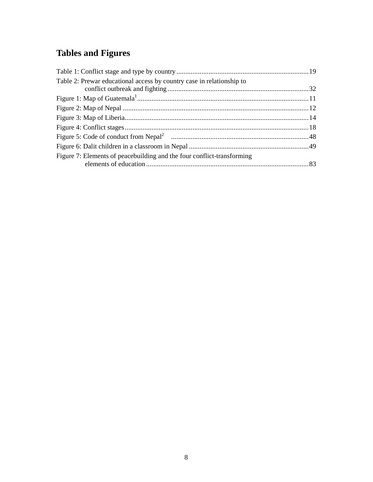## **Tables and Figures**

| Table 2: Prewar educational access by country case in relationship to  |  |
|------------------------------------------------------------------------|--|
|                                                                        |  |
|                                                                        |  |
|                                                                        |  |
|                                                                        |  |
|                                                                        |  |
|                                                                        |  |
|                                                                        |  |
| Figure 7: Elements of peacebuilding and the four conflict-transforming |  |
|                                                                        |  |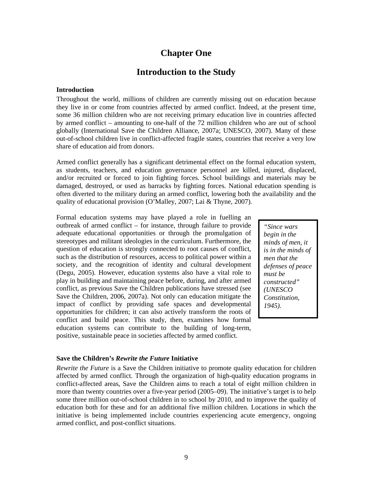## **Chapter One**

### **Introduction to the Study**

#### **Introduction**

Throughout the world, millions of children are currently missing out on education because they live in or come from countries affected by armed conflict. Indeed, at the present time, some 36 million children who are not receiving primary education live in countries affected by armed conflict – amounting to one-half of the 72 million children who are out of school globally (International Save the Children Alliance, 2007a; UNESCO, 2007). Many of these out-of-school children live in conflict-affected fragile states, countries that receive a very low share of education aid from donors.

Armed conflict generally has a significant detrimental effect on the formal education system, as students, teachers, and education governance personnel are killed, injured, displaced, and/or recruited or forced to join fighting forces. School buildings and materials may be damaged, destroyed, or used as barracks by fighting forces. National education spending is often diverted to the military during an armed conflict, lowering both the availability and the quality of educational provision (O'Malley, 2007; Lai & Thyne, 2007).

Formal education systems may have played a role in fuelling an outbreak of armed conflict – for instance, through failure to provide adequate educational opportunities or through the promulgation of stereotypes and militant ideologies in the curriculum. Furthermore, the question of education is strongly connected to root causes of conflict, such as the distribution of resources, access to political power within a society, and the recognition of identity and cultural development (Degu, 2005). However, education systems also have a vital role to play in building and maintaining peace before, during, and after armed conflict, as previous Save the Children publications have stressed (see Save the Children, 2006, 2007a). Not only can education mitigate the impact of conflict by providing safe spaces and developmental opportunities for children; it can also actively transform the roots of conflict and build peace. This study, then, examines how formal education systems can contribute to the building of long-term, positive, sustainable peace in societies affected by armed conflict.

*"Since wars begin in the minds of men, it is in the minds of men that the defenses of peace must be constructed" (UNESCO Constitution, 1945).* 

#### **Save the Children's** *Rewrite the Future* **Initiative**

*Rewrite the Future* is a Save the Children initiative to promote quality education for children affected by armed conflict. Through the organization of high-quality education programs in conflict-affected areas, Save the Children aims to reach a total of eight million children in more than twenty countries over a five-year period (2005–09). The initiative's target is to help some three million out-of-school children in to school by 2010, and to improve the quality of education both for these and for an additional five million children. Locations in which the initiative is being implemented include countries experiencing acute emergency, ongoing armed conflict, and post-conflict situations.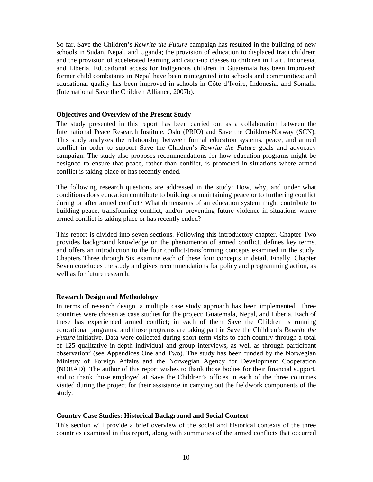So far, Save the Children's *Rewrite the Future* campaign has resulted in the building of new schools in Sudan, Nepal, and Uganda; the provision of education to displaced Iraqi children; and the provision of accelerated learning and catch-up classes to children in Haiti, Indonesia, and Liberia. Educational access for indigenous children in Guatemala has been improved; former child combatants in Nepal have been reintegrated into schools and communities; and educational quality has been improved in schools in Côte d'Ivoire, Indonesia, and Somalia (International Save the Children Alliance, 2007b).

#### **Objectives and Overview of the Present Study**

The study presented in this report has been carried out as a collaboration between the International Peace Research Institute, Oslo (PRIO) and Save the Children-Norway (SCN). This study analyzes the relationship between formal education systems, peace, and armed conflict in order to support Save the Children's *Rewrite the Future* goals and advocacy campaign. The study also proposes recommendations for how education programs might be designed to ensure that peace, rather than conflict, is promoted in situations where armed conflict is taking place or has recently ended.

The following research questions are addressed in the study: How, why, and under what conditions does education contribute to building or maintaining peace or to furthering conflict during or after armed conflict? What dimensions of an education system might contribute to building peace, transforming conflict, and/or preventing future violence in situations where armed conflict is taking place or has recently ended?

This report is divided into seven sections. Following this introductory chapter, Chapter Two provides background knowledge on the phenomenon of armed conflict, defines key terms, and offers an introduction to the four conflict-transforming concepts examined in the study. Chapters Three through Six examine each of these four concepts in detail. Finally, Chapter Seven concludes the study and gives recommendations for policy and programming action, as well as for future research.

#### **Research Design and Methodology**

In terms of research design, a multiple case study approach has been implemented. Three countries were chosen as case studies for the project: Guatemala, Nepal, and Liberia. Each of these has experienced armed conflict; in each of them Save the Children is running educational programs; and those programs are taking part in Save the Children's *Rewrite the Future* initiative. Data were collected during short-term visits to each country through a total of 125 qualitative in-depth individual and group interviews, as well as through participant observation<sup>3</sup> (see Appendices One and Two). The study has been funded by the Norwegian Ministry of Foreign Affairs and the Norwegian Agency for Development Cooperation (NORAD). The author of this report wishes to thank those bodies for their financial support, and to thank those employed at Save the Children's offices in each of the three countries visited during the project for their assistance in carrying out the fieldwork components of the study.

#### **Country Case Studies: Historical Background and Social Context**

This section will provide a brief overview of the social and historical contexts of the three countries examined in this report, along with summaries of the armed conflicts that occurred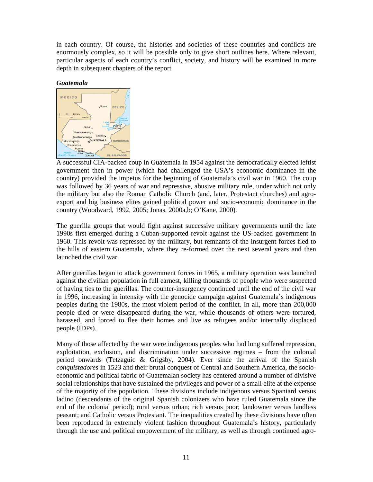in each country. Of course, the histories and societies of these countries and conflicts are enormously complex, so it will be possible only to give short outlines here. Where relevant, particular aspects of each country's conflict, society, and history will be examined in more depth in subsequent chapters of the report.

#### *Guatemala*



A successful CIA-backed coup in Guatemala in 1954 against the democratically elected leftist government then in power (which had challenged the USA's economic dominance in the country) provided the impetus for the beginning of Guatemala's civil war in 1960. The coup was followed by 36 years of war and repressive, abusive military rule, under which not only the military but also the Roman Catholic Church (and, later, Protestant churches) and agroexport and big business elites gained political power and socio-economic dominance in the country (Woodward, 1992, 2005; Jonas, 2000a,b; O'Kane, 2000).

The guerilla groups that would fight against successive military governments until the late 1990s first emerged during a Cuban-supported revolt against the US-backed government in 1960. This revolt was repressed by the military, but remnants of the insurgent forces fled to the hills of eastern Guatemala, where they re-formed over the next several years and then launched the civil war.

After guerillas began to attack government forces in 1965, a military operation was launched against the civilian population in full earnest, killing thousands of people who were suspected of having ties to the guerillas. The counter-insurgency continued until the end of the civil war in 1996, increasing in intensity with the genocide campaign against Guatemala's indigenous peoples during the 1980s, the most violent period of the conflict. In all, more than 200,000 people died or were disappeared during the war, while thousands of others were tortured, harassed, and forced to flee their homes and live as refugees and/or internally displaced people (IDPs).

Many of those affected by the war were indigenous peoples who had long suffered repression, exploitation, exclusion, and discrimination under successive regimes – from the colonial period onwards (Tetzagüic & Grigsby, 2004). Ever since the arrival of the Spanish *conquistadores* in 1523 and their brutal conquest of Central and Southern America, the socioeconomic and political fabric of Guatemalan society has centered around a number of divisive social relationships that have sustained the privileges and power of a small elite at the expense of the majority of the population. These divisions include indigenous versus Spaniard versus ladino (descendants of the original Spanish colonizers who have ruled Guatemala since the end of the colonial period); rural versus urban; rich versus poor; landowner versus landless peasant; and Catholic versus Protestant. The inequalities created by these divisions have often been reproduced in extremely violent fashion throughout Guatemala's history, particularly through the use and political empowerment of the military, as well as through continued agro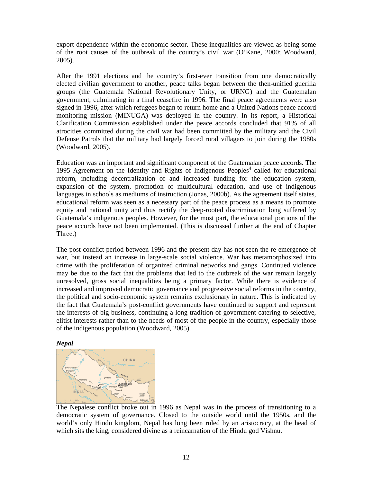export dependence within the economic sector. These inequalities are viewed as being some of the root causes of the outbreak of the country's civil war (O'Kane, 2000; Woodward, 2005).

After the 1991 elections and the country's first-ever transition from one democratically elected civilian government to another, peace talks began between the then-unified guerilla groups (the Guatemala National Revolutionary Unity, or URNG) and the Guatemalan government, culminating in a final ceasefire in 1996. The final peace agreements were also signed in 1996, after which refugees began to return home and a United Nations peace accord monitoring mission (MINUGA) was deployed in the country. In its report, a Historical Clarification Commission established under the peace accords concluded that 91% of all atrocities committed during the civil war had been committed by the military and the Civil Defense Patrols that the military had largely forced rural villagers to join during the 1980s (Woodward, 2005).

Education was an important and significant component of the Guatemalan peace accords. The 1995 Agreement on the Identity and Rights of Indigenous Peoples<sup>4</sup> called for educational reform, including decentralization of and increased funding for the education system, expansion of the system, promotion of multicultural education, and use of indigenous languages in schools as mediums of instruction (Jonas, 2000b). As the agreement itself states, educational reform was seen as a necessary part of the peace process as a means to promote equity and national unity and thus rectify the deep-rooted discrimination long suffered by Guatemala's indigenous peoples. However, for the most part, the educational portions of the peace accords have not been implemented. (This is discussed further at the end of Chapter Three.)

The post-conflict period between 1996 and the present day has not seen the re-emergence of war, but instead an increase in large-scale social violence. War has metamorphosized into crime with the proliferation of organized criminal networks and gangs. Continued violence may be due to the fact that the problems that led to the outbreak of the war remain largely unresolved, gross social inequalities being a primary factor. While there is evidence of increased and improved democratic governance and progressive social reforms in the country, the political and socio-economic system remains exclusionary in nature. This is indicated by the fact that Guatemala's post-conflict governments have continued to support and represent the interests of big business, continuing a long tradition of government catering to selective, elitist interests rather than to the needs of most of the people in the country, especially those of the indigenous population (Woodward, 2005).





The Nepalese conflict broke out in 1996 as Nepal was in the process of transitioning to a democratic system of governance. Closed to the outside world until the 1950s, and the world's only Hindu kingdom, Nepal has long been ruled by an aristocracy, at the head of which sits the king, considered divine as a reincarnation of the Hindu god Vishnu.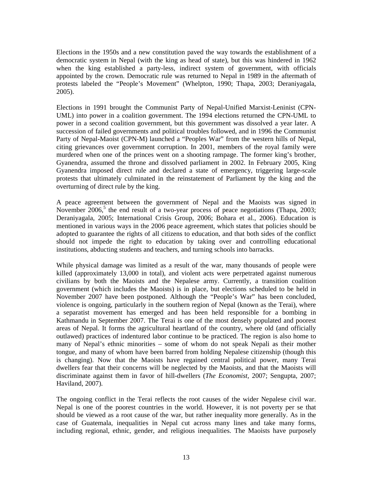Elections in the 1950s and a new constitution paved the way towards the establishment of a democratic system in Nepal (with the king as head of state), but this was hindered in 1962 when the king established a party-less, indirect system of government, with officials appointed by the crown. Democratic rule was returned to Nepal in 1989 in the aftermath of protests labeled the "People's Movement" (Whelpton, 1990; Thapa, 2003; Deraniyagala, 2005).

Elections in 1991 brought the Communist Party of Nepal-Unified Marxist-Leninist (CPN-UML) into power in a coalition government. The 1994 elections returned the CPN-UML to power in a second coalition government, but this government was dissolved a year later. A succession of failed governments and political troubles followed, and in 1996 the Communist Party of Nepal-Maoist (CPN-M) launched a "Peoples War" from the western hills of Nepal, citing grievances over government corruption. In 2001, members of the royal family were murdered when one of the princes went on a shooting rampage. The former king's brother, Gyanendra, assumed the throne and dissolved parliament in 2002. In February 2005, King Gyanendra imposed direct rule and declared a state of emergency, triggering large-scale protests that ultimately culminated in the reinstatement of Parliament by the king and the overturning of direct rule by the king.

A peace agreement between the government of Nepal and the Maoists was signed in November  $2006$ ,<sup>5</sup> the end result of a two-year process of peace negotiations (Thapa, 2003; Deraniyagala, 2005; International Crisis Group, 2006; Bohara et al., 2006). Education is mentioned in various ways in the 2006 peace agreement, which states that policies should be adopted to guarantee the rights of all citizens to education, and that both sides of the conflict should not impede the right to education by taking over and controlling educational institutions, abducting students and teachers, and turning schools into barracks.

While physical damage was limited as a result of the war, many thousands of people were killed (approximately 13,000 in total), and violent acts were perpetrated against numerous civilians by both the Maoists and the Nepalese army. Currently, a transition coalition government (which includes the Maoists) is in place, but elections scheduled to be held in November 2007 have been postponed. Although the "People's War" has been concluded, violence is ongoing, particularly in the southern region of Nepal (known as the Terai), where a separatist movement has emerged and has been held responsible for a bombing in Kathmandu in September 2007. The Terai is one of the most densely populated and poorest areas of Nepal. It forms the agricultural heartland of the country, where old (and officially outlawed) practices of indentured labor continue to be practiced. The region is also home to many of Nepal's ethnic minorities – some of whom do not speak Nepali as their mother tongue, and many of whom have been barred from holding Nepalese citizenship (though this is changing). Now that the Maoists have regained central political power, many Terai dwellers fear that their concerns will be neglected by the Maoists, and that the Maoists will discriminate against them in favor of hill-dwellers (*The Economist,* 2007; Sengupta, 2007; Haviland, 2007).

The ongoing conflict in the Terai reflects the root causes of the wider Nepalese civil war. Nepal is one of the poorest countries in the world. However, it is not poverty per se that should be viewed as a root cause of the war, but rather inequality more generally. As in the case of Guatemala, inequalities in Nepal cut across many lines and take many forms, including regional, ethnic, gender, and religious inequalities. The Maoists have purposely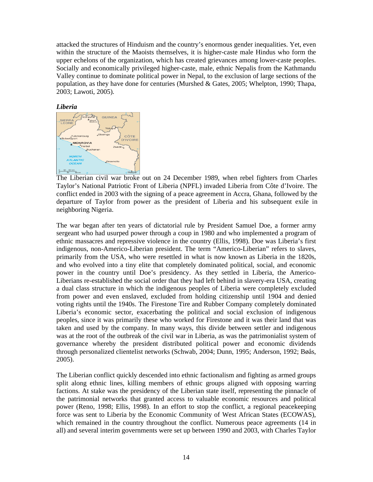attacked the structures of Hinduism and the country's enormous gender inequalities. Yet, even within the structure of the Maoists themselves, it is higher-caste male Hindus who form the upper echelons of the organization, which has created grievances among lower-caste peoples. Socially and economically privileged higher-caste, male, ethnic Nepalis from the Kathmandu Valley continue to dominate political power in Nepal, to the exclusion of large sections of the population, as they have done for centuries (Murshed & Gates, 2005; Whelpton, 1990; Thapa, 2003; Lawoti, 2005).





The Liberian civil war broke out on 24 December 1989, when rebel fighters from Charles Taylor's National Patriotic Front of Liberia (NPFL) invaded Liberia from Côte d'Ivoire. The conflict ended in 2003 with the signing of a peace agreement in Accra, Ghana, followed by the departure of Taylor from power as the president of Liberia and his subsequent exile in neighboring Nigeria.

The war began after ten years of dictatorial rule by President Samuel Doe, a former army sergeant who had usurped power through a coup in 1980 and who implemented a program of ethnic massacres and repressive violence in the country (Ellis, 1998). Doe was Liberia's first indigenous, non-Americo-Liberian president. The term "Americo-Liberian" refers to slaves, primarily from the USA, who were resettled in what is now known as Liberia in the 1820s, and who evolved into a tiny elite that completely dominated political, social, and economic power in the country until Doe's presidency. As they settled in Liberia, the Americo-Liberians re-established the social order that they had left behind in slavery-era USA, creating a dual class structure in which the indigenous peoples of Liberia were completely excluded from power and even enslaved, excluded from holding citizenship until 1904 and denied voting rights until the 1940s. The Firestone Tire and Rubber Company completely dominated Liberia's economic sector, exacerbating the political and social exclusion of indigenous peoples, since it was primarily these who worked for Firestone and it was their land that was taken and used by the company. In many ways, this divide between settler and indigenous was at the root of the outbreak of the civil war in Liberia, as was the patrimonialist system of governance whereby the president distributed political power and economic dividends through personalized clientelist networks (Schwab, 2004; Dunn, 1995; Anderson, 1992; Bøås, 2005).

The Liberian conflict quickly descended into ethnic factionalism and fighting as armed groups split along ethnic lines, killing members of ethnic groups aligned with opposing warring factions. At stake was the presidency of the Liberian state itself, representing the pinnacle of the patrimonial networks that granted access to valuable economic resources and political power (Reno, 1998; Ellis, 1998). In an effort to stop the conflict, a regional peacekeeping force was sent to Liberia by the Economic Community of West African States (ECOWAS), which remained in the country throughout the conflict. Numerous peace agreements (14 in all) and several interim governments were set up between 1990 and 2003, with Charles Taylor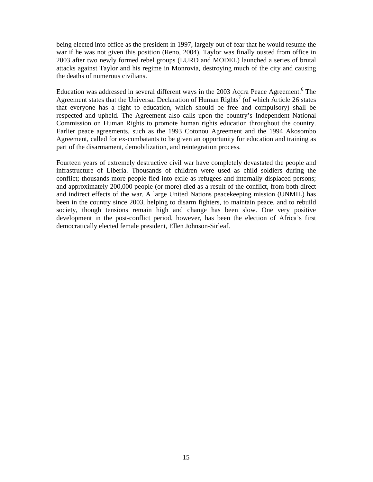being elected into office as the president in 1997, largely out of fear that he would resume the war if he was not given this position (Reno, 2004). Taylor was finally ousted from office in 2003 after two newly formed rebel groups (LURD and MODEL) launched a series of brutal attacks against Taylor and his regime in Monrovia, destroying much of the city and causing the deaths of numerous civilians.

Education was addressed in several different ways in the 2003 Accra Peace Agreement.<sup>6</sup> The Agreement states that the Universal Declaration of Human Rights<sup>7</sup> (of which Article 26 states that everyone has a right to education, which should be free and compulsory) shall be respected and upheld. The Agreement also calls upon the country's Independent National Commission on Human Rights to promote human rights education throughout the country. Earlier peace agreements, such as the 1993 Cotonou Agreement and the 1994 Akosombo Agreement, called for ex-combatants to be given an opportunity for education and training as part of the disarmament, demobilization, and reintegration process.

Fourteen years of extremely destructive civil war have completely devastated the people and infrastructure of Liberia. Thousands of children were used as child soldiers during the conflict; thousands more people fled into exile as refugees and internally displaced persons; and approximately 200,000 people (or more) died as a result of the conflict, from both direct and indirect effects of the war. A large United Nations peacekeeping mission (UNMIL) has been in the country since 2003, helping to disarm fighters, to maintain peace, and to rebuild society, though tensions remain high and change has been slow. One very positive development in the post-conflict period, however, has been the election of Africa's first democratically elected female president, Ellen Johnson-Sirleaf.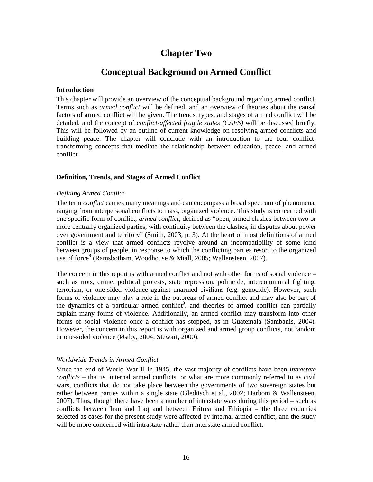## **Chapter Two**

### **Conceptual Background on Armed Conflict**

#### **Introduction**

This chapter will provide an overview of the conceptual background regarding armed conflict. Terms such as *armed conflict* will be defined, and an overview of theories about the causal factors of armed conflict will be given. The trends, types, and stages of armed conflict will be detailed, and the concept of *conflict-affected fragile states (CAFS)* will be discussed briefly. This will be followed by an outline of current knowledge on resolving armed conflicts and building peace. The chapter will conclude with an introduction to the four conflicttransforming concepts that mediate the relationship between education, peace, and armed conflict.

#### **Definition, Trends, and Stages of Armed Conflict**

#### *Defining Armed Conflict*

The term *conflict* carries many meanings and can encompass a broad spectrum of phenomena, ranging from interpersonal conflicts to mass, organized violence. This study is concerned with one specific form of conflict, *armed conflict*, defined as "open, armed clashes between two or more centrally organized parties, with continuity between the clashes, in disputes about power over government and territory" (Smith, 2003, p. 3). At the heart of most definitions of armed conflict is a view that armed conflicts revolve around an incompatibility of some kind between groups of people, in response to which the conflicting parties resort to the organized use of force<sup>8</sup> (Ramsbotham, Woodhouse & Miall, 2005; Wallensteen, 2007).

The concern in this report is with armed conflict and not with other forms of social violence – such as riots, crime, political protests, state repression, politicide, intercommunal fighting, terrorism, or one-sided violence against unarmed civilians (e.g. genocide). However, such forms of violence may play a role in the outbreak of armed conflict and may also be part of the dynamics of a particular armed conflict<sup>9</sup>, and theories of armed conflict can partially explain many forms of violence. Additionally, an armed conflict may transform into other forms of social violence once a conflict has stopped, as in Guatemala (Sambanis, 2004). However, the concern in this report is with organized and armed group conflicts, not random or one-sided violence (Østby, 2004; Stewart, 2000).

#### *Worldwide Trends in Armed Conflict*

Since the end of World War II in 1945, the vast majority of conflicts have been *intrastate conflicts –* that is, internal armed conflicts, or what are more commonly referred to as civil wars, conflicts that do not take place between the governments of two sovereign states but rather between parties within a single state (Gleditsch et al., 2002; Harbom & Wallensteen, 2007). Thus, though there have been a number of interstate wars during this period – such as conflicts between Iran and Iraq and between Eritrea and Ethiopia – the three countries selected as cases for the present study were affected by internal armed conflict, and the study will be more concerned with intrastate rather than interstate armed conflict.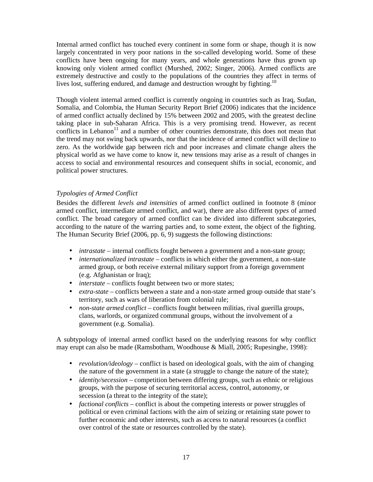Internal armed conflict has touched every continent in some form or shape, though it is now largely concentrated in very poor nations in the so-called developing world. Some of these conflicts have been ongoing for many years, and whole generations have thus grown up knowing only violent armed conflict (Murshed, 2002; Singer, 2006). Armed conflicts are extremely destructive and costly to the populations of the countries they affect in terms of lives lost, suffering endured, and damage and destruction wrought by fighting.<sup>10</sup>

Though violent internal armed conflict is currently ongoing in countries such as Iraq, Sudan, Somalia, and Colombia, the Human Security Report Brief (2006) indicates that the incidence of armed conflict actually declined by 15% between 2002 and 2005, with the greatest decline taking place in sub-Saharan Africa. This is a very promising trend. However, as recent conflicts in Lebanon<sup>11</sup> and a number of other countries demonstrate, this does not mean that the trend may not swing back upwards, nor that the incidence of armed conflict will decline to zero. As the worldwide gap between rich and poor increases and climate change alters the physical world as we have come to know it, new tensions may arise as a result of changes in access to social and environmental resources and consequent shifts in social, economic, and political power structures.

#### *Typologies of Armed Conflict*

Besides the different *levels and intensities* of armed conflict outlined in footnote 8 (minor armed conflict, intermediate armed conflict, and war), there are also different *types* of armed conflict. The broad category of armed conflict can be divided into different subcategories, according to the nature of the warring parties and, to some extent, the object of the fighting. The Human Security Brief (2006, pp. 6, 9) suggests the following distinctions:

- *intrastate* internal conflicts fought between a government and a non-state group;
- *internationalized intrastate* conflicts in which either the government, a non-state armed group, or both receive external military support from a foreign government (e.g. Afghanistan or Iraq);
- *interstate* conflicts fought between two or more states;
- *extra-state* conflicts between a state and a non-state armed group outside that state's territory, such as wars of liberation from colonial rule;
- *non-state armed conflict* conflicts fought between militias, rival guerilla groups, clans, warlords, or organized communal groups, without the involvement of a government (e.g. Somalia).

A subtypology of internal armed conflict based on the underlying reasons for why conflict may erupt can also be made (Ramsbotham, Woodhouse & Miall, 2005; Rupesinghe, 1998):

- *revolution/ideology –* conflict is based on ideological goals, with the aim of changing the nature of the government in a state (a struggle to change the nature of the state);
- *identity/secession* competition between differing groups, such as ethnic or religious groups, with the purpose of securing territorial access, control, autonomy, or secession (a threat to the integrity of the state);
- *factional conflicts* conflict is about the competing interests or power struggles of political or even criminal factions with the aim of seizing or retaining state power to further economic and other interests, such as access to natural resources (a conflict over control of the state or resources controlled by the state).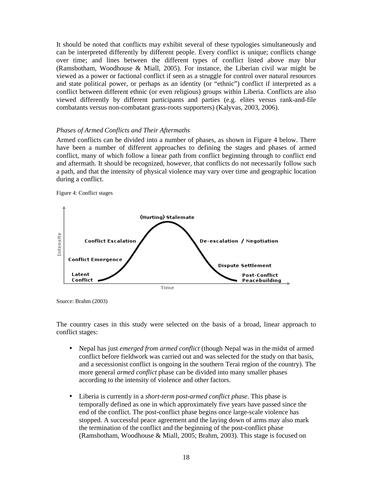It should be noted that conflicts may exhibit several of these typologies simultaneously and can be interpreted differently by different people. Every conflict is unique; conflicts change over time; and lines between the different types of conflict listed above may blur (Ramsbotham, Woodhouse & Miall, 2005). For instance, the Liberian civil war might be viewed as a power or factional conflict if seen as a struggle for control over natural resources and state political power, or perhaps as an identity (or "ethnic") conflict if interpreted as a conflict between different ethnic (or even religious) groups within Liberia. Conflicts are also viewed differently by different participants and parties (e.g. elites versus rank-and-file combatants versus non-combatant grass-roots supporters) (Kalyvas, 2003, 2006).

#### *Phases of Armed Conflicts and Their Aftermaths*

Armed conflicts can be divided into a number of phases, as shown in Figure 4 below. There have been a number of different approaches to defining the stages and phases of armed conflict, many of which follow a linear path from conflict beginning through to conflict end and aftermath. It should be recognized, however, that conflicts do not necessarily follow such a path, and that the intensity of physical violence may vary over time and geographic location during a conflict.





Source: Brahm (2003)

The country cases in this study were selected on the basis of a broad, linear approach to conflict stages:

- Nepal has just *emerged from armed conflict* (though Nepal was in the midst of armed conflict before fieldwork was carried out and was selected for the study on that basis, and a secessionist conflict is ongoing in the southern Terai region of the country). The more general *armed conflict* phase can be divided into many smaller phases according to the intensity of violence and other factors.
- Liberia is currently in a *short-term post-armed conflict phase*. This phase is temporally defined as one in which approximately five years have passed since the end of the conflict. The post-conflict phase begins once large-scale violence has stopped. A successful peace agreement and the laying down of arms may also mark the termination of the conflict and the beginning of the post-conflict phase (Ramsbotham, Woodhouse & Miall, 2005; Brahm, 2003). This stage is focused on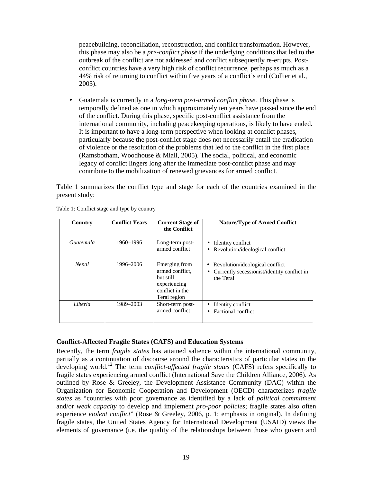peacebuilding, reconciliation, reconstruction, and conflict transformation. However, this phase may also be a *pre-conflict phase* if the underlying conditions that led to the outbreak of the conflict are not addressed and conflict subsequently re-erupts. Postconflict countries have a very high risk of conflict recurrence, perhaps as much as a 44% risk of returning to conflict within five years of a conflict's end (Collier et al., 2003).

• Guatemala is currently in a *long-term post-armed conflict phase*. This phase is temporally defined as one in which approximately ten years have passed since the end of the conflict. During this phase, specific post-conflict assistance from the international community, including peacekeeping operations, is likely to have ended. It is important to have a long-term perspective when looking at conflict phases, particularly because the post-conflict stage does not necessarily entail the eradication of violence or the resolution of the problems that led to the conflict in the first place (Ramsbotham, Woodhouse & Miall, 2005). The social, political, and economic legacy of conflict lingers long after the immediate post-conflict phase and may contribute to the mobilization of renewed grievances for armed conflict.

Table 1 summarizes the conflict type and stage for each of the countries examined in the present study:

| Country   | <b>Conflict Years</b> | <b>Current Stage of</b><br>the Conflict                                                          | <b>Nature/Type of Armed Conflict</b>                                                          |
|-----------|-----------------------|--------------------------------------------------------------------------------------------------|-----------------------------------------------------------------------------------------------|
| Guatemala | 1960–1996             | Long-term post-<br>armed conflict                                                                | Identity conflict<br>Revolution/ideological conflict<br>$\bullet$                             |
| Nepal     | 1996-2006             | Emerging from<br>armed conflict.<br>but still<br>experiencing<br>conflict in the<br>Terai region | • Revolution/ideological conflict<br>Currently secessionist/identity conflict in<br>the Terai |
| Liberia   | 1989–2003             | Short-term post-<br>armed conflict                                                               | Identity conflict<br>Factional conflict                                                       |

Table 1: Conflict stage and type by country

#### **Conflict-Affected Fragile States (CAFS) and Education Systems**

Recently, the term *fragile states* has attained salience within the international community, partially as a continuation of discourse around the characteristics of particular states in the developing world.<sup>12</sup> The term *conflict-affected fragile states* (CAFS) refers specifically to fragile states experiencing armed conflict (International Save the Children Alliance, 2006). As outlined by Rose & Greeley, the Development Assistance Community (DAC) within the Organization for Economic Cooperation and Development (OECD) characterizes *fragile states* as "countries with poor governance as identified by a lack of *political commitment*  and/or *weak capacity* to develop and implement *pro-poor policies*; fragile states also often experience *violent conflict*" (Rose & Greeley, 2006, p. 1; emphasis in original). In defining fragile states, the United States Agency for International Development (USAID) views the elements of governance (i.e. the quality of the relationships between those who govern and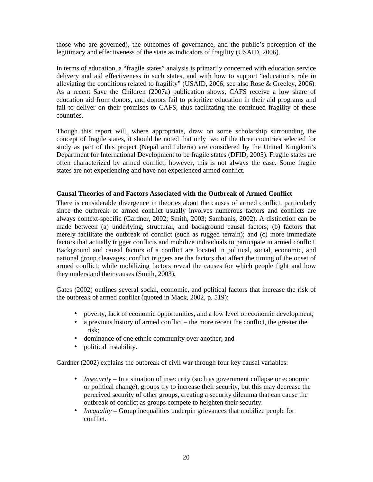those who are governed), the outcomes of governance, and the public's perception of the legitimacy and effectiveness of the state as indicators of fragility (USAID, 2006).

In terms of education, a "fragile states" analysis is primarily concerned with education service delivery and aid effectiveness in such states, and with how to support "education's role in alleviating the conditions related to fragility" (USAID, 2006; see also Rose & Greeley, 2006). As a recent Save the Children (2007a) publication shows, CAFS receive a low share of education aid from donors, and donors fail to prioritize education in their aid programs and fail to deliver on their promises to CAFS, thus facilitating the continued fragility of these countries.

Though this report will, where appropriate, draw on some scholarship surrounding the concept of fragile states, it should be noted that only two of the three countries selected for study as part of this project (Nepal and Liberia) are considered by the United Kingdom's Department for International Development to be fragile states (DFID, 2005). Fragile states are often characterized by armed conflict; however, this is not always the case. Some fragile states are not experiencing and have not experienced armed conflict.

#### **Causal Theories of and Factors Associated with the Outbreak of Armed Conflict**

There is considerable divergence in theories about the causes of armed conflict, particularly since the outbreak of armed conflict usually involves numerous factors and conflicts are always context-specific (Gardner, 2002; Smith, 2003; Sambanis, 2002). A distinction can be made between (a) underlying, structural, and background causal factors; (b) factors that merely facilitate the outbreak of conflict (such as rugged terrain); and (c) more immediate factors that actually trigger conflicts and mobilize individuals to participate in armed conflict. Background and causal factors of a conflict are located in political, social, economic, and national group cleavages; conflict triggers are the factors that affect the timing of the onset of armed conflict; while mobilizing factors reveal the causes for which people fight and how they understand their causes (Smith, 2003).

Gates (2002) outlines several social, economic, and political factors that increase the risk of the outbreak of armed conflict (quoted in Mack, 2002, p. 519):

- poverty, lack of economic opportunities, and a low level of economic development;
- a previous history of armed conflict the more recent the conflict, the greater the risk;
- dominance of one ethnic community over another; and
- political instability.

Gardner (2002) explains the outbreak of civil war through four key causal variables:

- *Insecurity* In a situation of insecurity (such as government collapse or economic or political change), groups try to increase their security, but this may decrease the perceived security of other groups, creating a security dilemma that can cause the outbreak of conflict as groups compete to heighten their security.
- *Inequality* Group inequalities underpin grievances that mobilize people for conflict.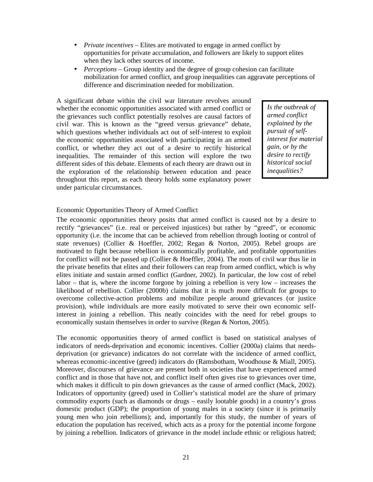- *Private incentives* Elites are motivated to engage in armed conflict by opportunities for private accumulation, and followers are likely to support elites when they lack other sources of income.
- *Perceptions* Group identity and the degree of group cohesion can facilitate mobilization for armed conflict, and group inequalities can aggravate perceptions of difference and discrimination needed for mobilization.

A significant debate within the civil war literature revolves around whether the economic opportunities associated with armed conflict or the grievances such conflict potentially resolves are causal factors of civil war. This is known as the "greed versus grievance" debate, which questions whether individuals act out of self-interest to exploit the economic opportunities associated with participating in an armed conflict, or whether they act out of a desire to rectify historical inequalities. The remainder of this section will explore the two different sides of this debate. Elements of each theory are drawn out in the exploration of the relationship between education and peace throughout this report, as each theory holds some explanatory power under particular circumstances.

*Is the outbreak of armed conflict explained by the pursuit of selfinterest for material gain, or by the desire to rectify historical social inequalities?* 

#### Economic Opportunities Theory of Armed Conflict

The economic opportunities theory posits that armed conflict is caused not by a desire to rectify "grievances" (i.e. real or perceived injustices) but rather by "greed", or economic opportunity (i.e. the income that can be achieved from rebellion through looting or control of state revenues) (Collier & Hoeffler, 2002; Regan & Norton, 2005). Rebel groups are motivated to fight because rebellion is economically profitable, and profitable opportunities for conflict will not be passed up (Collier & Hoeffler, 2004). The roots of civil war thus lie in the private benefits that elites and their followers can reap from armed conflict, which is why elites initiate and sustain armed conflict (Gardner, 2002). In particular, the low cost of rebel labor – that is, where the income forgone by joining a rebellion is very low – increases the likelihood of rebellion. Collier (2000b) claims that it is much more difficult for groups to overcome collective-action problems and mobilize people around grievances (or justice provision), while individuals are more easily motivated to serve their own economic selfinterest in joining a rebellion. This neatly coincides with the need for rebel groups to economically sustain themselves in order to survive (Regan & Norton, 2005).

The economic opportunities theory of armed conflict is based on statistical analyses of indicators of needs-deprivation and economic incentives. Collier (2000a) claims that needsdeprivation (or grievance) indicators do not correlate with the incidence of armed conflict, whereas economic-incentive (greed) indicators do (Ramsbotham, Woodhouse & Miall, 2005). Moreover, discourses of grievance are present both in societies that have experienced armed conflict and in those that have not, and conflict itself often gives rise to grievances over time, which makes it difficult to pin down grievances as the cause of armed conflict (Mack, 2002). Indicators of opportunity (greed) used in Collier's statistical model are the share of primary commodity exports (such as diamonds or drugs – easily lootable goods) in a country's gross domestic product (GDP); the proportion of young males in a society (since it is primarily young men who join rebellions); and, importantly for this study, the number of years of education the population has received, which acts as a proxy for the potential income forgone by joining a rebellion. Indicators of grievance in the model include ethnic or religious hatred;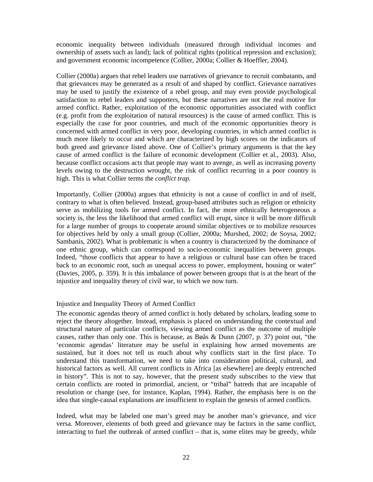economic inequality between individuals (measured through individual incomes and ownership of assets such as land); lack of political rights (political repression and exclusion); and government economic incompetence (Collier, 2000a; Collier & Hoeffler, 2004).

Collier (2000a) argues that rebel leaders use narratives of grievance to recruit combatants, and that grievances may be generated as a result of and shaped by conflict. Grievance narratives may be used to justify the existence of a rebel group, and may even provide psychological satisfaction to rebel leaders and supporters, but these narratives are not the real motive for armed conflict. Rather, exploitation of the economic opportunities associated with conflict (e.g. profit from the exploitation of natural resources) is the cause of armed conflict. This is especially the case for poor countries, and much of the economic opportunities theory is concerned with armed conflict in very poor, developing countries, in which armed conflict is much more likely to occur and which are characterized by high scores on the indicators of both greed and grievance listed above. One of Collier's primary arguments is that the key cause of armed conflict is the failure of economic development (Collier et al., 2003). Also, because conflict occasions acts that people may want to avenge, as well as increasing poverty levels owing to the destruction wrought, the risk of conflict recurring in a poor country is high. This is what Collier terms the *conflict trap.*

Importantly, Collier (2000a) argues that ethnicity is not a cause of conflict in and of itself, contrary to what is often believed. Instead, group-based attributes such as religion or ethnicity serve as mobilizing tools for armed conflict. In fact, the more ethnically heterogeneous a society is, the less the likelihood that armed conflict will erupt, since it will be more difficult for a large number of groups to cooperate around similar objectives or to mobilize resources for objectives held by only a small group (Collier, 2000a; Murshed, 2002; de Soysa, 2002; Sambanis, 2002). What is problematic is when a country is characterized by the dominance of one ethnic group, which can correspond to socio-economic inequalities between groups. Indeed, "those conflicts that appear to have a religious or cultural base can often be traced back to an economic root, such as unequal access to power, employment, housing or water" (Davies, 2005, p. 359). It is this imbalance of power between groups that is at the heart of the injustice and inequality theory of civil war, to which we now turn.

#### Injustice and Inequality Theory of Armed Conflict

The economic agendas theory of armed conflict is hotly debated by scholars, leading some to reject the theory altogether. Instead, emphasis is placed on understanding the contextual and structural nature of particular conflicts, viewing armed conflict as the outcome of multiple causes, rather than only one. This is because, as Bøås & Dunn (2007, p. 37) point out, "the 'economic agendas' literature may be useful in explaining how armed movements are sustained, but it does not tell us much about why conflicts start in the first place. To understand this transformation, we need to take into consideration political, cultural, and historical factors as well. All current conflicts in Africa [as elsewhere] are deeply entrenched in history". This is not to say, however, that the present study subscribes to the view that certain conflicts are rooted in primordial, ancient, or "tribal" hatreds that are incapable of resolution or change (see, for instance, Kaplan, 1994). Rather, the emphasis here is on the idea that single-causal explanations are insufficient to explain the genesis of armed conflicts.

Indeed, what may be labeled one man's greed may be another man's grievance, and vice versa. Moreover, elements of both greed and grievance may be factors in the same conflict, interacting to fuel the outbreak of armed conflict – that is, some elites may be greedy, while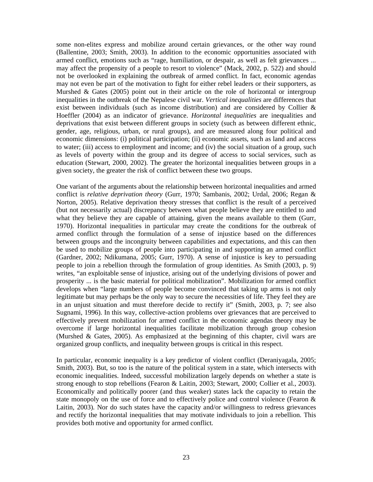some non-elites express and mobilize around certain grievances, or the other way round (Ballentine, 2003; Smith, 2003). In addition to the economic opportunities associated with armed conflict, emotions such as "rage, humiliation, or despair, as well as felt grievances ... may affect the propensity of a people to resort to violence" (Mack, 2002, p. 522) and should not be overlooked in explaining the outbreak of armed conflict. In fact, economic agendas may not even be part of the motivation to fight for either rebel leaders or their supporters, as Murshed & Gates (2005) point out in their article on the role of horizontal or intergroup inequalities in the outbreak of the Nepalese civil war. *Vertical inequalities* are differences that exist between individuals (such as income distribution) and are considered by Collier & Hoeffler (2004) as an indicator of grievance. *Horizontal inequalities* are inequalities and deprivations that exist between different groups in society (such as between different ethnic, gender, age, religious, urban, or rural groups), and are measured along four political and economic dimensions: (i) political participation; (ii) economic assets, such as land and access to water; (iii) access to employment and income; and (iv) the social situation of a group, such as levels of poverty within the group and its degree of access to social services, such as education (Stewart, 2000, 2002). The greater the horizontal inequalities between groups in a given society, the greater the risk of conflict between these two groups.

One variant of the arguments about the relationship between horizontal inequalities and armed conflict is *relative deprivation theory* (Gurr, 1970; Sambanis, 2002; Urdal, 2006; Regan & Norton, 2005). Relative deprivation theory stresses that conflict is the result of a perceived (but not necessarily actual) discrepancy between what people believe they are entitled to and what they believe they are capable of attaining, given the means available to them (Gurr, 1970). Horizontal inequalities in particular may create the conditions for the outbreak of armed conflict through the formulation of a sense of injustice based on the differences between groups and the incongruity between capabilities and expectations, and this can then be used to mobilize groups of people into participating in and supporting an armed conflict (Gardner, 2002; Ndikumana, 2005; Gurr, 1970). A sense of injustice is key to persuading people to join a rebellion through the formulation of group identities. As Smith (2003, p. 9) writes, "an exploitable sense of injustice, arising out of the underlying divisions of power and prosperity ... is the basic material for political mobilization". Mobilization for armed conflict develops when "large numbers of people become convinced that taking up arms is not only legitimate but may perhaps be the only way to secure the necessities of life. They feel they are in an unjust situation and must therefore decide to rectify it" (Smith, 2003, p. 7; see also Sugnami, 1996). In this way, collective-action problems over grievances that are perceived to effectively prevent mobilization for armed conflict in the economic agendas theory may be overcome if large horizontal inequalities facilitate mobilization through group cohesion (Murshed & Gates, 2005). As emphasized at the beginning of this chapter, civil wars are organized group conflicts, and inequality between groups is critical in this respect.

In particular, economic inequality is a key predictor of violent conflict (Deraniyagala, 2005; Smith, 2003). But, so too is the nature of the political system in a state, which intersects with economic inequalities. Indeed, successful mobilization largely depends on whether a state is strong enough to stop rebellions (Fearon & Laitin, 2003; Stewart, 2000; Collier et al., 2003). Economically and politically poorer (and thus weaker) states lack the capacity to retain the state monopoly on the use of force and to effectively police and control violence (Fearon & Laitin, 2003). Nor do such states have the capacity and/or willingness to redress grievances and rectify the horizontal inequalities that may motivate individuals to join a rebellion. This provides both motive and opportunity for armed conflict.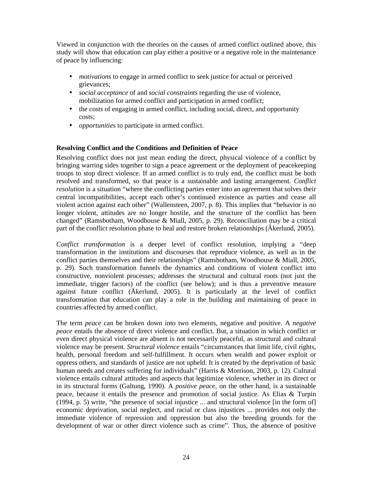Viewed in conjunction with the theories on the causes of armed conflict outlined above, this study will show that education can play either a positive or a negative role in the maintenance of peace by influencing:

- *motivations* to engage in armed conflict to seek justice for actual or perceived grievances;
- *social acceptance* of and *social constraints* regarding the use of violence, mobilization for armed conflict and participation in armed conflict;
- the *costs* of engaging in armed conflict, including social, direct, and opportunity costs;
- *opportunities* to participate in armed conflict.

#### **Resolving Conflict and the Conditions and Definition of Peace**

Resolving conflict does not just mean ending the direct, physical violence of a conflict by bringing warring sides together to sign a peace agreement or the deployment of peacekeeping troops to stop direct violence. If an armed conflict is to truly end, the conflict must be both resolved and transformed, so that peace is a sustainable and lasting arrangement. *Conflict resolution* is a situation "where the conflicting parties enter into an agreement that solves their central incompatibilities, accept each other's continued existence as parties and cease all violent action against each other" (Wallensteen, 2007, p. 8). This implies that "behavior is no longer violent, attitudes are no longer hostile, and the structure of the conflict has been changed" (Ramsbotham, Woodhouse & Miall, 2005, p. 29). Reconciliation may be a critical part of the conflict resolution phase to heal and restore broken relationships ( $\hat{A}$ kerlund, 2005).

*Conflict transformation* is a deeper level of conflict resolution, implying a "deep transformation in the institutions and discourses that reproduce violence, as well as in the conflict parties themselves and their relationships" (Ramsbotham, Woodhouse & Miall, 2005, p. 29). Such transformation funnels the dynamics and conditions of violent conflict into constructive, nonviolent processes; addresses the structural and cultural roots (not just the immediate, trigger factors) of the conflict (see below); and is thus a preventive measure against future conflict (Åkerlund, 2005). It is particularly at the level of conflict transformation that education can play a role in the building and maintaining of peace in countries affected by armed conflict.

The term *peace* can be broken down into two elements, negative and positive. A *negative peace* entails the absence of direct violence and conflict. But, a situation in which conflict or even direct physical violence are absent is not necessarily peaceful, as structural and cultural violence may be present. *Structural violence* entails "circumstances that limit life, civil rights, health, personal freedom and self-fulfillment. It occurs when wealth and power exploit or oppress others, and standards of justice are not upheld. It is created by the deprivation of basic human needs and creates suffering for individuals" (Harris & Morrison, 2003, p. 12). Cultural violence entails cultural attitudes and aspects that legitimize violence, whether in its direct or in its structural forms (Galtung, 1990). A *positive peace*, on the other hand, is a sustainable peace, because it entails the presence and promotion of social justice. As Elias & Turpin (1994, p. 5) write, "the presence of social injustice ... and structural violence [in the form of] economic deprivation, social neglect, and racial or class injustices ... provides not only the immediate violence of repression and oppression but also the breeding grounds for the development of war or other direct violence such as crime". Thus, the absence of positive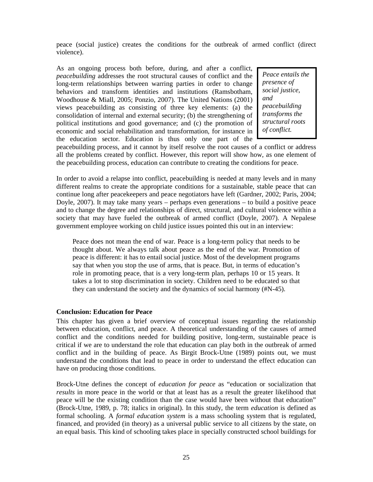peace (social justice) creates the conditions for the outbreak of armed conflict (direct violence).

As an ongoing process both before, during, and after a conflict, *peacebuilding* addresses the root structural causes of conflict and the long-term relationships between warring parties in order to change behaviors and transform identities and institutions (Ramsbotham, Woodhouse & Miall, 2005; Ponzio, 2007). The United Nations (2001) views peacebuilding as consisting of three key elements: (a) the consolidation of internal and external security; (b) the strengthening of political institutions and good governance; and (c) the promotion of economic and social rehabilitation and transformation, for instance in the education sector. Education is thus only one part of the

*Peace entails the presence of social justice, and peacebuilding transforms the structural roots of conflict.* 

peacebuilding process, and it cannot by itself resolve the root causes of a conflict or address all the problems created by conflict. However, this report will show how, as one element of the peacebuilding process, education can contribute to creating the conditions for peace.

In order to avoid a relapse into conflict, peacebuilding is needed at many levels and in many different realms to create the appropriate conditions for a sustainable, stable peace that can continue long after peacekeepers and peace negotiators have left (Gardner, 2002; Paris, 2004; Doyle, 2007). It may take many years – perhaps even generations – to build a positive peace and to change the degree and relationships of direct, structural, and cultural violence within a society that may have fueled the outbreak of armed conflict (Doyle, 2007). A Nepalese government employee working on child justice issues pointed this out in an interview:

Peace does not mean the end of war. Peace is a long-term policy that needs to be thought about. We always talk about peace as the end of the war. Promotion of peace is different: it has to entail social justice. Most of the development programs say that when you stop the use of arms, that is peace. But, in terms of education's role in promoting peace, that is a very long-term plan, perhaps 10 or 15 years. It takes a lot to stop discrimination in society. Children need to be educated so that they can understand the society and the dynamics of social harmony (#N-45).

#### **Conclusion: Education for Peace**

This chapter has given a brief overview of conceptual issues regarding the relationship between education, conflict, and peace. A theoretical understanding of the causes of armed conflict and the conditions needed for building positive, long-term, sustainable peace is critical if we are to understand the role that education can play both in the outbreak of armed conflict and in the building of peace. As Birgit Brock-Utne (1989) points out, we must understand the conditions that lead to peace in order to understand the effect education can have on producing those conditions.

Brock-Utne defines the concept of *education for peace* as "education or socialization that *results* in more peace in the world or that at least has as a result the greater likelihood that peace will be the existing condition than the case would have been without that education" (Brock-Utne, 1989, p. 78; italics in original). In this study, the term *education* is defined as formal schooling. A *formal education system* is a mass schooling system that is regulated, financed, and provided (in theory) as a universal public service to all citizens by the state, on an equal basis. This kind of schooling takes place in specially constructed school buildings for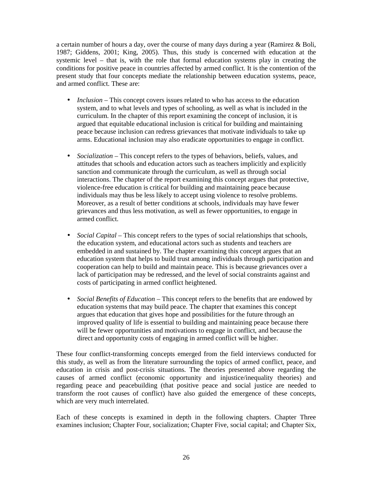a certain number of hours a day, over the course of many days during a year (Ramirez & Boli, 1987; Giddens, 2001; King, 2005). Thus, this study is concerned with education at the systemic level – that is, with the role that formal education systems play in creating the conditions for positive peace in countries affected by armed conflict. It is the contention of the present study that four concepts mediate the relationship between education systems, peace, and armed conflict. These are:

- *Inclusion* This concept covers issues related to who has access to the education system, and to what levels and types of schooling, as well as what is included in the curriculum. In the chapter of this report examining the concept of inclusion, it is argued that equitable educational inclusion is critical for building and maintaining peace because inclusion can redress grievances that motivate individuals to take up arms. Educational inclusion may also eradicate opportunities to engage in conflict.
- *Socialization* This concept refers to the types of behaviors, beliefs, values, and attitudes that schools and education actors such as teachers implicitly and explicitly sanction and communicate through the curriculum, as well as through social interactions. The chapter of the report examining this concept argues that protective, violence-free education is critical for building and maintaining peace because individuals may thus be less likely to accept using violence to resolve problems. Moreover, as a result of better conditions at schools, individuals may have fewer grievances and thus less motivation, as well as fewer opportunities, to engage in armed conflict.
- *Social Capital* This concept refers to the types of social relationships that schools, the education system, and educational actors such as students and teachers are embedded in and sustained by. The chapter examining this concept argues that an education system that helps to build trust among individuals through participation and cooperation can help to build and maintain peace. This is because grievances over a lack of participation may be redressed, and the level of social constraints against and costs of participating in armed conflict heightened.
- *Social Benefits of Education* This concept refers to the benefits that are endowed by education systems that may build peace. The chapter that examines this concept argues that education that gives hope and possibilities for the future through an improved quality of life is essential to building and maintaining peace because there will be fewer opportunities and motivations to engage in conflict, and because the direct and opportunity costs of engaging in armed conflict will be higher.

These four conflict-transforming concepts emerged from the field interviews conducted for this study, as well as from the literature surrounding the topics of armed conflict, peace, and education in crisis and post-crisis situations. The theories presented above regarding the causes of armed conflict (economic opportunity and injustice/inequality theories) and regarding peace and peacebuilding (that positive peace and social justice are needed to transform the root causes of conflict) have also guided the emergence of these concepts, which are very much interrelated.

Each of these concepts is examined in depth in the following chapters. Chapter Three examines inclusion; Chapter Four, socialization; Chapter Five, social capital; and Chapter Six,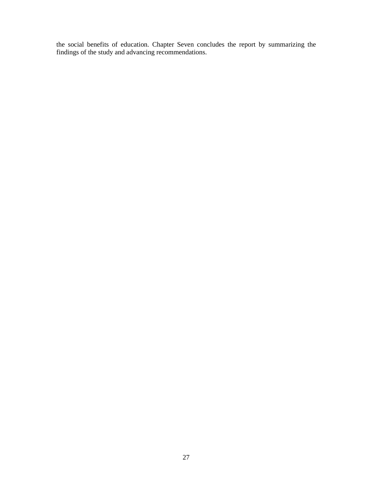the social benefits of education. Chapter Seven concludes the report by summarizing the findings of the study and advancing recommendations.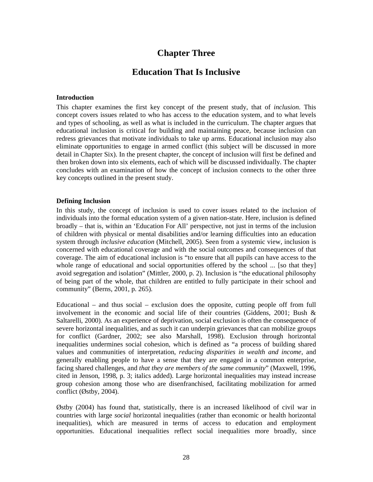## **Chapter Three**

### **Education That Is Inclusive**

#### **Introduction**

This chapter examines the first key concept of the present study, that of *inclusion*. This concept covers issues related to who has access to the education system, and to what levels and types of schooling, as well as what is included in the curriculum. The chapter argues that educational inclusion is critical for building and maintaining peace, because inclusion can redress grievances that motivate individuals to take up arms. Educational inclusion may also eliminate opportunities to engage in armed conflict (this subject will be discussed in more detail in Chapter Six). In the present chapter, the concept of inclusion will first be defined and then broken down into six elements, each of which will be discussed individually. The chapter concludes with an examination of how the concept of inclusion connects to the other three key concepts outlined in the present study.

#### **Defining Inclusion**

In this study, the concept of inclusion is used to cover issues related to the inclusion of individuals into the formal education system of a given nation-state. Here, inclusion is defined broadly – that is, within an 'Education For All' perspective, not just in terms of the inclusion of children with physical or mental disabilities and/or learning difficulties into an education system through *inclusive education* (Mitchell, 2005). Seen from a systemic view, inclusion is concerned with educational coverage and with the social outcomes and consequences of that coverage. The aim of educational inclusion is "to ensure that all pupils can have access to the whole range of educational and social opportunities offered by the school ... [so that they] avoid segregation and isolation" (Mittler, 2000, p. 2). Inclusion is "the educational philosophy of being part of the whole, that children are entitled to fully participate in their school and community" (Berns, 2001, p. 265).

Educational – and thus social – exclusion does the opposite, cutting people off from full involvement in the economic and social life of their countries (Giddens, 2001; Bush & Saltarelli, 2000). As an experience of deprivation, social exclusion is often the consequence of severe horizontal inequalities, and as such it can underpin grievances that can mobilize groups for conflict (Gardner, 2002; see also Marshall, 1998). Exclusion through horizontal inequalities undermines social cohesion, which is defined as "a process of building shared values and communities of interpretation, *reducing disparities in wealth and income*, and generally enabling people to have a sense that they are engaged in a common enterprise, facing shared challenges, and *that they are members of the same community*" (Maxwell, 1996, cited in Jenson, 1998, p. 3; italics added). Large horizontal inequalities may instead increase group cohesion among those who are disenfranchised, facilitating mobilization for armed conflict (Østby, 2004).

Østby (2004) has found that, statistically, there is an increased likelihood of civil war in countries with large *social* horizontal inequalities (rather than economic or health horizontal inequalities), which are measured in terms of access to education and employment opportunities. Educational inequalities reflect social inequalities more broadly, since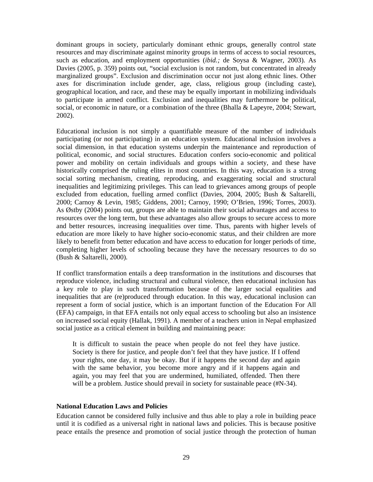dominant groups in society, particularly dominant ethnic groups, generally control state resources and may discriminate against minority groups in terms of access to social resources, such as education, and employment opportunities (*ibid.;* de Soysa & Wagner, 2003). As Davies (2005, p. 359) points out, "social exclusion is not random, but concentrated in already marginalized groups". Exclusion and discrimination occur not just along ethnic lines. Other axes for discrimination include gender, age, class, religious group (including caste), geographical location, and race, and these may be equally important in mobilizing individuals to participate in armed conflict. Exclusion and inequalities may furthermore be political, social, or economic in nature, or a combination of the three (Bhalla & Lapeyre, 2004; Stewart, 2002).

Educational inclusion is not simply a quantifiable measure of the number of individuals participating (or not participating) in an education system. Educational inclusion involves a social dimension, in that education systems underpin the maintenance and reproduction of political, economic, and social structures. Education confers socio-economic and political power and mobility on certain individuals and groups within a society, and these have historically comprised the ruling elites in most countries. In this way, education is a strong social sorting mechanism, creating, reproducing, and exaggerating social and structural inequalities and legitimizing privileges. This can lead to grievances among groups of people excluded from education, fuelling armed conflict (Davies, 2004, 2005; Bush & Saltarelli, 2000; Carnoy & Levin, 1985; Giddens, 2001; Carnoy, 1990; O'Brien, 1996; Torres, 2003). As Østby (2004) points out, groups are able to maintain their social advantages and access to resources over the long term, but these advantages also allow groups to secure access to more and better resources, increasing inequalities over time. Thus, parents with higher levels of education are more likely to have higher socio-economic status, and their children are more likely to benefit from better education and have access to education for longer periods of time, completing higher levels of schooling because they have the necessary resources to do so (Bush & Saltarelli, 2000).

If conflict transformation entails a deep transformation in the institutions and discourses that reproduce violence, including structural and cultural violence, then educational inclusion has a key role to play in such transformation because of the larger social equalities and inequalities that are (re)produced through education. In this way, educational inclusion can represent a form of social justice, which is an important function of the Education For All (EFA) campaign, in that EFA entails not only equal access to schooling but also an insistence on increased social equity (Hallak, 1991). A member of a teachers union in Nepal emphasized social justice as a critical element in building and maintaining peace:

It is difficult to sustain the peace when people do not feel they have justice. Society is there for justice, and people don't feel that they have justice. If I offend your rights, one day, it may be okay. But if it happens the second day and again with the same behavior, you become more angry and if it happens again and again, you may feel that you are undermined, humiliated, offended. Then there will be a problem. Justice should prevail in society for sustainable peace (#N-34).

#### **National Education Laws and Policies**

Education cannot be considered fully inclusive and thus able to play a role in building peace until it is codified as a universal right in national laws and policies. This is because positive peace entails the presence and promotion of social justice through the protection of human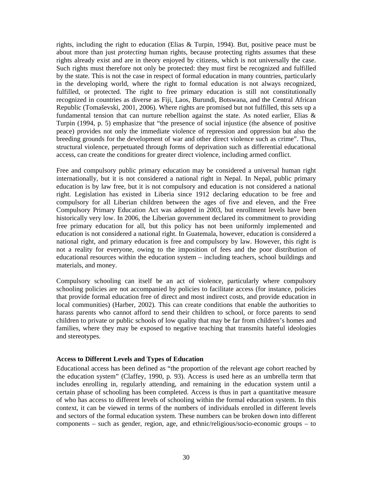rights, including the right to education (Elias & Turpin, 1994). But, positive peace must be about more than just *protecting* human rights, because protecting rights assumes that these rights already exist and are in theory enjoyed by citizens, which is not universally the case. Such rights must therefore not only be protected: they must first be recognized and fulfilled by the state. This is not the case in respect of formal education in many countries, particularly in the developing world, where the right to formal education is not always recognized, fulfilled, or protected. The right to free primary education is still not constitutionally recognized in countries as diverse as Fiji, Laos, Burundi, Botswana, and the Central African Republic (Tomaševski, 2001, 2006). Where rights are promised but not fulfilled, this sets up a fundamental tension that can nurture rebellion against the state. As noted earlier, Elias & Turpin (1994, p. 5) emphasize that "the presence of social injustice (the absence of positive peace) provides not only the immediate violence of repression and oppression but also the breeding grounds for the development of war and other direct violence such as crime". Thus, structural violence, perpetuated through forms of deprivation such as differential educational access, can create the conditions for greater direct violence, including armed conflict.

Free and compulsory public primary education may be considered a universal human right internationally, but it is not considered a national right in Nepal. In Nepal, public primary education is by law free, but it is not compulsory and education is not considered a national right. Legislation has existed in Liberia since 1912 declaring education to be free and compulsory for all Liberian children between the ages of five and eleven, and the Free Compulsory Primary Education Act was adopted in 2003, but enrollment levels have been historically very low. In 2006, the Liberian government declared its commitment to providing free primary education for all, but this policy has not been uniformly implemented and education is not considered a national right. In Guatemala, however, education is considered a national right, and primary education is free and compulsory by law. However, this right is not a reality for everyone, owing to the imposition of fees and the poor distribution of educational resources within the education system – including teachers, school buildings and materials, and money.

Compulsory schooling can itself be an act of violence, particularly where compulsory schooling policies are not accompanied by policies to facilitate access (for instance, policies that provide formal education free of direct and most indirect costs, and provide education in local communities) (Harber, 2002). This can create conditions that enable the authorities to harass parents who cannot afford to send their children to school, or force parents to send children to private or public schools of low quality that may be far from children's homes and families, where they may be exposed to negative teaching that transmits hateful ideologies and stereotypes.

#### **Access to Different Levels and Types of Education**

Educational access has been defined as "the proportion of the relevant age cohort reached by the education system" (Claffey, 1990, p. 93). Access is used here as an umbrella term that includes enrolling in, regularly attending, and remaining in the education system until a certain phase of schooling has been completed. Access is thus in part a quantitative measure of who has access to different levels of schooling within the formal education system. In this context, it can be viewed in terms of the numbers of individuals enrolled in different levels and sectors of the formal education system. These numbers can be broken down into different components – such as gender, region, age, and ethnic/religious/socio-economic groups – to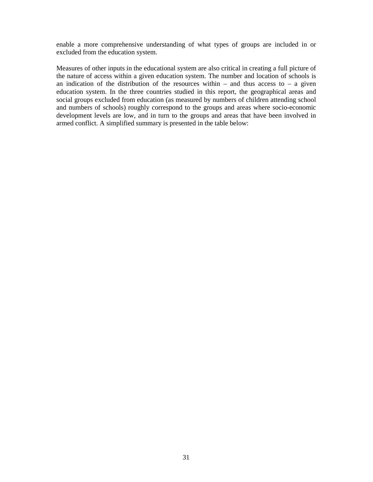enable a more comprehensive understanding of what types of groups are included in or excluded from the education system.

Measures of other inputs in the educational system are also critical in creating a full picture of the nature of access within a given education system. The number and location of schools is an indication of the distribution of the resources within – and thus access to – a given education system. In the three countries studied in this report, the geographical areas and social groups excluded from education (as measured by numbers of children attending school and numbers of schools) roughly correspond to the groups and areas where socio-economic development levels are low, and in turn to the groups and areas that have been involved in armed conflict. A simplified summary is presented in the table below: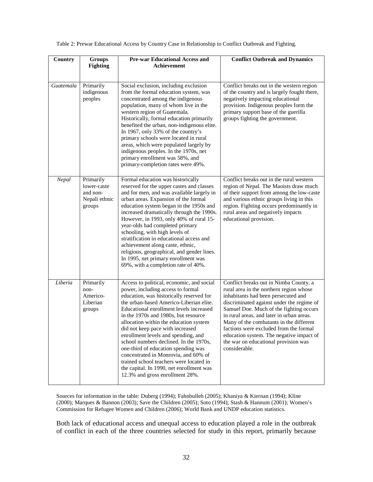| Table 2: Prewar Educational Access by Country Case in Relationship to Conflict Outbreak and Fighting. |  |  |
|-------------------------------------------------------------------------------------------------------|--|--|

| Country                | <b>Groups</b><br><b>Fighting</b>                                | <b>Pre-war Educational Access and</b><br><b>Achievement</b>                                                                                                                                                                                                                                                                                                                                                                                                                                                                                                                                                                      | <b>Conflict Outbreak and Dynamics</b>                                                                                                                                                                                                                                                                                                                                                                                                                   |
|------------------------|-----------------------------------------------------------------|----------------------------------------------------------------------------------------------------------------------------------------------------------------------------------------------------------------------------------------------------------------------------------------------------------------------------------------------------------------------------------------------------------------------------------------------------------------------------------------------------------------------------------------------------------------------------------------------------------------------------------|---------------------------------------------------------------------------------------------------------------------------------------------------------------------------------------------------------------------------------------------------------------------------------------------------------------------------------------------------------------------------------------------------------------------------------------------------------|
| $\overline{Guatenala}$ | Primarily<br>indigenous<br>peoples                              | Social exclusion, including exclusion<br>from the formal education system, was<br>concentrated among the indigenous<br>population, many of whom live in the<br>western region of Guatemala.<br>Historically, formal education primarily<br>benefited the urban, non-indigenous elite.<br>In 1967, only 33% of the country's<br>primary schools were located in rural<br>areas, which were populated largely by<br>indigenous peoples. In the 1970s, net<br>primary enrollment was 58%, and<br>primary-completion rates were 49%.                                                                                                 | Conflict breaks out in the western region<br>of the country and is largely fought there,<br>negatively impacting educational<br>provision. Indigenous peoples form the<br>primary support base of the guerilla<br>groups fighting the government.                                                                                                                                                                                                       |
| Nepal                  | Primarily<br>lower-caste<br>and non-<br>Nepali ethnic<br>groups | Formal education was historically<br>reserved for the upper castes and classes<br>and for men, and was available largely in<br>urban areas. Expansion of the formal<br>education system began in the 1950s and<br>increased dramatically through the 1990s.<br>However, in 1993, only 40% of rural 15-<br>year-olds had completed primary<br>schooling, with high levels of<br>stratification in educational access and<br>achievement along caste, ethnic,<br>religious, geographical, and gender lines.<br>In 1995, net primary enrollment was<br>69%, with a completion rate of 40%.                                          | Conflict breaks out in the rural western<br>region of Nepal. The Maoists draw much<br>of their support from among the low-caste<br>and various ethnic groups living in this<br>region. Fighting occurs predominantly in<br>rural areas and negatively impacts<br>educational provision.                                                                                                                                                                 |
| Liberia                | Primarily<br>non-<br>Americo-<br>Liberian<br>groups             | Access to political, economic, and social<br>power, including access to formal<br>education, was historically reserved for<br>the urban-based Americo-Liberian elite.<br>Educational enrollment levels increased<br>in the 1970s and 1980s, but resource<br>allocation within the education system<br>did not keep pace with increased<br>enrollment levels and spending, and<br>school numbers declined. In the 1970s,<br>one-third of education spending was<br>concentrated in Monrovia, and 60% of<br>trained school teachers were located in<br>the capital. In 1990, net enrollment was<br>12.3% and gross enrollment 28%. | Conflict breaks out in Nimba County, a<br>rural area in the northern region whose<br>inhabitants had been persecuted and<br>discriminated against under the regime of<br>Samuel Doe. Much of the fighting occurs<br>in rural areas, and later in urban areas.<br>Many of the combatants in the different<br>factions were excluded from the formal<br>education system. The negative impact of<br>the war on educational provision was<br>considerable. |

Sources for information in the table: Duberg (1994); Fahnbulleh (2005); Khaniya & Kiernan (1994); Kline (2000); Marques & Bannon (2003); Save the Children (2005); Soto (1994); Stash & Hannum (2001); Women's Commission for Refugee Women and Children (2006); World Bank and UNDP education statistics.

Both lack of educational access and unequal access to education played a role in the outbreak of conflict in each of the three countries selected for study in this report, primarily because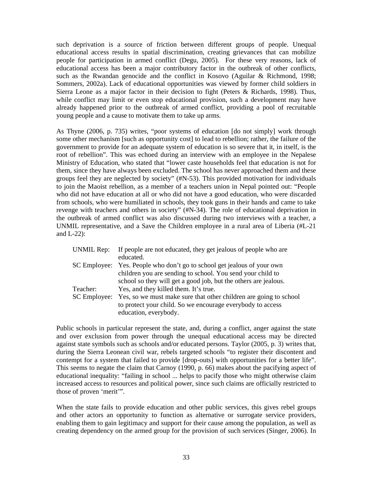such deprivation is a source of friction between different groups of people. Unequal educational access results in spatial discrimination, creating grievances that can mobilize people for participation in armed conflict (Degu, 2005). For these very reasons, lack of educational access has been a major contributory factor in the outbreak of other conflicts, such as the Rwandan genocide and the conflict in Kosovo (Aguilar & Richmond, 1998; Sommers, 2002a). Lack of educational opportunities was viewed by former child soldiers in Sierra Leone as a major factor in their decision to fight (Peters & Richards, 1998). Thus, while conflict may limit or even stop educational provision, such a development may have already happened prior to the outbreak of armed conflict, providing a pool of recruitable young people and a cause to motivate them to take up arms.

As Thyne (2006, p. 735) writes, "poor systems of education [do not simply] work through some other mechanism [such as opportunity cost] to lead to rebellion; rather, the failure of the government to provide for an adequate system of education is so severe that it, in itself, is the root of rebellion". This was echoed during an interview with an employee in the Nepalese Ministry of Education, who stated that "lower caste households feel that education is not for them, since they have always been excluded. The school has never approached them and these groups feel they are neglected by society" (#N-53). This provided motivation for individuals to join the Maoist rebellion, as a member of a teachers union in Nepal pointed out: "People who did not have education at all or who did not have a good education, who were discarded from schools, who were humiliated in schools, they took guns in their hands and came to take revenge with teachers and others in society" (#N-34). The role of educational deprivation in the outbreak of armed conflict was also discussed during two interviews with a teacher, a UNMIL representative, and a Save the Children employee in a rural area of Liberia (#L-21 and L-22):

| <b>UNMIL Rep:</b> | If people are not educated, they get jealous of people who are    |
|-------------------|-------------------------------------------------------------------|
|                   | educated.                                                         |
| SC Employee:      | Yes. People who don't go to school get jealous of your own        |
|                   | children you are sending to school. You send your child to        |
|                   | school so they will get a good job, but the others are jealous.   |
| Teacher:          | Yes, and they killed them. It's true.                             |
| SC Employee:      | Yes, so we must make sure that other children are going to school |
|                   | to protect your child. So we encourage everybody to access        |
|                   | education, everybody.                                             |

Public schools in particular represent the state, and, during a conflict, anger against the state and over exclusion from power through the unequal educational access may be directed against state symbols such as schools and/or educated persons. Taylor (2005, p. 3) writes that, during the Sierra Leonean civil war, rebels targeted schools "to register their discontent and contempt for a system that failed to provide [drop-outs] with opportunities for a better life". This seems to negate the claim that Carnoy (1990, p. 66) makes about the pacifying aspect of educational inequality: "failing in school ... helps to pacify those who might otherwise claim increased access to resources and political power, since such claims are officially restricted to those of proven 'merit'".

When the state fails to provide education and other public services, this gives rebel groups and other actors an opportunity to function as alternative or surrogate service providers, enabling them to gain legitimacy and support for their cause among the population, as well as creating dependency on the armed group for the provision of such services (Singer, 2006). In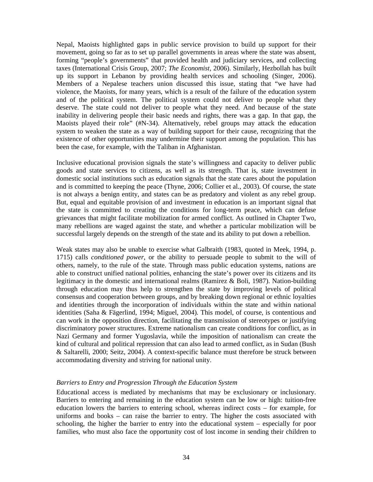Nepal, Maoists highlighted gaps in public service provision to build up support for their movement, going so far as to set up parallel governments in areas where the state was absent, forming "people's governments" that provided health and judiciary services, and collecting taxes (International Crisis Group, 2007; *The Economist,* 2006). Similarly, Hezbollah has built up its support in Lebanon by providing health services and schooling (Singer, 2006). Members of a Nepalese teachers union discussed this issue, stating that "we have had violence, the Maoists, for many years, which is a result of the failure of the education system and of the political system. The political system could not deliver to people what they deserve. The state could not deliver to people what they need. And because of the state inability in delivering people their basic needs and rights, there was a gap. In that gap, the Maoists played their role" (#N-34). Alternatively, rebel groups may attack the education system to weaken the state as a way of building support for their cause, recognizing that the existence of other opportunities may undermine their support among the population. This has been the case, for example, with the Taliban in Afghanistan.

Inclusive educational provision signals the state's willingness and capacity to deliver public goods and state services to citizens, as well as its strength. That is, state investment in domestic social institutions such as education signals that the state cares about the population and is committed to keeping the peace (Thyne, 2006; Collier et al., 2003). Of course, the state is not always a benign entity, and states can be as predatory and violent as any rebel group. But, equal and equitable provision of and investment in education is an important signal that the state is committed to creating the conditions for long-term peace, which can defuse grievances that might facilitate mobilization for armed conflict. As outlined in Chapter Two, many rebellions are waged against the state, and whether a particular mobilization will be successful largely depends on the strength of the state and its ability to put down a rebellion.

Weak states may also be unable to exercise what Galbraith (1983, quoted in Meek, 1994, p. 1715) calls *conditioned power*, or the ability to persuade people to submit to the will of others, namely, to the rule of the state. Through mass public education systems, nations are able to construct unified national polities, enhancing the state's power over its citizens and its legitimacy in the domestic and international realms (Ramirez & Boli, 1987). Nation-building through education may thus help to strengthen the state by improving levels of political consensus and cooperation between groups, and by breaking down regional or ethnic loyalties and identities through the incorporation of individuals within the state and within national identities (Saha & Fägerlind, 1994; Miguel, 2004). This model, of course, is contentious and can work in the opposition direction, facilitating the transmission of stereotypes or justifying discriminatory power structures. Extreme nationalism can create conditions for conflict, as in Nazi Germany and former Yugoslavia, while the imposition of nationalism can create the kind of cultural and political repression that can also lead to armed conflict, as in Sudan (Bush & Saltarelli, 2000; Seitz, 2004). A context-specific balance must therefore be struck between accommodating diversity and striving for national unity.

#### *Barriers to Entry and Progression Through the Education System*

Educational access is mediated by mechanisms that may be exclusionary or inclusionary. Barriers to entering and remaining in the education system can be low or high: tuition-free education lowers the barriers to entering school, whereas indirect costs – for example, for uniforms and books – can raise the barrier to entry. The higher the costs associated with schooling, the higher the barrier to entry into the educational system – especially for poor families, who must also face the opportunity cost of lost income in sending their children to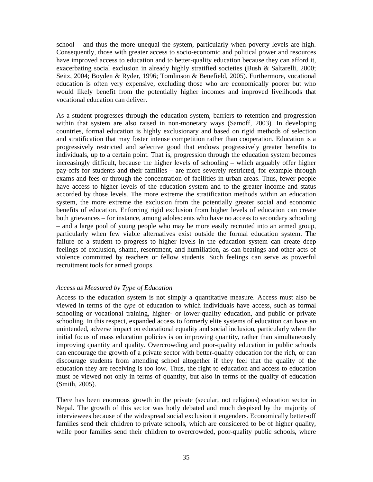school – and thus the more unequal the system, particularly when poverty levels are high. Consequently, those with greater access to socio-economic and political power and resources have improved access to education and to better-quality education because they can afford it, exacerbating social exclusion in already highly stratified societies (Bush & Saltarelli, 2000; Seitz, 2004; Boyden & Ryder, 1996; Tomlinson & Benefield, 2005). Furthermore, vocational education is often very expensive, excluding those who are economically poorer but who would likely benefit from the potentially higher incomes and improved livelihoods that vocational education can deliver.

As a student progresses through the education system, barriers to retention and progression within that system are also raised in non-monetary ways (Samoff, 2003). In developing countries, formal education is highly exclusionary and based on rigid methods of selection and stratification that may foster intense competition rather than cooperation. Education is a progressively restricted and selective good that endows progressively greater benefits to individuals, up to a certain point. That is, progression through the education system becomes increasingly difficult, because the higher levels of schooling – which arguably offer higher pay-offs for students and their families – are more severely restricted, for example through exams and fees or through the concentration of facilities in urban areas. Thus, fewer people have access to higher levels of the education system and to the greater income and status accorded by those levels. The more extreme the stratification methods within an education system, the more extreme the exclusion from the potentially greater social and economic benefits of education. Enforcing rigid exclusion from higher levels of education can create both grievances – for instance, among adolescents who have no access to secondary schooling – and a large pool of young people who may be more easily recruited into an armed group, particularly when few viable alternatives exist outside the formal education system. The failure of a student to progress to higher levels in the education system can create deep feelings of exclusion, shame, resentment, and humiliation, as can beatings and other acts of violence committed by teachers or fellow students. Such feelings can serve as powerful recruitment tools for armed groups.

#### *Access as Measured by Type of Education*

Access to the education system is not simply a quantitative measure. Access must also be viewed in terms of the *type* of education to which individuals have access, such as formal schooling or vocational training, higher- or lower-quality education, and public or private schooling. In this respect, expanded access to formerly elite systems of education can have an unintended, adverse impact on educational equality and social inclusion, particularly when the initial focus of mass education policies is on improving quantity, rather than simultaneously improving quantity and quality. Overcrowding and poor-quality education in public schools can encourage the growth of a private sector with better-quality education for the rich, or can discourage students from attending school altogether if they feel that the quality of the education they are receiving is too low. Thus, the right to education and access to education must be viewed not only in terms of quantity, but also in terms of the quality of education (Smith, 2005).

There has been enormous growth in the private (secular, not religious) education sector in Nepal. The growth of this sector was hotly debated and much despised by the majority of interviewees because of the widespread social exclusion it engenders. Economically better-off families send their children to private schools, which are considered to be of higher quality, while poor families send their children to overcrowded, poor-quality public schools, where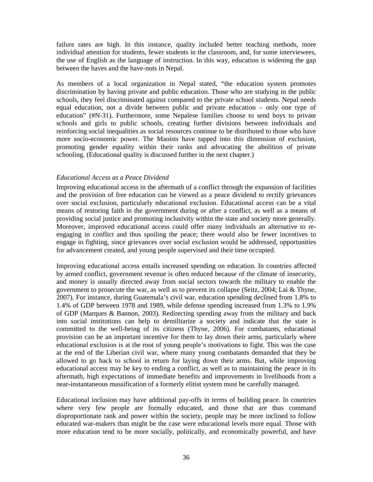failure rates are high. In this instance, quality included better teaching methods, more individual attention for students, fewer students in the classroom, and, for some interviewees, the use of English as the language of instruction. In this way, education is widening the gap between the haves and the have-nots in Nepal.

As members of a local organization in Nepal stated, "the education system promotes discrimination by having private and public education. Those who are studying in the public schools, they feel discriminated against compared to the private school students. Nepal needs equal education, not a divide between public and private education – only one type of education" (#N-31). Furthermore, some Nepalese families choose to send boys to private schools and girls to public schools, creating further divisions between individuals and reinforcing social inequalities as social resources continue to be distributed to those who have more socio-economic power. The Maoists have tapped into this dimension of exclusion, promoting gender equality within their ranks and advocating the abolition of private schooling. (Educational quality is discussed further in the next chapter.)

#### *Educational Access as a Peace Dividend*

Improving educational access in the aftermath of a conflict through the expansion of facilities and the provision of free education can be viewed as a peace dividend to rectify grievances over social exclusion, particularly educational exclusion. Educational access can be a vital means of restoring faith in the government during or after a conflict, as well as a means of providing social justice and promoting inclusivity within the state and society more generally. Moreover, improved educational access could offer many individuals an alternative to reengaging in conflict and thus spoiling the peace; there would also be fewer incentives to engage in fighting, since grievances over social exclusion would be addressed, opportunities for advancement created, and young people supervised and their time occupied.

Improving educational access entails increased spending on education. In countries affected by armed conflict, government revenue is often reduced because of the climate of insecurity, and money is usually directed away from social sectors towards the military to enable the government to prosecute the war, as well as to prevent its collapse (Seitz, 2004; Lai & Thyne, 2007). For instance, during Guatemala's civil war, education spending declined from 1.8% to 1.4% of GDP between 1978 and 1989, while defense spending increased from 1.3% to 1.9% of GDP (Marques & Bannon, 2003). Redirecting spending away from the military and back into social institutions can help to demilitarize a society and indicate that the state is committed to the well-being of its citizens (Thyne, 2006). For combatants, educational provision can be an important incentive for them to lay down their arms, particularly where educational exclusion is at the root of young people's motivations to fight. This was the case at the end of the Liberian civil war, where many young combatants demanded that they be allowed to go back to school in return for laying down their arms. But, while improving educational access may be key to ending a conflict, as well as to maintaining the peace in its aftermath, high expectations of immediate benefits and improvements in livelihoods from a near-instantaneous massification of a formerly elitist system must be carefully managed.

Educational inclusion may have additional pay-offs in terms of building peace. In countries where very few people are formally educated, and those that are thus command disproportionate rank and power within the society, people may be more inclined to follow educated war-makers than might be the case were educational levels more equal. Those with more education tend to be more socially, politically, and economically powerful, and have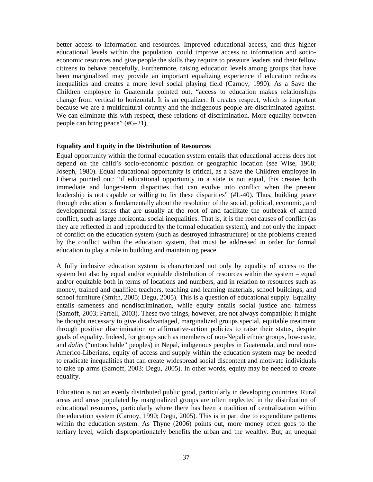better access to information and resources. Improved educational access, and thus higher educational levels within the population, could improve access to information and socioeconomic resources and give people the skills they require to pressure leaders and their fellow citizens to behave peacefully. Furthermore, raising education levels among groups that have been marginalized may provide an important equalizing experience if education reduces inequalities and creates a more level social playing field (Carnoy, 1990). As a Save the Children employee in Guatemala pointed out, "access to education makes relationships change from vertical to horizontal. It is an equalizer. It creates respect, which is important because we are a multicultural country and the indigenous people are discriminated against. We can eliminate this with respect, these relations of discrimination. More equality between people can bring peace" (#G-21).

### **Equality and Equity in the Distribution of Resources**

Equal opportunity within the formal education system entails that educational access does not depend on the child's socio-economic position or geographic location (see Wise, 1968; Joseph, 1980). Equal educational opportunity is critical, as a Save the Children employee in Liberia pointed out: "if educational opportunity in a state is not equal, this creates both immediate and longer-term disparities that can evolve into conflict when the present leadership is not capable or willing to fix these disparities" (#L-40). Thus, building peace through education is fundamentally about the resolution of the social, political, economic, and developmental issues that are usually at the root of and facilitate the outbreak of armed conflict, such as large horizontal social inequalities. That is, it is the root causes of conflict (as they are reflected in and reproduced by the formal education system), and not only the impact of conflict on the education system (such as destroyed infrastructure) or the problems created by the conflict within the education system, that must be addressed in order for formal education to play a role in building and maintaining peace.

A fully inclusive education system is characterized not only by equality of access to the system but also by equal and/or equitable distribution of resources within the system – equal and/or equitable both in terms of locations and numbers, and in relation to resources such as money, trained and qualified teachers, teaching and learning materials, school buildings, and school furniture (Smith, 2005; Degu, 2005). This is a question of educational supply. Equality entails sameness and nondiscrimination, while equity entails social justice and fairness (Samoff, 2003; Farrell, 2003). These two things, however, are not always compatible: it might be thought necessary to give disadvantaged, marginalized groups special, equitable treatment through positive discrimination or affirmative-action policies to raise their status, despite goals of equality. Indeed, for groups such as members of non-Nepali ethnic groups, low-caste, and *dalits* ("untouchable" peoples) in Nepal, indigenous peoples in Guatemala, and rural non-Americo-Liberians, equity of access and supply within the education system may be needed to eradicate inequalities that can create widespread social discontent and motivate individuals to take up arms (Samoff, 2003: Degu, 2005). In other words, equity may be needed to create equality.

Education is not an evenly distributed public good, particularly in developing countries. Rural areas and areas populated by marginalized groups are often neglected in the distribution of educational resources, particularly where there has been a tradition of centralization within the education system (Carnoy, 1990; Degu, 2005). This is in part due to expenditure patterns within the education system. As Thyne (2006) points out, more money often goes to the tertiary level, which disproportionately benefits the urban and the wealthy. But, an unequal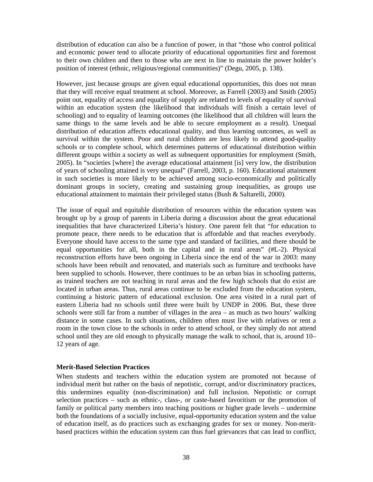distribution of education can also be a function of power, in that "those who control political and economic power tend to allocate priority of educational opportunities first and foremost to their own children and then to those who are next in line to maintain the power holder's position of interest (ethnic, religious/regional communities)" (Degu, 2005, p. 138).

However, just because groups are given equal educational opportunities, this does not mean that they will receive equal treatment at school. Moreover, as Farrell (2003) and Smith (2005) point out, equality of access and equality of supply are related to levels of equality of survival within an education system (the likelihood that individuals will finish a certain level of schooling) and to equality of learning outcomes (the likelihood that all children will learn the same things to the same levels and be able to secure employment as a result). Unequal distribution of education affects educational quality, and thus learning outcomes, as well as survival within the system. Poor and rural children are less likely to attend good-quality schools or to complete school, which determines patterns of educational distribution within different groups within a society as well as subsequent opportunities for employment (Smith, 2005). In "societies [where] the average educational attainment [is] very low, the distribution of years of schooling attained is very unequal" (Farrell, 2003, p. 160). Educational attainment in such societies is more likely to be achieved among socio-economically and politically dominant groups in society, creating and sustaining group inequalities, as groups use educational attainment to maintain their privileged status (Bush & Saltarelli, 2000).

The issue of equal and equitable distribution of resources within the education system was brought up by a group of parents in Liberia during a discussion about the great educational inequalities that have characterized Liberia's history. One parent felt that "for education to promote peace, there needs to be education that is affordable and that reaches everybody. Everyone should have access to the same type and standard of facilities, and there should be equal opportunities for all, both in the capital and in rural areas" (#L-2). Physical reconstruction efforts have been ongoing in Liberia since the end of the war in 2003: many schools have been rebuilt and renovated, and materials such as furniture and textbooks have been supplied to schools. However, there continues to be an urban bias in schooling patterns, as trained teachers are not teaching in rural areas and the few high schools that do exist are located in urban areas. Thus, rural areas continue to be excluded from the education system, continuing a historic pattern of educational exclusion. One area visited in a rural part of eastern Liberia had no schools until three were built by UNDP in 2006. But, these three schools were still far from a number of villages in the area – as much as two hours' walking distance in some cases. In such situations, children often must live with relatives or rent a room in the town close to the schools in order to attend school, or they simply do not attend school until they are old enough to physically manage the walk to school, that is, around 10– 12 years of age.

### **Merit-Based Selection Practices**

When students and teachers within the education system are promoted not because of individual merit but rather on the basis of nepotistic, corrupt, and/or discriminatory practices, this undermines equality (non-discrimination) and full inclusion. Nepotistic or corrupt selection practices – such as ethnic-, class-, or caste-based favoritism or the promotion of family or political party members into teaching positions or higher grade levels – undermine both the foundations of a socially inclusive, equal-opportunity education system and the value of education itself, as do practices such as exchanging grades for sex or money. Non-meritbased practices within the education system can thus fuel grievances that can lead to conflict,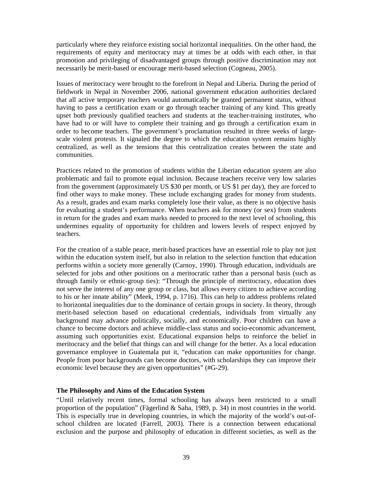particularly where they reinforce existing social horizontal inequalities. On the other hand, the requirements of equity and meritocracy may at times be at odds with each other, in that promotion and privileging of disadvantaged groups through positive discrimination may not necessarily be merit-based or encourage merit-based selection (Cogneau, 2005).

Issues of meritocracy were brought to the forefront in Nepal and Liberia. During the period of fieldwork in Nepal in November 2006, national government education authorities declared that all active temporary teachers would automatically be granted permanent status, without having to pass a certification exam or go through teacher training of any kind. This greatly upset both previously qualified teachers and students at the teacher-training institutes, who have had to or will have to complete their training and go through a certification exam in order to become teachers. The government's proclamation resulted in three weeks of largescale violent protests. It signaled the degree to which the education system remains highly centralized, as well as the tensions that this centralization creates between the state and communities.

Practices related to the promotion of students within the Liberian education system are also problematic and fail to promote equal inclusion. Because teachers receive very low salaries from the government (approximately US \$30 per month, or US \$1 per day), they are forced to find other ways to make money. These include exchanging grades for money from students. As a result, grades and exam marks completely lose their value, as there is no objective basis for evaluating a student's performance. When teachers ask for money (or sex) from students in return for the grades and exam marks needed to proceed to the next level of schooling, this undermines equality of opportunity for children and lowers levels of respect enjoyed by teachers.

For the creation of a stable peace, merit-based practices have an essential role to play not just within the education system itself, but also in relation to the selection function that education performs within a society more generally (Carnoy, 1990). Through education, individuals are selected for jobs and other positions on a meritocratic rather than a personal basis (such as through family or ethnic-group ties): "Through the principle of meritocracy, education does not serve the interest of any one group or class, but allows every citizen to achieve according to his or her innate ability" (Meek, 1994, p. 1716). This can help to address problems related to horizontal inequalities due to the dominance of certain groups in society. In theory, through merit-based selection based on educational credentials, individuals from virtually any background may advance politically, socially, and economically. Poor children can have a chance to become doctors and achieve middle-class status and socio-economic advancement, assuming such opportunities exist. Educational expansion helps to reinforce the belief in meritocracy and the belief that things can and will change for the better. As a local education governance employee in Guatemala put it, "education can make opportunities for change. People from poor backgrounds can become doctors, with scholarships they can improve their economic level because they are given opportunities" (#G-29).

### **The Philosophy and Aims of the Education System**

"Until relatively recent times, formal schooling has always been restricted to a small proportion of the population" (Fägerlind & Saha, 1989, p. 34) in most countries in the world. This is especially true in developing countries, in which the majority of the world's out-ofschool children are located (Farrell, 2003). There is a connection between educational exclusion and the purpose and philosophy of education in different societies, as well as the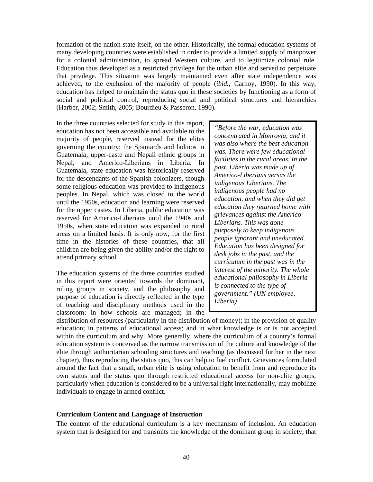formation of the nation-state itself, on the other. Historically, the formal education systems of many developing countries were established in order to provide a limited supply of manpower for a colonial administration, to spread Western culture, and to legitimize colonial rule. Education thus developed as a restricted privilege for the urban elite and served to perpetuate that privilege. This situation was largely maintained even after state independence was achieved, to the exclusion of the majority of people (*ibid.;* Carnoy, 1990). In this way, education has helped to maintain the status quo in these societies by functioning as a form of social and political control, reproducing social and political structures and hierarchies (Harber, 2002; Smith, 2005; Bourdieu & Passeron, 1990).

In the three countries selected for study in this report, education has not been accessible and available to the majority of people, reserved instead for the elites governing the country: the Spaniards and ladinos in Guatemala; upper-caste and Nepali ethnic groups in Nepal; and Americo-Liberians in Liberia. In Guatemala, state education was historically reserved for the descendants of the Spanish colonizers, though some religious education was provided to indigenous peoples. In Nepal, which was closed to the world until the 1950s, education and learning were reserved for the upper castes. In Liberia, public education was reserved for Americo-Liberians until the 1940s and 1950s, when state education was expanded to rural areas on a limited basis. It is only now, for the first time in the histories of these countries, that all children are being given the ability and/or the right to attend primary school.

The education systems of the three countries studied in this report were oriented towards the dominant, ruling groups in society, and the philosophy and purpose of education is directly reflected in the type of teaching and disciplinary methods used in the classroom; in how schools are managed; in the

*"Before the war, education was concentrated in Monrovia, and it was also where the best education was. There were few educational facilities in the rural areas. In the past, Liberia was made up of Americo-Liberians versus the indigenous Liberians. The indigenous people had no education, and when they did get education they returned home with grievances against the Americo-Liberians. This was done purposely to keep indigenous people ignorant and uneducated. Education has been designed for desk jobs in the past, and the curriculum in the past was in the interest of the minority. The whole educational philosophy in Liberia is connected to the type of government." (UN employee, Liberia)* 

distribution of resources (particularly in the distribution of money); in the provision of quality education; in patterns of educational access; and in what knowledge is or is not accepted within the curriculum and why. More generally, where the curriculum of a country's formal education system is conceived as the narrow transmission of the culture and knowledge of the elite through authoritarian schooling structures and teaching (as discussed further in the next chapter), thus reproducing the status quo, this can help to fuel conflict. Grievances formulated around the fact that a small, urban elite is using education to benefit from and reproduce its own status and the status quo through restricted educational access for non-elite groups, particularly when education is considered to be a universal right internationally, may mobilize individuals to engage in armed conflict.

#### **Curriculum Content and Language of Instruction**

The content of the educational curriculum is a key mechanism of inclusion. An education system that is designed for and transmits the knowledge of the dominant group in society; that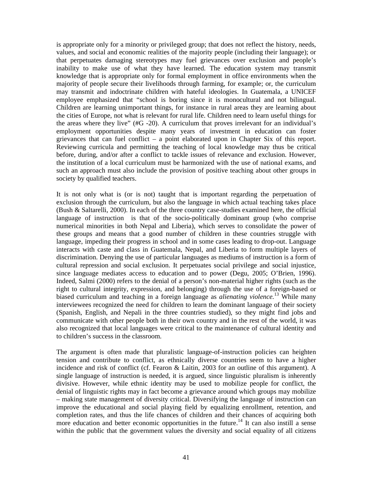is appropriate only for a minority or privileged group; that does not reflect the history, needs, values, and social and economic realities of the majority people (including their language); or that perpetuates damaging stereotypes may fuel grievances over exclusion and people's inability to make use of what they have learned. The education system may transmit knowledge that is appropriate only for formal employment in office environments when the majority of people secure their livelihoods through farming, for example; or, the curriculum may transmit and indoctrinate children with hateful ideologies. In Guatemala, a UNICEF employee emphasized that "school is boring since it is monocultural and not bilingual. Children are learning unimportant things, for instance in rural areas they are learning about the cities of Europe, not what is relevant for rural life. Children need to learn useful things for the areas where they live" (#G -20). A curriculum that proves irrelevant for an individual's employment opportunities despite many years of investment in education can foster grievances that can fuel conflict – a point elaborated upon in Chapter Six of this report. Reviewing curricula and permitting the teaching of local knowledge may thus be critical before, during, and/or after a conflict to tackle issues of relevance and exclusion. However, the institution of a local curriculum must be harmonized with the use of national exams, and such an approach must also include the provision of positive teaching about other groups in society by qualified teachers.

It is not only what is (or is not) taught that is important regarding the perpetuation of exclusion through the curriculum, but also the language in which actual teaching takes place (Bush & Saltarelli, 2000). In each of the three country case-studies examined here, the official language of instruction is that of the socio-politically dominant group (who comprise numerical minorities in both Nepal and Liberia), which serves to consolidate the power of these groups and means that a good number of children in these countries struggle with language, impeding their progress in school and in some cases leading to drop-out. Language interacts with caste and class in Guatemala, Nepal, and Liberia to form multiple layers of discrimination. Denying the use of particular languages as mediums of instruction is a form of cultural repression and social exclusion. It perpetuates social privilege and social injustice, since language mediates access to education and to power (Degu, 2005; O'Brien, 1996). Indeed, Salmi (2000) refers to the denial of a person's non-material higher rights (such as the right to cultural integrity, expression, and belonging) through the use of a foreign-based or biased curriculum and teaching in a foreign language as *alienating violence.*<sup>13</sup> While many interviewees recognized the need for children to learn the dominant language of their society (Spanish, English, and Nepali in the three countries studied), so they might find jobs and communicate with other people both in their own country and in the rest of the world, it was also recognized that local languages were critical to the maintenance of cultural identity and to children's success in the classroom.

The argument is often made that pluralistic language-of-instruction policies can heighten tension and contribute to conflict, as ethnically diverse countries seem to have a higher incidence and risk of conflict (cf. Fearon & Laitin, 2003 for an outline of this argument). A single language of instruction is needed, it is argued, since linguistic pluralism is inherently divisive. However, while ethnic identity may be used to mobilize people for conflict, the denial of linguistic rights may in fact become a grievance around which groups may mobilize – making state management of diversity critical. Diversifying the language of instruction can improve the educational and social playing field by equalizing enrollment, retention, and completion rates, and thus the life chances of children and their chances of acquiring both more education and better economic opportunities in the future.<sup>14</sup> It can also instill a sense within the public that the government values the diversity and social equality of all citizens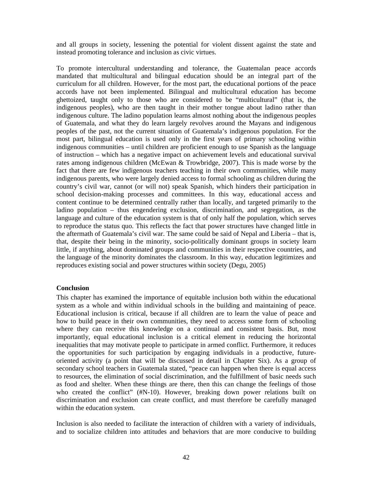and all groups in society, lessening the potential for violent dissent against the state and instead promoting tolerance and inclusion as civic virtues.

To promote intercultural understanding and tolerance, the Guatemalan peace accords mandated that multicultural and bilingual education should be an integral part of the curriculum for all children. However, for the most part, the educational portions of the peace accords have not been implemented. Bilingual and multicultural education has become ghettoized, taught only to those who are considered to be "multicultural" (that is, the indigenous peoples), who are then taught in their mother tongue about ladino rather than indigenous culture. The ladino population learns almost nothing about the indigenous peoples of Guatemala, and what they do learn largely revolves around the Mayans and indigenous peoples of the past, not the current situation of Guatemala's indigenous population. For the most part, bilingual education is used only in the first years of primary schooling within indigenous communities – until children are proficient enough to use Spanish as the language of instruction – which has a negative impact on achievement levels and educational survival rates among indigenous children (McEwan & Trowbridge, 2007). This is made worse by the fact that there are few indigenous teachers teaching in their own communities, while many indigenous parents, who were largely denied access to formal schooling as children during the country's civil war, cannot (or will not) speak Spanish, which hinders their participation in school decision-making processes and committees. In this way, educational access and content continue to be determined centrally rather than locally, and targeted primarily to the ladino population – thus engendering exclusion, discrimination, and segregation, as the language and culture of the education system is that of only half the population, which serves to reproduce the status quo. This reflects the fact that power structures have changed little in the aftermath of Guatemala's civil war. The same could be said of Nepal and Liberia – that is, that, despite their being in the minority, socio-politically dominant groups in society learn little, if anything, about dominated groups and communities in their respective countries, and the language of the minority dominates the classroom. In this way, education legitimizes and reproduces existing social and power structures within society (Degu, 2005)

### **Conclusion**

This chapter has examined the importance of equitable inclusion both within the educational system as a whole and within individual schools in the building and maintaining of peace. Educational inclusion is critical, because if all children are to learn the value of peace and how to build peace in their own communities, they need to access some form of schooling where they can receive this knowledge on a continual and consistent basis. But, most importantly, equal educational inclusion is a critical element in reducing the horizontal inequalities that may motivate people to participate in armed conflict. Furthermore, it reduces the opportunities for such participation by engaging individuals in a productive, futureoriented activity (a point that will be discussed in detail in Chapter Six). As a group of secondary school teachers in Guatemala stated, "peace can happen when there is equal access to resources, the elimination of social discrimination, and the fulfillment of basic needs such as food and shelter. When these things are there, then this can change the feelings of those who created the conflict" (#N-10). However, breaking down power relations built on discrimination and exclusion can create conflict, and must therefore be carefully managed within the education system.

Inclusion is also needed to facilitate the interaction of children with a variety of individuals, and to socialize children into attitudes and behaviors that are more conducive to building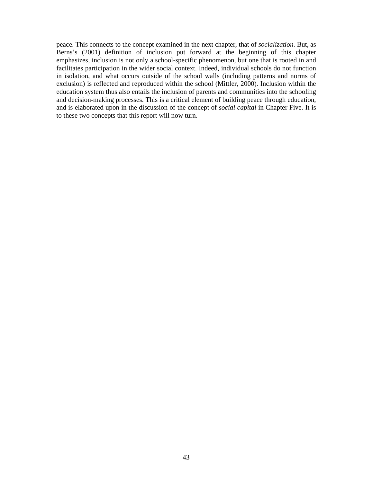peace. This connects to the concept examined in the next chapter, that of *socialization*. But, as Berns's (2001) definition of inclusion put forward at the beginning of this chapter emphasizes, inclusion is not only a school-specific phenomenon, but one that is rooted in and facilitates participation in the wider social context. Indeed, individual schools do not function in isolation, and what occurs outside of the school walls (including patterns and norms of exclusion) is reflected and reproduced within the school (Mittler, 2000). Inclusion within the education system thus also entails the inclusion of parents and communities into the schooling and decision-making processes. This is a critical element of building peace through education, and is elaborated upon in the discussion of the concept of *social capital* in Chapter Five. It is to these two concepts that this report will now turn.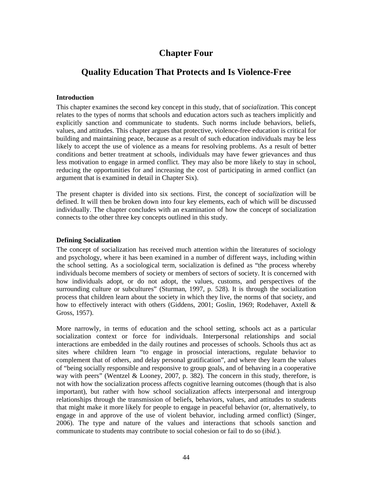# **Chapter Four**

# **Quality Education That Protects and Is Violence-Free**

### **Introduction**

This chapter examines the second key concept in this study, that of *socialization*. This concept relates to the types of norms that schools and education actors such as teachers implicitly and explicitly sanction and communicate to students. Such norms include behaviors, beliefs, values, and attitudes. This chapter argues that protective, violence-free education is critical for building and maintaining peace, because as a result of such education individuals may be less likely to accept the use of violence as a means for resolving problems. As a result of better conditions and better treatment at schools, individuals may have fewer grievances and thus less motivation to engage in armed conflict. They may also be more likely to stay in school, reducing the opportunities for and increasing the cost of participating in armed conflict (an argument that is examined in detail in Chapter Six).

The present chapter is divided into six sections. First, the concept of *socialization* will be defined. It will then be broken down into four key elements, each of which will be discussed individually. The chapter concludes with an examination of how the concept of socialization connects to the other three key concepts outlined in this study.

#### **Defining Socialization**

The concept of socialization has received much attention within the literatures of sociology and psychology, where it has been examined in a number of different ways, including within the school setting. As a sociological term, socialization is defined as "the process whereby individuals become members of society or members of sectors of society. It is concerned with how individuals adopt, or do not adopt, the values, customs, and perspectives of the surrounding culture or subcultures" (Sturman, 1997, p. 528). It is through the socialization process that children learn about the society in which they live, the norms of that society, and how to effectively interact with others (Giddens, 2001; Goslin, 1969; Rodehaver, Axtell & Gross, 1957).

More narrowly, in terms of education and the school setting, schools act as a particular socialization context or force for individuals. Interpersonal relationships and social interactions are embedded in the daily routines and processes of schools. Schools thus act as sites where children learn "to engage in prosocial interactions, regulate behavior to complement that of others, and delay personal gratification", and where they learn the values of "being socially responsible and responsive to group goals, and of behaving in a cooperative way with peers" (Wentzel & Looney, 2007, p. 382). The concern in this study, therefore, is not with how the socialization process affects cognitive learning outcomes (though that is also important), but rather with how school socialization affects interpersonal and intergroup relationships through the transmission of beliefs, behaviors, values, and attitudes to students that might make it more likely for people to engage in peaceful behavior (or, alternatively, to engage in and approve of the use of violent behavior, including armed conflict) (Singer, 2006). The type and nature of the values and interactions that schools sanction and communicate to students may contribute to social cohesion or fail to do so (*ibid.*).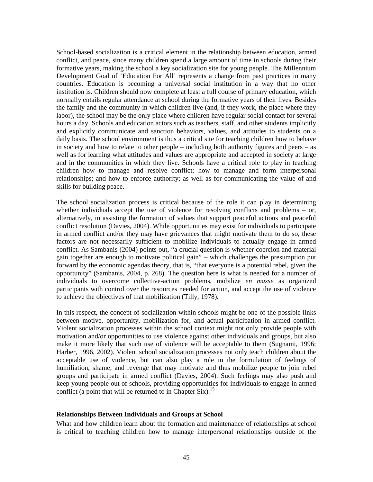School-based socialization is a critical element in the relationship between education, armed conflict, and peace, since many children spend a large amount of time in schools during their formative years, making the school a key socialization site for young people. The Millennium Development Goal of 'Education For All' represents a change from past practices in many countries. Education is becoming a universal social institution in a way that no other institution is. Children should now complete at least a full course of primary education, which normally entails regular attendance at school during the formative years of their lives. Besides the family and the community in which children live (and, if they work, the place where they labor), the school may be the only place where children have regular social contact for several hours a day. Schools and education actors such as teachers, staff, and other students implicitly and explicitly communicate and sanction behaviors, values, and attitudes to students on a daily basis. The school environment is thus a critical site for teaching children how to behave in society and how to relate to other people – including both authority figures and peers – as well as for learning what attitudes and values are appropriate and accepted in society at large and in the communities in which they live. Schools have a critical role to play in teaching children how to manage and resolve conflict; how to manage and form interpersonal relationships; and how to enforce authority; as well as for communicating the value of and skills for building peace.

The school socialization process is critical because of the role it can play in determining whether individuals accept the use of violence for resolving conflicts and problems – or, alternatively, in assisting the formation of values that support peaceful actions and peaceful conflict resolution (Davies, 2004). While opportunities may exist for individuals to participate in armed conflict and/or they may have grievances that might motivate them to do so, these factors are not necessarily sufficient to mobilize individuals to actually engage in armed conflict. As Sambanis (2004) points out, "a crucial question is whether coercion and material gain together are enough to motivate political gain" – which challenges the presumption put forward by the economic agendas theory, that is, "that everyone is a potential rebel, given the opportunity" (Sambanis, 2004, p. 268). The question here is what is needed for a number of individuals to overcome collective-action problems, mobilize *en masse* as organized participants with control over the resources needed for action, and accept the use of violence to achieve the objectives of that mobilization (Tilly, 1978).

In this respect, the concept of socialization within schools might be one of the possible links between motive, opportunity, mobilization for, and actual participation in armed conflict. Violent socialization processes within the school context might not only provide people with motivation and/or opportunities to use violence against other individuals and groups, but also make it more likely that such use of violence will be acceptable to them (Sugnami, 1996; Harber, 1996, 2002). Violent school socialization processes not only teach children about the acceptable use of violence, but can also play a role in the formulation of feelings of humiliation, shame, and revenge that may motivate and thus mobilize people to join rebel groups and participate in armed conflict (Davies, 2004). Such feelings may also push and keep young people out of schools, providing opportunities for individuals to engage in armed conflict (a point that will be returned to in Chapter Six).<sup>15</sup>

### **Relationships Between Individuals and Groups at School**

What and how children learn about the formation and maintenance of relationships at school is critical to teaching children how to manage interpersonal relationships outside of the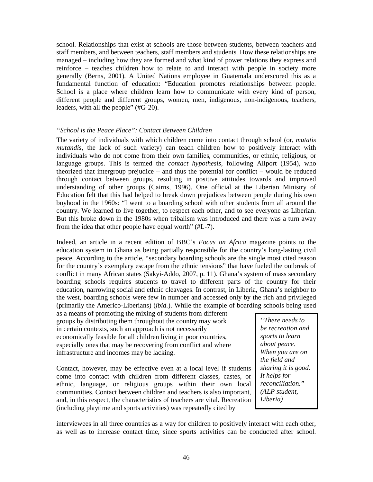school. Relationships that exist at schools are those between students, between teachers and staff members, and between teachers, staff members and students. How these relationships are managed – including how they are formed and what kind of power relations they express and reinforce – teaches children how to relate to and interact with people in society more generally (Berns, 2001). A United Nations employee in Guatemala underscored this as a fundamental function of education: "Education promotes relationships between people. School is a place where children learn how to communicate with every kind of person, different people and different groups, women, men, indigenous, non-indigenous, teachers, leaders, with all the people" (#G-20).

### *"School is the Peace Place": Contact Between Children*

The variety of individuals with which children come into contact through school (or, *mutatis mutandis,* the lack of such variety) can teach children how to positively interact with individuals who do not come from their own families, communities, or ethnic, religious, or language groups. This is termed the *contact hypothesis*, following Allport (1954), who theorized that intergroup prejudice – and thus the potential for conflict – would be reduced through contact between groups, resulting in positive attitudes towards and improved understanding of other groups (Cairns, 1996). One official at the Liberian Ministry of Education felt that this had helped to break down prejudices between people during his own boyhood in the 1960s: "I went to a boarding school with other students from all around the country. We learned to live together, to respect each other, and to see everyone as Liberian. But this broke down in the 1980s when tribalism was introduced and there was a turn away from the idea that other people have equal worth" (#L-7).

Indeed, an article in a recent edition of BBC's *Focus on Africa* magazine points to the education system in Ghana as being partially responsible for the country's long-lasting civil peace. According to the article, "secondary boarding schools are the single most cited reason for the country's exemplary escape from the ethnic tensions" that have fueled the outbreak of conflict in many African states (Sakyi-Addo, 2007, p. 11). Ghana's system of mass secondary boarding schools requires students to travel to different parts of the country for their education, narrowing social and ethnic cleavages. In contrast, in Liberia, Ghana's neighbor to the west, boarding schools were few in number and accessed only by the rich and privileged (primarily the Americo-Liberians) (*ibid.*). While the example of boarding schools being used

as a means of promoting the mixing of students from different groups by distributing them throughout the country may work in certain contexts, such an approach is not necessarily economically feasible for all children living in poor countries, especially ones that may be recovering from conflict and where infrastructure and incomes may be lacking.

Contact, however, may be effective even at a local level if students come into contact with children from different classes, castes, or ethnic, language, or religious groups within their own local communities. Contact between children and teachers is also important, and, in this respect, the characteristics of teachers are vital. Recreation (including playtime and sports activities) was repeatedly cited by

*"There needs to be recreation and sports to learn about peace. When you are on the field and sharing it is good. It helps for reconciliation." (ALP student, Liberia)* 

interviewees in all three countries as a way for children to positively interact with each other, as well as to increase contact time, since sports activities can be conducted after school.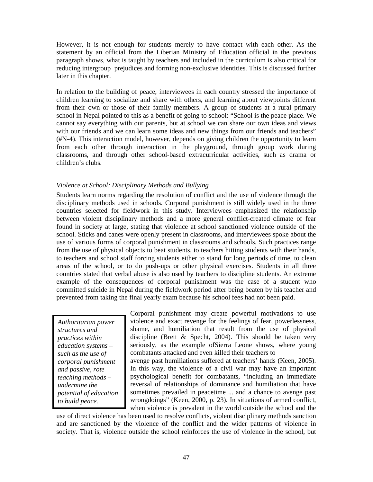However, it is not enough for students merely to have contact with each other. As the statement by an official from the Liberian Ministry of Education official in the previous paragraph shows, what is taught by teachers and included in the curriculum is also critical for reducing intergroup prejudices and forming non-exclusive identities. This is discussed further later in this chapter.

In relation to the building of peace, interviewees in each country stressed the importance of children learning to socialize and share with others, and learning about viewpoints different from their own or those of their family members. A group of students at a rural primary school in Nepal pointed to this as a benefit of going to school: "School is the peace place. We cannot say everything with our parents, but at school we can share our own ideas and views with our friends and we can learn some ideas and new things from our friends and teachers" (#N-4). This interaction model, however, depends on giving children the opportunity to learn from each other through interaction in the playground, through group work during classrooms, and through other school-based extracurricular activities, such as drama or children's clubs.

### *Violence at School: Disciplinary Methods and Bullying*

Students learn norms regarding the resolution of conflict and the use of violence through the disciplinary methods used in schools. Corporal punishment is still widely used in the three countries selected for fieldwork in this study. Interviewees emphasized the relationship between violent disciplinary methods and a more general conflict-created climate of fear found in society at large, stating that violence at school sanctioned violence outside of the school. Sticks and canes were openly present in classrooms, and interviewees spoke about the use of various forms of corporal punishment in classrooms and schools. Such practices range from the use of physical objects to beat students, to teachers hitting students with their hands, to teachers and school staff forcing students either to stand for long periods of time, to clean areas of the school, or to do push-ups or other physical exercises. Students in all three countries stated that verbal abuse is also used by teachers to discipline students. An extreme example of the consequences of corporal punishment was the case of a student who committed suicide in Nepal during the fieldwork period after being beaten by his teacher and prevented from taking the final yearly exam because his school fees had not been paid.

*Authoritarian power structures and practices within education systems – such as the use of corporal punishment and passive, rote teaching methods – undermine the potential of education to build peace.* 

Corporal punishment may create powerful motivations to use violence and exact revenge for the feelings of fear, powerlessness, shame, and humiliation that result from the use of physical discipline (Brett & Specht, 2004). This should be taken very seriously, as the example ofSierra Leone shows, where young combatants attacked and even killed their teachers to avenge past humiliations suffered at teachers' hands (Keen, 2005). In this way, the violence of a civil war may have an important psychological benefit for combatants, "including an immediate reversal of relationships of dominance and humiliation that have

sometimes prevailed in peacetime ... and a chance to avenge past wrongdoings" (Keen, 2000, p. 23). In situations of armed conflict, when violence is prevalent in the world outside the school and the

use of direct violence has been used to resolve conflicts, violent disciplinary methods sanction and are sanctioned by the violence of the conflict and the wider patterns of violence in society. That is, violence outside the school reinforces the use of violence in the school, but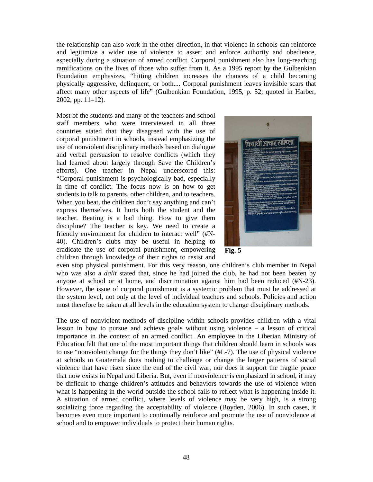the relationship can also work in the other direction, in that violence in schools can reinforce and legitimize a wider use of violence to assert and enforce authority and obedience, especially during a situation of armed conflict. Corporal punishment also has long-reaching ramifications on the lives of those who suffer from it. As a 1995 report by the Gulbenkian Foundation emphasizes, "hitting children increases the chances of a child becoming physically aggressive, delinquent, or both.... Corporal punishment leaves invisible scars that affect many other aspects of life" (Gulbenkian Foundation, 1995, p. 52; quoted in Harber, 2002, pp. 11–12).

Most of the students and many of the teachers and school staff members who were interviewed in all three countries stated that they disagreed with the use of corporal punishment in schools, instead emphasizing the use of nonviolent disciplinary methods based on dialogue and verbal persuasion to resolve conflicts (which they had learned about largely through Save the Children's efforts). One teacher in Nepal underscored this: "Corporal punishment is psychologically bad, especially in time of conflict. The focus now is on how to get students to talk to parents, other children, and to teachers. When you beat, the children don't say anything and can't express themselves. It hurts both the student and the teacher. Beating is a bad thing. How to give them discipline? The teacher is key. We need to create a friendly environment for children to interact well" (#N-40). Children's clubs may be useful in helping to eradicate the use of corporal punishment, empowering children through knowledge of their rights to resist and



**Fig. 5** 

even stop physical punishment. For this very reason, one children's club member in Nepal who was also a *dalit* stated that, since he had joined the club, he had not been beaten by anyone at school or at home, and discrimination against him had been reduced (#N-23). However, the issue of corporal punishment is a systemic problem that must be addressed at the system level, not only at the level of individual teachers and schools. Policies and action must therefore be taken at all levels in the education system to change disciplinary methods.

The use of nonviolent methods of discipline within schools provides children with a vital lesson in how to pursue and achieve goals without using violence – a lesson of critical importance in the context of an armed conflict. An employee in the Liberian Ministry of Education felt that one of the most important things that children should learn in schools was to use "nonviolent change for the things they don't like" (#L-7). The use of physical violence at schools in Guatemala does nothing to challenge or change the larger patterns of social violence that have risen since the end of the civil war, nor does it support the fragile peace that now exists in Nepal and Liberia. But, even if nonviolence is emphasized in school, it may be difficult to change children's attitudes and behaviors towards the use of violence when what is happening in the world outside the school fails to reflect what is happening inside it. A situation of armed conflict, where levels of violence may be very high, is a strong socializing force regarding the acceptability of violence (Boyden, 2006). In such cases, it becomes even more important to continually reinforce and promote the use of nonviolence at school and to empower individuals to protect their human rights.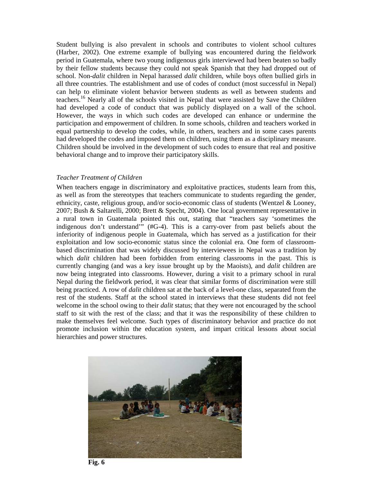Student bullying is also prevalent in schools and contributes to violent school cultures (Harber, 2002). One extreme example of bullying was encountered during the fieldwork period in Guatemala, where two young indigenous girls interviewed had been beaten so badly by their fellow students because they could not speak Spanish that they had dropped out of school. Non-*dalit* children in Nepal harassed *dalit* children, while boys often bullied girls in all three countries. The establishment and use of codes of conduct (most successful in Nepal) can help to eliminate violent behavior between students as well as between students and teachers.<sup>16</sup> Nearly all of the schools visited in Nepal that were assisted by Save the Children had developed a code of conduct that was publicly displayed on a wall of the school. However, the ways in which such codes are developed can enhance or undermine the participation and empowerment of children. In some schools, children and teachers worked in equal partnership to develop the codes, while, in others, teachers and in some cases parents had developed the codes and imposed them on children, using them as a disciplinary measure. Children should be involved in the development of such codes to ensure that real and positive behavioral change and to improve their participatory skills.

### *Teacher Treatment of Children*

When teachers engage in discriminatory and exploitative practices, students learn from this, as well as from the stereotypes that teachers communicate to students regarding the gender, ethnicity, caste, religious group, and/or socio-economic class of students (Wentzel & Looney, 2007; Bush & Saltarelli, 2000; Brett & Specht, 2004). One local government representative in a rural town in Guatemala pointed this out, stating that "teachers say 'sometimes the indigenous don't understand'" (#G-4). This is a carry-over from past beliefs about the inferiority of indigenous people in Guatemala, which has served as a justification for their exploitation and low socio-economic status since the colonial era. One form of classroombased discrimination that was widely discussed by interviewees in Nepal was a tradition by which *dalit* children had been forbidden from entering classrooms in the past. This is currently changing (and was a key issue brought up by the Maoists), and *dalit* children are now being integrated into classrooms. However, during a visit to a primary school in rural Nepal during the fieldwork period, it was clear that similar forms of discrimination were still being practiced. A row of *dalit* children sat at the back of a level-one class, separated from the rest of the students. Staff at the school stated in interviews that these students did not feel welcome in the school owing to their *dalit* status; that they were not encouraged by the school staff to sit with the rest of the class; and that it was the responsibility of these children to make themselves feel welcome. Such types of discriminatory behavior and practice do not promote inclusion within the education system, and impart critical lessons about social hierarchies and power structures.



**Fig. 6**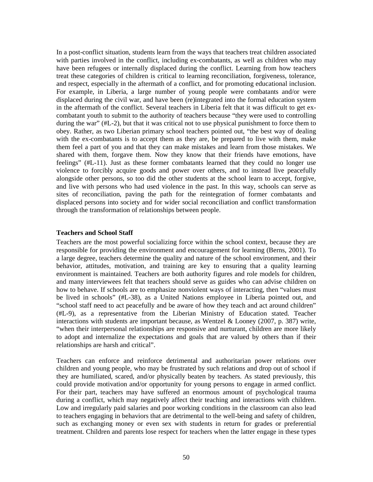In a post-conflict situation, students learn from the ways that teachers treat children associated with parties involved in the conflict, including ex-combatants, as well as children who may have been refugees or internally displaced during the conflict. Learning from how teachers treat these categories of children is critical to learning reconciliation, forgiveness, tolerance, and respect, especially in the aftermath of a conflict, and for promoting educational inclusion. For example, in Liberia, a large number of young people were combatants and/or were displaced during the civil war, and have been (re)integrated into the formal education system in the aftermath of the conflict. Several teachers in Liberia felt that it was difficult to get excombatant youth to submit to the authority of teachers because "they were used to controlling during the war" (#L-2), but that it was critical not to use physical punishment to force them to obey. Rather, as two Liberian primary school teachers pointed out, "the best way of dealing with the ex-combatants is to accept them as they are, be prepared to live with them, make them feel a part of you and that they can make mistakes and learn from those mistakes. We shared with them, forgave them. Now they know that their friends have emotions, have feelings" (#L-11). Just as these former combatants learned that they could no longer use violence to forcibly acquire goods and power over others, and to instead live peacefully alongside other persons, so too did the other students at the school learn to accept, forgive, and live with persons who had used violence in the past. In this way, schools can serve as sites of reconciliation, paving the path for the reintegration of former combatants and displaced persons into society and for wider social reconciliation and conflict transformation through the transformation of relationships between people.

### **Teachers and School Staff**

Teachers are the most powerful socializing force within the school context, because they are responsible for providing the environment and encouragement for learning (Berns, 2001). To a large degree, teachers determine the quality and nature of the school environment, and their behavior, attitudes, motivation, and training are key to ensuring that a quality learning environment is maintained. Teachers are both authority figures and role models for children, and many interviewees felt that teachers should serve as guides who can advise children on how to behave. If schools are to emphasize nonviolent ways of interacting, then "values must be lived in schools" (#L-38), as a United Nations employee in Liberia pointed out, and "school staff need to act peacefully and be aware of how they teach and act around children" (#L-9), as a representative from the Liberian Ministry of Education stated. Teacher interactions with students are important because, as Wentzel & Looney (2007, p. 387) write, "when their interpersonal relationships are responsive and nurturant, children are more likely to adopt and internalize the expectations and goals that are valued by others than if their relationships are harsh and critical".

Teachers can enforce and reinforce detrimental and authoritarian power relations over children and young people, who may be frustrated by such relations and drop out of school if they are humiliated, scared, and/or physically beaten by teachers. As stated previously, this could provide motivation and/or opportunity for young persons to engage in armed conflict. For their part, teachers may have suffered an enormous amount of psychological trauma during a conflict, which may negatively affect their teaching and interactions with children. Low and irregularly paid salaries and poor working conditions in the classroom can also lead to teachers engaging in behaviors that are detrimental to the well-being and safety of children, such as exchanging money or even sex with students in return for grades or preferential treatment. Children and parents lose respect for teachers when the latter engage in these types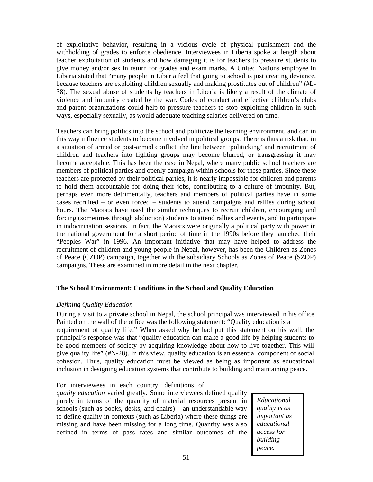of exploitative behavior, resulting in a vicious cycle of physical punishment and the withholding of grades to enforce obedience. Interviewees in Liberia spoke at length about teacher exploitation of students and how damaging it is for teachers to pressure students to give money and/or sex in return for grades and exam marks. A United Nations employee in Liberia stated that "many people in Liberia feel that going to school is just creating deviance, because teachers are exploiting children sexually and making prostitutes out of children" (#L-38). The sexual abuse of students by teachers in Liberia is likely a result of the climate of violence and impunity created by the war. Codes of conduct and effective children's clubs and parent organizations could help to pressure teachers to stop exploiting children in such ways, especially sexually, as would adequate teaching salaries delivered on time.

Teachers can bring politics into the school and politicize the learning environment, and can in this way influence students to become involved in political groups. There is thus a risk that, in a situation of armed or post-armed conflict, the line between 'politicking' and recruitment of children and teachers into fighting groups may become blurred, or transgressing it may become acceptable. This has been the case in Nepal, where many public school teachers are members of political parties and openly campaign within schools for these parties. Since these teachers are protected by their political parties, it is nearly impossible for children and parents to hold them accountable for doing their jobs, contributing to a culture of impunity. But, perhaps even more detrimentally, teachers and members of political parties have in some cases recruited – or even forced – students to attend campaigns and rallies during school hours. The Maoists have used the similar techniques to recruit children, encouraging and forcing (sometimes through abduction) students to attend rallies and events, and to participate in indoctrination sessions. In fact, the Maoists were originally a political party with power in the national government for a short period of time in the 1990s before they launched their "Peoples War" in 1996. An important initiative that may have helped to address the recruitment of children and young people in Nepal, however, has been the Children as Zones of Peace (CZOP) campaign, together with the subsidiary Schools as Zones of Peace (SZOP) campaigns. These are examined in more detail in the next chapter.

# **The School Environment: Conditions in the School and Quality Education**

### *Defining Quality Education*

During a visit to a private school in Nepal, the school principal was interviewed in his office. Painted on the wall of the office was the following statement: "Quality education is a requirement of quality life." When asked why he had put this statement on his wall, the principal's response was that "quality education can make a good life by helping students to be good members of society by acquiring knowledge about how to live together. This will give quality life" (#N-28). In this view, quality education is an essential component of social cohesion. Thus, quality education must be viewed as being as important as educational inclusion in designing education systems that contribute to building and maintaining peace.

For interviewees in each country, definitions of

*quality education* varied greatly. Some interviewees defined quality purely in terms of the quantity of material resources present in schools (such as books, desks, and chairs) – an understandable way to define quality in contexts (such as Liberia) where these things are missing and have been missing for a long time. Quantity was also defined in terms of pass rates and similar outcomes of the

*Educational quality is as important as educational access for building peace.*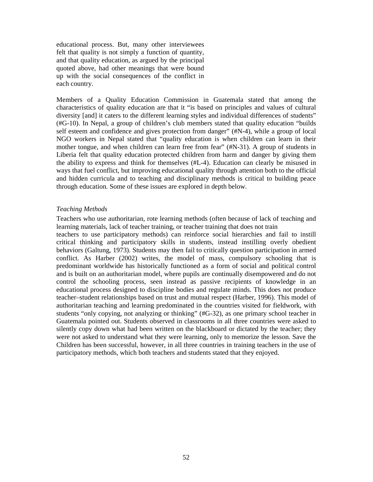educational process. But, many other interviewees felt that quality is not simply a function of quantity, and that quality education, as argued by the principal quoted above, had other meanings that were bound up with the social consequences of the conflict in each country.

Members of a Quality Education Commission in Guatemala stated that among the characteristics of quality education are that it "is based on principles and values of cultural diversity [and] it caters to the different learning styles and individual differences of students" (#G-10). In Nepal, a group of children's club members stated that quality education "builds self esteem and confidence and gives protection from danger" (#N-4), while a group of local NGO workers in Nepal stated that "quality education is when children can learn in their mother tongue, and when children can learn free from fear" (#N-31). A group of students in Liberia felt that quality education protected children from harm and danger by giving them the ability to express and think for themselves (#L-4). Education can clearly be misused in ways that fuel conflict, but improving educational quality through attention both to the official and hidden curricula and to teaching and disciplinary methods is critical to building peace through education. Some of these issues are explored in depth below.

### *Teaching Methods*

Teachers who use authoritarian, rote learning methods (often because of lack of teaching and learning materials, lack of teacher training, or teacher training that does not train

teachers to use participatory methods) can reinforce social hierarchies and fail to instill critical thinking and participatory skills in students, instead instilling overly obedient behaviors (Galtung, 1973). Students may then fail to critically question participation in armed conflict. As Harber (2002) writes, the model of mass, compulsory schooling that is predominant worldwide has historically functioned as a form of social and political control and is built on an authoritarian model, where pupils are continually disempowered and do not control the schooling process, seen instead as passive recipients of knowledge in an educational process designed to discipline bodies and regulate minds. This does not produce teacher–student relationships based on trust and mutual respect (Harber, 1996). This model of authoritarian teaching and learning predominated in the countries visited for fieldwork, with students "only copying, not analyzing or thinking" (#G-32), as one primary school teacher in Guatemala pointed out. Students observed in classrooms in all three countries were asked to silently copy down what had been written on the blackboard or dictated by the teacher; they were not asked to understand what they were learning, only to memorize the lesson. Save the Children has been successful, however, in all three countries in training teachers in the use of participatory methods, which both teachers and students stated that they enjoyed.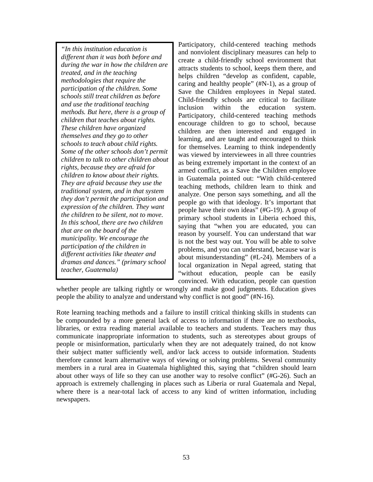*"In this institution education is different than it was both before and during the war in how the children are treated, and in the teaching methodologies that require the participation of the children. Some schools still treat children as before and use the traditional teaching methods. But here, there is a group of children that teaches about rights. These children have organized themselves and they go to other schools to teach about child rights. Some of the other schools don't permit children to talk to other children about rights, because they are afraid for children to know about their rights. They are afraid because they use the traditional system, and in that system they don't permit the participation and expression of the children. They want the children to be silent, not to move. In this school, there are two children that are on the board of the municipality. We encourage the participation of the children in different activities like theater and dramas and dances." (primary school teacher, Guatemala)* 

Participatory, child-centered teaching methods and nonviolent disciplinary measures can help to create a child-friendly school environment that attracts students to school, keeps them there, and helps children "develop as confident, capable, caring and healthy people" (#N-1), as a group of Save the Children employees in Nepal stated. Child-friendly schools are critical to facilitate inclusion within the education system. Participatory, child-centered teaching methods encourage children to go to school, because children are then interested and engaged in learning, and are taught and encouraged to think for themselves. Learning to think independently was viewed by interviewees in all three countries as being extremely important in the context of an armed conflict, as a Save the Children employee in Guatemala pointed out: "With child-centered teaching methods, children learn to think and analyze. One person says something, and all the people go with that ideology. It's important that people have their own ideas" (#G-19). A group of primary school students in Liberia echoed this, saying that "when you are educated, you can reason by yourself. You can understand that war is not the best way out. You will be able to solve problems, and you can understand, because war is about misunderstanding" (#L-24). Members of a local organization in Nepal agreed, stating that "without education, people can be easily convinced. With education, people can question

whether people are talking rightly or wrongly and make good judgments. Education gives people the ability to analyze and understand why conflict is not good" (#N-16).

Rote learning teaching methods and a failure to instill critical thinking skills in students can be compounded by a more general lack of access to information if there are no textbooks, libraries, or extra reading material available to teachers and students. Teachers may thus communicate inappropriate information to students, such as stereotypes about groups of people or misinformation, particularly when they are not adequately trained, do not know their subject matter sufficiently well, and/or lack access to outside information. Students therefore cannot learn alternative ways of viewing or solving problems. Several community members in a rural area in Guatemala highlighted this, saying that "children should learn about other ways of life so they can use another way to resolve conflict" (#G-26). Such an approach is extremely challenging in places such as Liberia or rural Guatemala and Nepal, where there is a near-total lack of access to any kind of written information, including newspapers.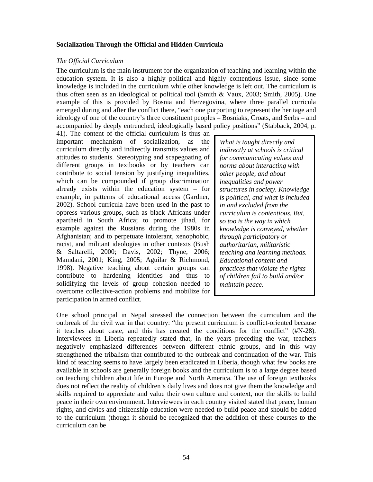### **Socialization Through the Official and Hidden Curricula**

#### *The Official Curriculum*

The curriculum is the main instrument for the organization of teaching and learning within the education system. It is also a highly political and highly contentious issue, since some knowledge is included in the curriculum while other knowledge is left out. The curriculum is thus often seen as an ideological or political tool (Smith & Vaux, 2003; Smith, 2005). One example of this is provided by Bosnia and Herzegovina, where three parallel curricula emerged during and after the conflict there, "each one purporting to represent the heritage and ideology of one of the country's three constituent peoples – Bosniaks, Croats, and Serbs – and accompanied by deeply entrenched, ideologically based policy positions" (Stabback, 2004, p.

41). The content of the official curriculum is thus an important mechanism of socialization, as the curriculum directly and indirectly transmits values and attitudes to students. Stereotyping and scapegoating of different groups in textbooks or by teachers can contribute to social tension by justifying inequalities, which can be compounded if group discrimination already exists within the education system – for example, in patterns of educational access (Gardner, 2002). School curricula have been used in the past to oppress various groups, such as black Africans under apartheid in South Africa; to promote jihad, for example against the Russians during the 1980s in Afghanistan; and to perpetuate intolerant, xenophobic, racist, and militant ideologies in other contexts (Bush & Saltarelli, 2000; Davis, 2002; Thyne, 2006; Mamdani, 2001; King, 2005; Aguilar & Richmond, 1998). Negative teaching about certain groups can contribute to hardening identities and thus to solidifying the levels of group cohesion needed to overcome collective-action problems and mobilize for participation in armed conflict.

*What is taught directly and indirectly at schools is critical for communicating values and norms about interacting with other people, and about inequalities and power structures in society. Knowledge is political, and what is included in and excluded from the curriculum is contentious. But, so too is the way in which knowledge is conveyed, whether through participatory or authoritarian, militaristic teaching and learning methods. Educational content and practices that violate the rights of children fail to build and/or maintain peace.* 

One school principal in Nepal stressed the connection between the curriculum and the outbreak of the civil war in that country: "the present curriculum is conflict-oriented because it teaches about caste, and this has created the conditions for the conflict" (#N-28). Interviewees in Liberia repeatedly stated that, in the years preceding the war, teachers negatively emphasized differences between different ethnic groups, and in this way strengthened the tribalism that contributed to the outbreak and continuation of the war. This kind of teaching seems to have largely been eradicated in Liberia, though what few books are available in schools are generally foreign books and the curriculum is to a large degree based on teaching children about life in Europe and North America. The use of foreign textbooks does not reflect the reality of children's daily lives and does not give them the knowledge and skills required to appreciate and value their own culture and context, nor the skills to build peace in their own environment. Interviewees in each country visited stated that peace, human rights, and civics and citizenship education were needed to build peace and should be added to the curriculum (though it should be recognized that the addition of these courses to the curriculum can be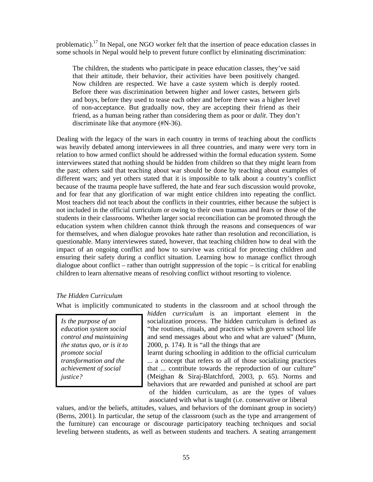problematic).<sup>17</sup> In Nepal, one NGO worker felt that the insertion of peace education classes in some schools in Nepal would help to prevent future conflict by eliminating discrimination:

The children, the students who participate in peace education classes, they've said that their attitude, their behavior, their activities have been positively changed. Now children are respected. We have a caste system which is deeply rooted. Before there was discrimination between higher and lower castes, between girls and boys, before they used to tease each other and before there was a higher level of non-acceptance. But gradually now, they are accepting their friend as their friend, as a human being rather than considering them as poor or *dalit*. They don't discriminate like that anymore (#N-36).

Dealing with the legacy of the wars in each country in terms of teaching about the conflicts was heavily debated among interviewees in all three countries, and many were very torn in relation to how armed conflict should be addressed within the formal education system. Some interviewees stated that nothing should be hidden from children so that they might learn from the past; others said that teaching about war should be done by teaching about examples of different wars; and yet others stated that it is impossible to talk about a country's conflict because of the trauma people have suffered, the hate and fear such discussion would provoke, and for fear that any glorification of war might entice children into repeating the conflict. Most teachers did not teach about the conflicts in their countries, either because the subject is not included in the official curriculum or owing to their own traumas and fears or those of the students in their classrooms. Whether larger social reconciliation can be promoted through the education system when children cannot think through the reasons and consequences of war for themselves, and when dialogue provokes hate rather than resolution and reconciliation, is questionable. Many interviewees stated, however, that teaching children how to deal with the impact of an ongoing conflict and how to survive was critical for protecting children and ensuring their safety during a conflict situation. Learning how to manage conflict through dialogue about conflict – rather than outright suppression of the topic – is critical for enabling children to learn alternative means of resolving conflict without resorting to violence.

### *The Hidden Curriculum*

What is implicitly communicated to students in the classroom and at school through the

*Is the purpose of an education system social control and maintaining the status quo, or is it to promote social transformation and the achievement of social justice?* 

*hidden curriculum* is an important element in the socialization process. The hidden curriculum is defined as "the routines, rituals, and practices which govern school life and send messages about who and what are valued" (Munn, 2000, p. 174). It is "all the things that are

learnt during schooling in addition to the official curriculum ... a concept that refers to all of those socializing practices that ... contribute towards the reproduction of our culture" (Meighan & Siraj-Blatchford, 2003, p. 65). Norms and behaviors that are rewarded and punished at school are part of the hidden curriculum, as are the types of values associated with what is taught (i.e. conservative or liberal

values, and/or the beliefs, attitudes, values, and behaviors of the dominant group in society) (Berns, 2001). In particular, the setup of the classroom (such as the type and arrangement of the furniture) can encourage or discourage participatory teaching techniques and social leveling between students, as well as between students and teachers. A seating arrangement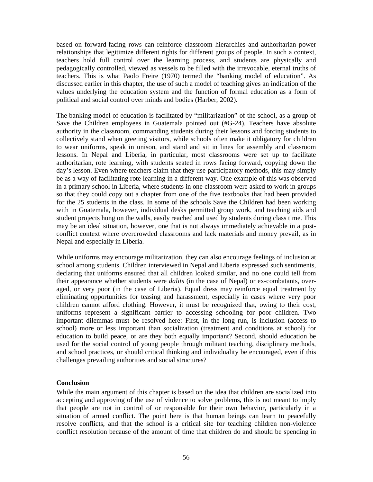based on forward-facing rows can reinforce classroom hierarchies and authoritarian power relationships that legitimize different rights for different groups of people. In such a context, teachers hold full control over the learning process, and students are physically and pedagogically controlled, viewed as vessels to be filled with the irrevocable, eternal truths of teachers. This is what Paolo Freire (1970) termed the "banking model of education". As discussed earlier in this chapter, the use of such a model of teaching gives an indication of the values underlying the education system and the function of formal education as a form of political and social control over minds and bodies (Harber, 2002).

The banking model of education is facilitated by "militarization" of the school, as a group of Save the Children employees in Guatemala pointed out (#G-24). Teachers have absolute authority in the classroom, commanding students during their lessons and forcing students to collectively stand when greeting visitors, while schools often make it obligatory for children to wear uniforms, speak in unison, and stand and sit in lines for assembly and classroom lessons. In Nepal and Liberia, in particular, most classrooms were set up to facilitate authoritarian, rote learning, with students seated in rows facing forward, copying down the day's lesson. Even where teachers claim that they use participatory methods, this may simply be as a way of facilitating rote learning in a different way. One example of this was observed in a primary school in Liberia, where students in one classroom were asked to work in groups so that they could copy out a chapter from one of the five textbooks that had been provided for the 25 students in the class. In some of the schools Save the Children had been working with in Guatemala, however, individual desks permitted group work, and teaching aids and student projects hung on the walls, easily reached and used by students during class time. This may be an ideal situation, however, one that is not always immediately achievable in a postconflict context where overcrowded classrooms and lack materials and money prevail, as in Nepal and especially in Liberia.

While uniforms may encourage militarization, they can also encourage feelings of inclusion at school among students. Children interviewed in Nepal and Liberia expressed such sentiments, declaring that uniforms ensured that all children looked similar, and no one could tell from their appearance whether students were *dalits* (in the case of Nepal) or ex-combatants, overaged, or very poor (in the case of Liberia). Equal dress may reinforce equal treatment by eliminating opportunities for teasing and harassment, especially in cases where very poor children cannot afford clothing. However, it must be recognized that, owing to their cost, uniforms represent a significant barrier to accessing schooling for poor children. Two important dilemmas must be resolved here: First, in the long run, is inclusion (access to school) more or less important than socialization (treatment and conditions at school) for education to build peace, or are they both equally important? Second, should education be used for the social control of young people through militant teaching, disciplinary methods, and school practices, or should critical thinking and individuality be encouraged, even if this challenges prevailing authorities and social structures?

### **Conclusion**

While the main argument of this chapter is based on the idea that children are socialized into accepting and approving of the use of violence to solve problems, this is not meant to imply that people are not in control of or responsible for their own behavior, particularly in a situation of armed conflict. The point here is that human beings can learn to peacefully resolve conflicts, and that the school is a critical site for teaching children non-violence conflict resolution because of the amount of time that children do and should be spending in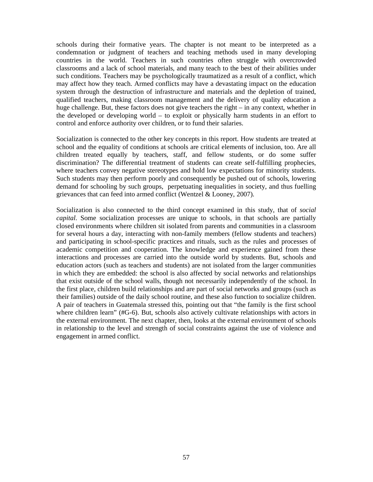schools during their formative years. The chapter is not meant to be interpreted as a condemnation or judgment of teachers and teaching methods used in many developing countries in the world. Teachers in such countries often struggle with overcrowded classrooms and a lack of school materials, and many teach to the best of their abilities under such conditions. Teachers may be psychologically traumatized as a result of a conflict, which may affect how they teach. Armed conflicts may have a devastating impact on the education system through the destruction of infrastructure and materials and the depletion of trained, qualified teachers, making classroom management and the delivery of quality education a huge challenge. But, these factors does not give teachers the right – in any context, whether in the developed or developing world – to exploit or physically harm students in an effort to control and enforce authority over children, or to fund their salaries.

Socialization is connected to the other key concepts in this report. How students are treated at school and the equality of conditions at schools are critical elements of inclusion, too. Are all children treated equally by teachers, staff, and fellow students, or do some suffer discrimination? The differential treatment of students can create self-fulfilling prophecies, where teachers convey negative stereotypes and hold low expectations for minority students. Such students may then perform poorly and consequently be pushed out of schools, lowering demand for schooling by such groups, perpetuating inequalities in society, and thus fuelling grievances that can feed into armed conflict (Wentzel & Looney, 2007).

Socialization is also connected to the third concept examined in this study, that of *social capital*. Some socialization processes are unique to schools, in that schools are partially closed environments where children sit isolated from parents and communities in a classroom for several hours a day, interacting with non-family members (fellow students and teachers) and participating in school-specific practices and rituals, such as the rules and processes of academic competition and cooperation. The knowledge and experience gained from these interactions and processes are carried into the outside world by students. But, schools and education actors (such as teachers and students) are not isolated from the larger communities in which they are embedded: the school is also affected by social networks and relationships that exist outside of the school walls, though not necessarily independently of the school. In the first place, children build relationships and are part of social networks and groups (such as their families) outside of the daily school routine, and these also function to socialize children. A pair of teachers in Guatemala stressed this, pointing out that "the family is the first school where children learn" (#G-6). But, schools also actively cultivate relationships with actors in the external environment. The next chapter, then, looks at the external environment of schools in relationship to the level and strength of social constraints against the use of violence and engagement in armed conflict.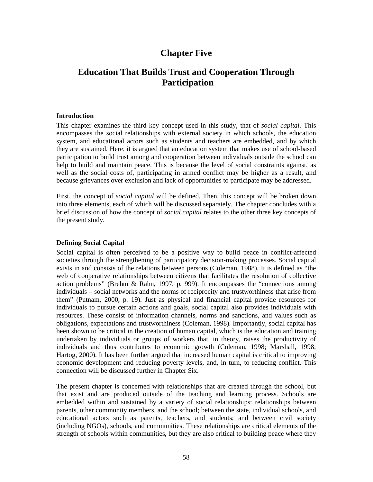# **Chapter Five**

# **Education That Builds Trust and Cooperation Through Participation**

#### **Introduction**

This chapter examines the third key concept used in this study, that of *social capital*. This encompasses the social relationships with external society in which schools, the education system, and educational actors such as students and teachers are embedded, and by which they are sustained. Here, it is argued that an education system that makes use of school-based participation to build trust among and cooperation between individuals outside the school can help to build and maintain peace. This is because the level of social constraints against, as well as the social costs of, participating in armed conflict may be higher as a result, and because grievances over exclusion and lack of opportunities to participate may be addressed.

First, the concept of *social capital* will be defined. Then, this concept will be broken down into three elements, each of which will be discussed separately. The chapter concludes with a brief discussion of how the concept of *social capital* relates to the other three key concepts of the present study.

### **Defining Social Capital**

Social capital is often perceived to be a positive way to build peace in conflict-affected societies through the strengthening of participatory decision-making processes. Social capital exists in and consists of the relations between persons (Coleman, 1988). It is defined as "the web of cooperative relationships between citizens that facilitates the resolution of collective action problems" (Brehm & Rahn, 1997, p. 999). It encompasses the "connections among individuals – social networks and the norms of reciprocity and trustworthiness that arise from them" (Putnam, 2000, p. 19). Just as physical and financial capital provide resources for individuals to pursue certain actions and goals, social capital also provides individuals with resources. These consist of information channels, norms and sanctions, and values such as obligations, expectations and trustworthiness (Coleman, 1998). Importantly, social capital has been shown to be critical in the creation of human capital, which is the education and training undertaken by individuals or groups of workers that, in theory, raises the productivity of individuals and thus contributes to economic growth (Coleman, 1998; Marshall, 1998; Hartog, 2000). It has been further argued that increased human capital is critical to improving economic development and reducing poverty levels, and, in turn, to reducing conflict. This connection will be discussed further in Chapter Six.

The present chapter is concerned with relationships that are created through the school, but that exist and are produced outside of the teaching and learning process. Schools are embedded within and sustained by a variety of social relationships: relationships between parents, other community members, and the school; between the state, individual schools, and educational actors such as parents, teachers, and students; and between civil society (including NGOs), schools, and communities. These relationships are critical elements of the strength of schools within communities, but they are also critical to building peace where they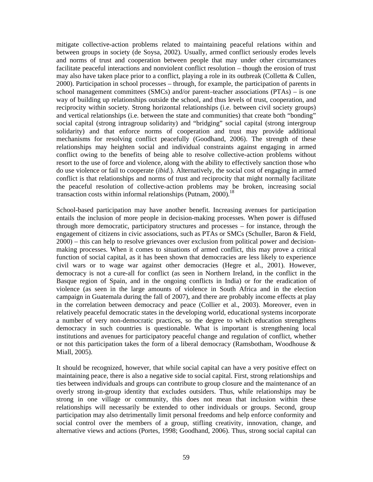mitigate collective-action problems related to maintaining peaceful relations within and between groups in society (de Soysa, 2002). Usually, armed conflict seriously erodes levels and norms of trust and cooperation between people that may under other circumstances facilitate peaceful interactions and nonviolent conflict resolution – though the erosion of trust may also have taken place prior to a conflict, playing a role in its outbreak (Colletta & Cullen, 2000). Participation in school processes – through, for example, the participation of parents in school management committees (SMCs) and/or parent–teacher associations (PTAs) – is one way of building up relationships outside the school, and thus levels of trust, cooperation, and reciprocity within society. Strong horizontal relationships (i.e. between civil society groups) and vertical relationships (i.e. between the state and communities) that create both "bonding" social capital (strong intragroup solidarity) and "bridging" social capital (strong intergroup solidarity) and that enforce norms of cooperation and trust may provide additional mechanisms for resolving conflict peacefully (Goodhand, 2006). The strength of these relationships may heighten social and individual constraints against engaging in armed conflict owing to the benefits of being able to resolve collective-action problems without resort to the use of force and violence, along with the ability to effectively sanction those who do use violence or fail to cooperate (*ibid.*). Alternatively, the social cost of engaging in armed conflict is that relationships and norms of trust and reciprocity that might normally facilitate the peaceful resolution of collective-action problems may be broken, increasing social transaction costs within informal relationships (Putnam, 2000).<sup>18</sup>

School-based participation may have another benefit. Increasing avenues for participation entails the inclusion of more people in decision-making processes. When power is diffused through more democratic, participatory structures and processes – for instance, through the engagement of citizens in civic associations, such as PTAs or SMCs (Schuller, Baron & Field, 2000) – this can help to resolve grievances over exclusion from political power and decisionmaking processes. When it comes to situations of armed conflict, this may prove a critical function of social capital, as it has been shown that democracies are less likely to experience civil wars or to wage war against other democracies (Hegre et al., 2001). However, democracy is not a cure-all for conflict (as seen in Northern Ireland, in the conflict in the Basque region of Spain, and in the ongoing conflicts in India) or for the eradication of violence (as seen in the large amounts of violence in South Africa and in the election campaign in Guatemala during the fall of 2007), and there are probably income effects at play in the correlation between democracy and peace (Collier et al., 2003). Moreover, even in relatively peaceful democratic states in the developing world, educational systems incorporate a number of very non-democratic practices, so the degree to which education strengthens democracy in such countries is questionable. What is important is strengthening local institutions and avenues for participatory peaceful change and regulation of conflict, whether or not this participation takes the form of a liberal democracy (Ramsbotham, Woodhouse  $\&$ Miall, 2005).

It should be recognized, however, that while social capital can have a very positive effect on maintaining peace, there is also a negative side to social capital. First, strong relationships and ties between individuals and groups can contribute to group closure and the maintenance of an overly strong in-group identity that excludes outsiders. Thus, while relationships may be strong in one village or community, this does not mean that inclusion within these relationships will necessarily be extended to other individuals or groups. Second, group participation may also detrimentally limit personal freedoms and help enforce conformity and social control over the members of a group, stifling creativity, innovation, change, and alternative views and actions (Portes, 1998; Goodhand, 2006). Thus, strong social capital can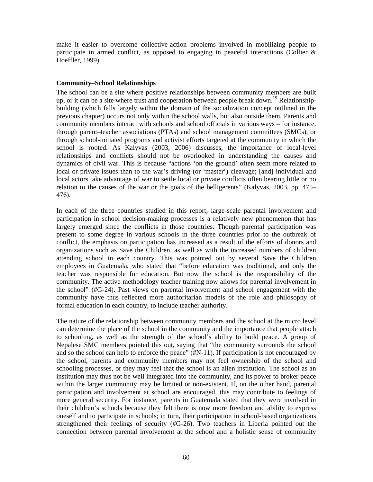make it easier to overcome collective-action problems involved in mobilizing people to participate in armed conflict, as opposed to engaging in peaceful interactions (Collier  $\&$ Hoeffler, 1999).

### **Community–School Relationships**

The school can be a site where positive relationships between community members are built up, or it can be a site where trust and cooperation between people break down.<sup>19</sup> Relationshipbuilding (which falls largely within the domain of the socialization concept outlined in the previous chapter) occurs not only within the school walls, but also outside them. Parents and community members interact with schools and school officials in various ways – for instance, through parent–teacher associations (PTAs) and school management committees (SMCs), or through school-initiated programs and activist efforts targeted at the community in which the school is rooted. As Kalyvas (2003, 2006) discusses, the importance of local-level relationships and conflicts should not be overlooked in understanding the causes and dynamics of civil war. This is because "actions 'on the ground' often seem more related to local or private issues than to the war's driving (or 'master') cleavage; [and] individual and local actors take advantage of war to settle local or private conflicts often bearing little or no relation to the causes of the war or the goals of the belligerents" (Kalyvas, 2003, pp. 475– 476).

In each of the three countries studied in this report, large-scale parental involvement and participation in school decision-making processes is a relatively new phenomenon that has largely emerged since the conflicts in those countries. Though parental participation was present to some degree in various schools in the three countries prior to the outbreak of conflict, the emphasis on participation has increased as a result of the efforts of donors and organizations such as Save the Children, as well as with the increased numbers of children attending school in each country. This was pointed out by several Save the Children employees in Guatemala, who stated that "before education was traditional, and only the teacher was responsible for education. But now the school is the responsibility of the community. The active methodology teacher training now allows for parental involvement in the school" (#G-24). Past views on parental involvement and school engagement with the community have thus reflected more authoritarian models of the role and philosophy of formal education in each country, to include teacher authority.

The nature of the relationship between community members and the school at the micro level can determine the place of the school in the community and the importance that people attach to schooling, as well as the strength of the school's ability to build peace. A group of Nepalese SMC members pointed this out, saying that "the community surrounds the school and so the school can help to enforce the peace" (#N-11). If participation is not encouraged by the school, parents and community members may not feel ownership of the school and schooling processes, or they may feel that the school is an alien institution. The school as an institution may thus not be well integrated into the community, and its power to broker peace within the larger community may be limited or non-existent. If, on the other hand, parental participation and involvement at school are encouraged, this may contribute to feelings of more general security. For instance, parents in Guatemala stated that they were involved in their children's schools because they felt there is now more freedom and ability to express oneself and to participate in schools; in turn, their participation in school-based organizations strengthened their feelings of security (#G-26). Two teachers in Liberia pointed out the connection between parental involvement at the school and a holistic sense of community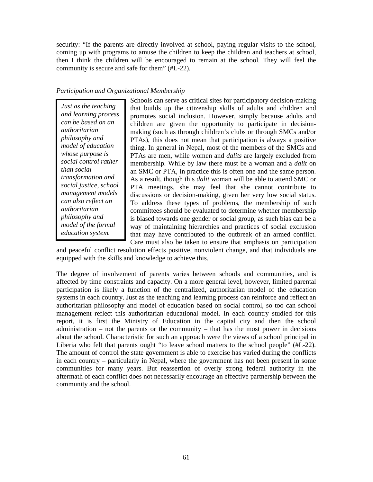security: "If the parents are directly involved at school, paying regular visits to the school, coming up with programs to amuse the children to keep the children and teachers at school, then I think the children will be encouraged to remain at the school. They will feel the community is secure and safe for them" (#L-22).

## *Participation and Organizational Membership*

*Just as the teaching and learning process can be based on an authoritarian philosophy and model of education whose purpose is social control rather than social transformation and social justice, school management models can also reflect an authoritarian philosophy and model of the formal education system.* 

Schools can serve as critical sites for participatory decision-making that builds up the citizenship skills of adults and children and promotes social inclusion. However, simply because adults and children are given the opportunity to participate in decisionmaking (such as through children's clubs or through SMCs and/or PTAs), this does not mean that participation is always a positive thing. In general in Nepal, most of the members of the SMCs and PTAs are men, while women and *dalits* are largely excluded from membership. While by law there must be a woman and a *dalit* on an SMC or PTA, in practice this is often one and the same person. As a result, though this *dalit* woman will be able to attend SMC or PTA meetings, she may feel that she cannot contribute to discussions or decision-making, given her very low social status. To address these types of problems, the membership of such committees should be evaluated to determine whether membership is biased towards one gender or social group, as such bias can be a way of maintaining hierarchies and practices of social exclusion that may have contributed to the outbreak of an armed conflict. Care must also be taken to ensure that emphasis on participation

and peaceful conflict resolution effects positive, nonviolent change, and that individuals are equipped with the skills and knowledge to achieve this.

The degree of involvement of parents varies between schools and communities, and is affected by time constraints and capacity. On a more general level, however, limited parental participation is likely a function of the centralized, authoritarian model of the education systems in each country. Just as the teaching and learning process can reinforce and reflect an authoritarian philosophy and model of education based on social control, so too can school management reflect this authoritarian educational model. In each country studied for this report, it is first the Ministry of Education in the capital city and then the school administration – not the parents or the community – that has the most power in decisions about the school. Characteristic for such an approach were the views of a school principal in Liberia who felt that parents ought "to leave school matters to the school people" (#L-22). The amount of control the state government is able to exercise has varied during the conflicts in each country – particularly in Nepal, where the government has not been present in some communities for many years. But reassertion of overly strong federal authority in the aftermath of each conflict does not necessarily encourage an effective partnership between the community and the school.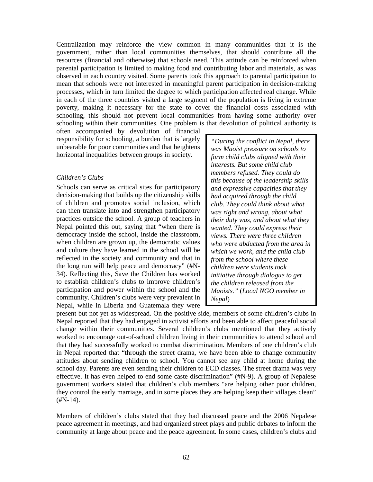Centralization may reinforce the view common in many communities that it is the government, rather than local communities themselves, that should contribute all the resources (financial and otherwise) that schools need. This attitude can be reinforced when parental participation is limited to making food and contributing labor and materials, as was observed in each country visited. Some parents took this approach to parental participation to mean that schools were not interested in meaningful parent participation in decision-making processes, which in turn limited the degree to which participation affected real change. While in each of the three countries visited a large segment of the population is living in extreme poverty, making it necessary for the state to cover the financial costs associated with schooling, this should not prevent local communities from having some authority over schooling within their communities. One problem is that devolution of political authority is

often accompanied by devolution of financial responsibility for schooling, a burden that is largely unbearable for poor communities and that heightens horizontal inequalities between groups in society.

### *Children's Clubs*

Schools can serve as critical sites for participatory decision-making that builds up the citizenship skills of children and promotes social inclusion, which can then translate into and strengthen participatory practices outside the school. A group of teachers in Nepal pointed this out, saying that "when there is democracy inside the school, inside the classroom, when children are grown up, the democratic values and culture they have learned in the school will be reflected in the society and community and that in the long run will help peace and democracy" (#N-34). Reflecting this, Save the Children has worked to establish children's clubs to improve children's participation and power within the school and the community. Children's clubs were very prevalent in Nepal, while in Liberia and Guatemala they were

*"During the conflict in Nepal, there was Maoist pressure on schools to form child clubs aligned with their interests. But some child club members refused. They could do this because of the leadership skills and expressive capacities that they had acquired through the child club. They could think about what was right and wrong, about what their duty was, and about what they wanted. They could express their views. There were three children who were abducted from the area in which we work, and the child club from the school where these children were students took initiative through dialogue to get the children released from the Maoists."* (*Local NGO member in Nepal*)

present but not yet as widespread. On the positive side, members of some children's clubs in Nepal reported that they had engaged in activist efforts and been able to affect peaceful social change within their communities. Several children's clubs mentioned that they actively worked to encourage out-of-school children living in their communities to attend school and that they had successfully worked to combat discrimination. Members of one children's club in Nepal reported that "through the street drama, we have been able to change community attitudes about sending children to school. You cannot see any child at home during the school day. Parents are even sending their children to ECD classes. The street drama was very effective. It has even helped to end some caste discrimination" (#N-9). A group of Nepalese government workers stated that children's club members "are helping other poor children, they control the early marriage, and in some places they are helping keep their villages clean"  $(HN-14)$ .

Members of children's clubs stated that they had discussed peace and the 2006 Nepalese peace agreement in meetings, and had organized street plays and public debates to inform the community at large about peace and the peace agreement. In some cases, children's clubs and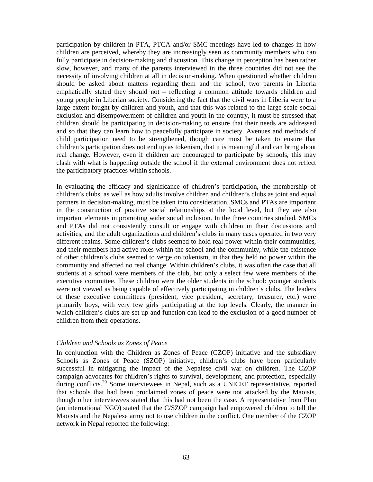participation by children in PTA, PTCA and/or SMC meetings have led to changes in how children are perceived, whereby they are increasingly seen as community members who can fully participate in decision-making and discussion. This change in perception has been rather slow, however, and many of the parents interviewed in the three countries did not see the necessity of involving children at all in decision-making. When questioned whether children should be asked about matters regarding them and the school, two parents in Liberia emphatically stated they should not – reflecting a common attitude towards children and young people in Liberian society. Considering the fact that the civil wars in Liberia were to a large extent fought by children and youth, and that this was related to the large-scale social exclusion and disempowerment of children and youth in the country, it must be stressed that children should be participating in decision-making to ensure that their needs are addressed and so that they can learn how to peacefully participate in society. Avenues and methods of child participation need to be strengthened, though care must be taken to ensure that children's participation does not end up as tokenism, that it is meaningful and can bring about real change. However, even if children are encouraged to participate by schools, this may clash with what is happening outside the school if the external environment does not reflect the participatory practices within schools.

In evaluating the efficacy and significance of children's participation, the membership of children's clubs, as well as how adults involve children and children's clubs as joint and equal partners in decision-making, must be taken into consideration. SMCs and PTAs are important in the construction of positive social relationships at the local level, but they are also important elements in promoting wider social inclusion. In the three countries studied, SMCs and PTAs did not consistently consult or engage with children in their discussions and activities, and the adult organizations and children's clubs in many cases operated in two very different realms. Some children's clubs seemed to hold real power within their communities, and their members had active roles within the school and the community, while the existence of other children's clubs seemed to verge on tokenism, in that they held no power within the community and affected no real change. Within children's clubs, it was often the case that all students at a school were members of the club, but only a select few were members of the executive committee. These children were the older students in the school: younger students were not viewed as being capable of effectively participating in children's clubs. The leaders of these executive committees (president, vice president, secretary, treasurer, etc.) were primarily boys, with very few girls participating at the top levels. Clearly, the manner in which children's clubs are set up and function can lead to the exclusion of a good number of children from their operations.

### *Children and Schools as Zones of Peace*

In conjunction with the Children as Zones of Peace (CZOP) initiative and the subsidiary Schools as Zones of Peace (SZOP) initiative, children's clubs have been particularly successful in mitigating the impact of the Nepalese civil war on children. The CZOP campaign advocates for children's rights to survival, development, and protection, especially during conflicts.<sup>20</sup> Some interviewees in Nepal, such as a UNICEF representative, reported that schools that had been proclaimed zones of peace were not attacked by the Maoists, though other interviewees stated that this had not been the case. A representative from Plan (an international NGO) stated that the C/SZOP campaign had empowered children to tell the Maoists and the Nepalese army not to use children in the conflict. One member of the CZOP network in Nepal reported the following: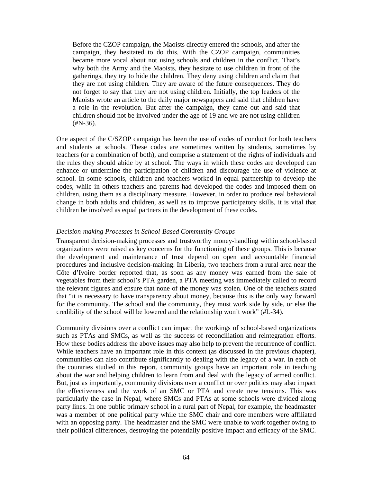Before the CZOP campaign, the Maoists directly entered the schools, and after the campaign, they hesitated to do this. With the CZOP campaign, communities became more vocal about not using schools and children in the conflict. That's why both the Army and the Maoists, they hesitate to use children in front of the gatherings, they try to hide the children. They deny using children and claim that they are not using children. They are aware of the future consequences. They do not forget to say that they are not using children. Initially, the top leaders of the Maoists wrote an article to the daily major newspapers and said that children have a role in the revolution. But after the campaign, they came out and said that children should not be involved under the age of 19 and we are not using children  $(HN-36)$ .

One aspect of the C/SZOP campaign has been the use of codes of conduct for both teachers and students at schools. These codes are sometimes written by students, sometimes by teachers (or a combination of both), and comprise a statement of the rights of individuals and the rules they should abide by at school. The ways in which these codes are developed can enhance or undermine the participation of children and discourage the use of violence at school. In some schools, children and teachers worked in equal partnership to develop the codes, while in others teachers and parents had developed the codes and imposed them on children, using them as a disciplinary measure. However, in order to produce real behavioral change in both adults and children, as well as to improve participatory skills, it is vital that children be involved as equal partners in the development of these codes.

## *Decision-making Processes in School-Based Community Groups*

Transparent decision-making processes and trustworthy money-handling within school-based organizations were raised as key concerns for the functioning of these groups. This is because the development and maintenance of trust depend on open and accountable financial procedures and inclusive decision-making. In Liberia, two teachers from a rural area near the Côte d'Ivoire border reported that, as soon as any money was earned from the sale of vegetables from their school's PTA garden, a PTA meeting was immediately called to record the relevant figures and ensure that none of the money was stolen. One of the teachers stated that "it is necessary to have transparency about money, because this is the only way forward for the community. The school and the community, they must work side by side, or else the credibility of the school will be lowered and the relationship won't work" (#L-34).

Community divisions over a conflict can impact the workings of school-based organizations such as PTAs and SMCs, as well as the success of reconciliation and reintegration efforts. How these bodies address the above issues may also help to prevent the recurrence of conflict. While teachers have an important role in this context (as discussed in the previous chapter), communities can also contribute significantly to dealing with the legacy of a war. In each of the countries studied in this report, community groups have an important role in teaching about the war and helping children to learn from and deal with the legacy of armed conflict. But, just as importantly, community divisions over a conflict or over politics may also impact the effectiveness and the work of an SMC or PTA and create new tensions. This was particularly the case in Nepal, where SMCs and PTAs at some schools were divided along party lines. In one public primary school in a rural part of Nepal, for example, the headmaster was a member of one political party while the SMC chair and core members were affiliated with an opposing party. The headmaster and the SMC were unable to work together owing to their political differences, destroying the potentially positive impact and efficacy of the SMC.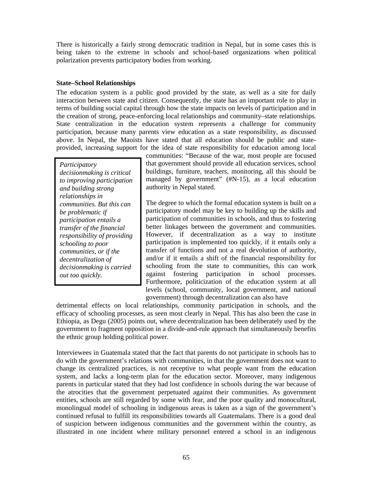There is historically a fairly strong democratic tradition in Nepal, but in some cases this is being taken to the extreme in schools and school-based organizations when political polarization prevents participatory bodies from working.

## **State–School Relationships**

The education system is a public good provided by the state, as well as a site for daily interaction between state and citizen. Consequently, the state has an important role to play in terms of building social capital through how the state impacts on levels of participation and in the creation of strong, peace-enforcing local relationships and community–state relationships. State centralization in the education system represents a challenge for community participation, because many parents view education as a state responsibility, as discussed above. In Nepal, the Maoists have stated that all education should be public and stateprovided, increasing support for the idea of state responsibility for education among local

*Participatory decisionmaking is critical to improving participation and building strong relationships in communities. But this can be problematic if participation entails a transfer of the financial responsibility of providing schooling to poor communities, or if the decentralization of decisionmaking is carried out too quickly.* 

communities: "Because of the war, most people are focused that government should provide all education services, school buildings, furniture, teachers, monitoring, all this should be managed by government" (#N-15), as a local education authority in Nepal stated.

The degree to which the formal education system is built on a participatory model may be key to building up the skills and participation of communities in schools, and thus to fostering better linkages between the government and communities. However, if decentralization as a way to institute participation is implemented too quickly, if it entails only a transfer of functions and not a real devolution of authority, and/or if it entails a shift of the financial responsibility for schooling from the state to communities, this can work against fostering participation in school processes. Furthermore, politicization of the education system at all levels (school, community, local government, and national government) through decentralization can also have

detrimental effects on local relationships, community participation in schools, and the efficacy of schooling processes, as seen most clearly in Nepal. This has also been the case in Ethiopia, as Degu (2005) points out, where decentralization has been deliberately used by the government to fragment opposition in a divide-and-rule approach that simultaneously benefits the ethnic group holding political power.

Interviewees in Guatemala stated that the fact that parents do not participate in schools has to do with the government's relations with communities, in that the government does not want to change its centralized practices, is not receptive to what people want from the education system, and lacks a long-term plan for the education sector. Moreover, many indigenous parents in particular stated that they had lost confidence in schools during the war because of the atrocities that the government perpetuated against their communities. As government entities, schools are still regarded by some with fear, and the poor quality and monocultural, monolingual model of schooling in indigenous areas is taken as a sign of the government's continued refusal to fulfill its responsibilities towards all Guatemalans. There is a good deal of suspicion between indigenous communities and the government within the country, as illustrated in one incident where military personnel entered a school in an indigenous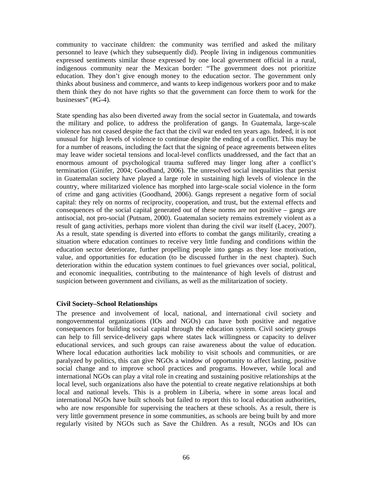community to vaccinate children: the community was terrified and asked the military personnel to leave (which they subsequently did). People living in indigenous communities expressed sentiments similar those expressed by one local government official in a rural, indigenous community near the Mexican border: "The government does not prioritize education. They don't give enough money to the education sector. The government only thinks about business and commerce, and wants to keep indigenous workers poor and to make them think they do not have rights so that the government can force them to work for the businesses" (#G-4).

State spending has also been diverted away from the social sector in Guatemala, and towards the military and police, to address the proliferation of gangs. In Guatemala, large-scale violence has not ceased despite the fact that the civil war ended ten years ago. Indeed, it is not unusual for high levels of violence to continue despite the ending of a conflict. This may be for a number of reasons, including the fact that the signing of peace agreements between elites may leave wider societal tensions and local-level conflicts unaddressed, and the fact that an enormous amount of psychological trauma suffered may linger long after a conflict's termination (Ginifer, 2004; Goodhand, 2006). The unresolved social inequalities that persist in Guatemalan society have played a large role in sustaining high levels of violence in the country, where militarized violence has morphed into large-scale social violence in the form of crime and gang activities (Goodhand, 2006). Gangs represent a negative form of social capital: they rely on norms of reciprocity, cooperation, and trust, but the external effects and consequences of the social capital generated out of these norms are not positive – gangs are antisocial, not pro-social (Putnam, 2000). Guatemalan society remains extremely violent as a result of gang activities, perhaps more violent than during the civil war itself (Lacey, 2007). As a result, state spending is diverted into efforts to combat the gangs militarily, creating a situation where education continues to receive very little funding and conditions within the education sector deteriorate, further propelling people into gangs as they lose motivation, value, and opportunities for education (to be discussed further in the next chapter). Such deterioration within the education system continues to fuel grievances over social, political, and economic inequalities, contributing to the maintenance of high levels of distrust and suspicion between government and civilians, as well as the militarization of society.

### **Civil Society–School Relationships**

The presence and involvement of local, national, and international civil society and nongovernmental organizations (IOs and NGOs) can have both positive and negative consequences for building social capital through the education system. Civil society groups can help to fill service-delivery gaps where states lack willingness or capacity to deliver educational services, and such groups can raise awareness about the value of education. Where local education authorities lack mobility to visit schools and communities, or are paralyzed by politics, this can give NGOs a window of opportunity to affect lasting, positive social change and to improve school practices and programs. However, while local and international NGOs can play a vital role in creating and sustaining positive relationships at the local level, such organizations also have the potential to create negative relationships at both local and national levels. This is a problem in Liberia, where in some areas local and international NGOs have built schools but failed to report this to local education authorities, who are now responsible for supervising the teachers at these schools. As a result, there is very little government presence in some communities, as schools are being built by and more regularly visited by NGOs such as Save the Children. As a result, NGOs and IOs can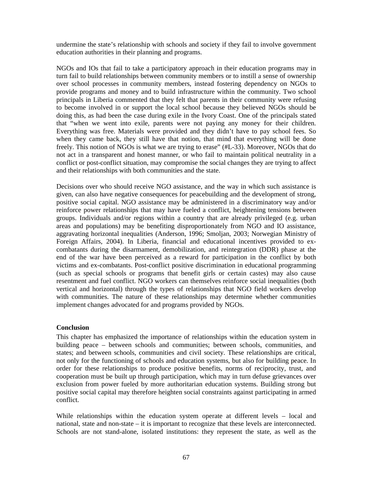undermine the state's relationship with schools and society if they fail to involve government education authorities in their planning and programs.

NGOs and IOs that fail to take a participatory approach in their education programs may in turn fail to build relationships between community members or to instill a sense of ownership over school processes in community members, instead fostering dependency on NGOs to provide programs and money and to build infrastructure within the community. Two school principals in Liberia commented that they felt that parents in their community were refusing to become involved in or support the local school because they believed NGOs should be doing this, as had been the case during exile in the Ivory Coast. One of the principals stated that "when we went into exile, parents were not paying any money for their children. Everything was free. Materials were provided and they didn't have to pay school fees. So when they came back, they still have that notion, that mind that everything will be done freely. This notion of NGOs is what we are trying to erase" (#L-33). Moreover, NGOs that do not act in a transparent and honest manner, or who fail to maintain political neutrality in a conflict or post-conflict situation, may compromise the social changes they are trying to affect and their relationships with both communities and the state.

Decisions over who should receive NGO assistance, and the way in which such assistance is given, can also have negative consequences for peacebuilding and the development of strong, positive social capital. NGO assistance may be administered in a discriminatory way and/or reinforce power relationships that may have fueled a conflict, heightening tensions between groups. Individuals and/or regions within a country that are already privileged (e.g. urban areas and populations) may be benefiting disproportionately from NGO and IO assistance, aggravating horizontal inequalities (Anderson, 1996; Smoljan, 2003; Norwegian Ministry of Foreign Affairs, 2004). In Liberia, financial and educational incentives provided to excombatants during the disarmament, demobilization, and reintegration (DDR) phase at the end of the war have been perceived as a reward for participation in the conflict by both victims and ex-combatants. Post-conflict positive discrimination in educational programming (such as special schools or programs that benefit girls or certain castes) may also cause resentment and fuel conflict. NGO workers can themselves reinforce social inequalities (both vertical and horizontal) through the types of relationships that NGO field workers develop with communities. The nature of these relationships may determine whether communities implement changes advocated for and programs provided by NGOs.

### **Conclusion**

This chapter has emphasized the importance of relationships within the education system in building peace – between schools and communities; between schools, communities, and states; and between schools, communities and civil society. These relationships are critical, not only for the functioning of schools and education systems, but also for building peace. In order for these relationships to produce positive benefits, norms of reciprocity, trust, and cooperation must be built up through participation, which may in turn defuse grievances over exclusion from power fueled by more authoritarian education systems. Building strong but positive social capital may therefore heighten social constraints against participating in armed conflict.

While relationships within the education system operate at different levels – local and national, state and non-state – it is important to recognize that these levels are interconnected. Schools are not stand-alone, isolated institutions: they represent the state, as well as the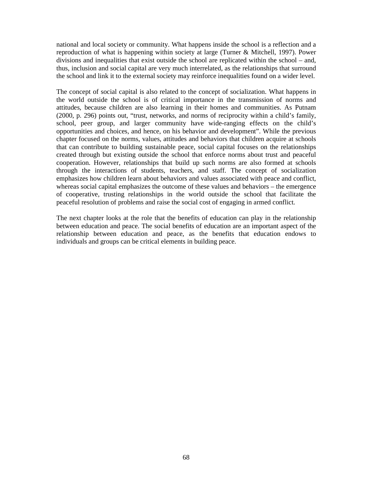national and local society or community. What happens inside the school is a reflection and a reproduction of what is happening within society at large (Turner & Mitchell, 1997). Power divisions and inequalities that exist outside the school are replicated within the school – and, thus, inclusion and social capital are very much interrelated, as the relationships that surround the school and link it to the external society may reinforce inequalities found on a wider level.

The concept of social capital is also related to the concept of socialization. What happens in the world outside the school is of critical importance in the transmission of norms and attitudes, because children are also learning in their homes and communities. As Putnam (2000, p. 296) points out, "trust, networks, and norms of reciprocity within a child's family, school, peer group, and larger community have wide-ranging effects on the child's opportunities and choices, and hence, on his behavior and development". While the previous chapter focused on the norms, values, attitudes and behaviors that children acquire at schools that can contribute to building sustainable peace, social capital focuses on the relationships created through but existing outside the school that enforce norms about trust and peaceful cooperation. However, relationships that build up such norms are also formed at schools through the interactions of students, teachers, and staff. The concept of socialization emphasizes how children learn about behaviors and values associated with peace and conflict, whereas social capital emphasizes the outcome of these values and behaviors – the emergence of cooperative, trusting relationships in the world outside the school that facilitate the peaceful resolution of problems and raise the social cost of engaging in armed conflict.

The next chapter looks at the role that the benefits of education can play in the relationship between education and peace. The social benefits of education are an important aspect of the relationship between education and peace, as the benefits that education endows to individuals and groups can be critical elements in building peace.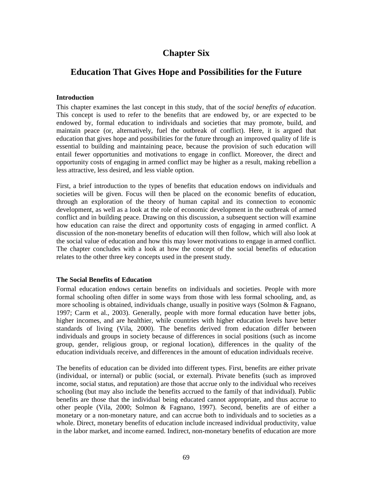# **Chapter Six**

# **Education That Gives Hope and Possibilities for the Future**

## **Introduction**

This chapter examines the last concept in this study, that of the *social benefits of education*. This concept is used to refer to the benefits that are endowed by, or are expected to be endowed by, formal education to individuals and societies that may promote, build, and maintain peace (or, alternatively, fuel the outbreak of conflict). Here, it is argued that education that gives hope and possibilities for the future through an improved quality of life is essential to building and maintaining peace, because the provision of such education will entail fewer opportunities and motivations to engage in conflict. Moreover, the direct and opportunity costs of engaging in armed conflict may be higher as a result, making rebellion a less attractive, less desired, and less viable option.

First, a brief introduction to the types of benefits that education endows on individuals and societies will be given. Focus will then be placed on the economic benefits of education, through an exploration of the theory of human capital and its connection to economic development, as well as a look at the role of economic development in the outbreak of armed conflict and in building peace. Drawing on this discussion, a subsequent section will examine how education can raise the direct and opportunity costs of engaging in armed conflict. A discussion of the non-monetary benefits of education will then follow, which will also look at the social value of education and how this may lower motivations to engage in armed conflict. The chapter concludes with a look at how the concept of the social benefits of education relates to the other three key concepts used in the present study.

### **The Social Benefits of Education**

Formal education endows certain benefits on individuals and societies. People with more formal schooling often differ in some ways from those with less formal schooling, and, as more schooling is obtained, individuals change, usually in positive ways (Solmon & Fagnano, 1997; Carm et al., 2003). Generally, people with more formal education have better jobs, higher incomes, and are healthier, while countries with higher education levels have better standards of living (Vila, 2000). The benefits derived from education differ between individuals and groups in society because of differences in social positions (such as income group, gender, religious group, or regional location), differences in the quality of the education individuals receive, and differences in the amount of education individuals receive.

The benefits of education can be divided into different types. First, benefits are either private (individual, or internal) or public (social, or external). Private benefits (such as improved income, social status, and reputation) are those that accrue only to the individual who receives schooling (but may also include the benefits accrued to the family of that individual). Public benefits are those that the individual being educated cannot appropriate, and thus accrue to other people (Vila, 2000; Solmon & Fagnano, 1997). Second, benefits are of either a monetary or a non-monetary nature, and can accrue both to individuals and to societies as a whole. Direct, monetary benefits of education include increased individual productivity, value in the labor market, and income earned. Indirect, non-monetary benefits of education are more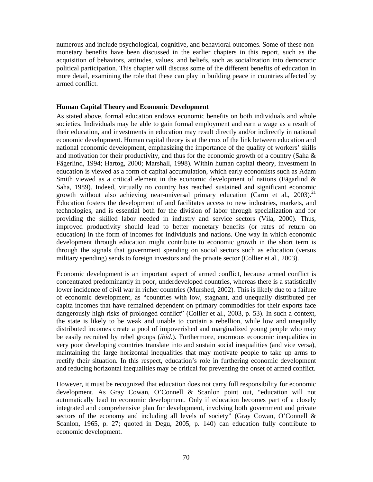numerous and include psychological, cognitive, and behavioral outcomes. Some of these nonmonetary benefits have been discussed in the earlier chapters in this report, such as the acquisition of behaviors, attitudes, values, and beliefs, such as socialization into democratic political participation. This chapter will discuss some of the different benefits of education in more detail, examining the role that these can play in building peace in countries affected by armed conflict.

### **Human Capital Theory and Economic Development**

As stated above, formal education endows economic benefits on both individuals and whole societies. Individuals may be able to gain formal employment and earn a wage as a result of their education, and investments in education may result directly and/or indirectly in national economic development. Human capital theory is at the crux of the link between education and national economic development, emphasizing the importance of the quality of workers' skills and motivation for their productivity, and thus for the economic growth of a country (Saha  $\&$ Fägerlind, 1994; Hartog, 2000; Marshall, 1998). Within human capital theory, investment in education is viewed as a form of capital accumulation, which early economists such as Adam Smith viewed as a critical element in the economic development of nations (Fägarlind & Saha, 1989). Indeed, virtually no country has reached sustained and significant economic growth without also achieving near-universal primary education (Carm et al., 2003).<sup>21</sup> Education fosters the development of and facilitates access to new industries, markets, and technologies, and is essential both for the division of labor through specialization and for providing the skilled labor needed in industry and service sectors (Vila, 2000). Thus, improved productivity should lead to better monetary benefits (or rates of return on education) in the form of incomes for individuals and nations. One way in which economic development through education might contribute to economic growth in the short term is through the signals that government spending on social sectors such as education (versus military spending) sends to foreign investors and the private sector (Collier et al., 2003).

Economic development is an important aspect of armed conflict, because armed conflict is concentrated predominantly in poor, underdeveloped countries, whereas there is a statistically lower incidence of civil war in richer countries (Murshed, 2002). This is likely due to a failure of economic development, as "countries with low, stagnant, and unequally distributed per capita incomes that have remained dependent on primary commodities for their exports face dangerously high risks of prolonged conflict" (Collier et al., 2003, p. 53). In such a context, the state is likely to be weak and unable to contain a rebellion, while low and unequally distributed incomes create a pool of impoverished and marginalized young people who may be easily recruited by rebel groups (*ibid.*). Furthermore, enormous economic inequalities in very poor developing countries translate into and sustain social inequalities (and vice versa), maintaining the large horizontal inequalities that may motivate people to take up arms to rectify their situation. In this respect, education's role in furthering economic development and reducing horizontal inequalities may be critical for preventing the onset of armed conflict.

However, it must be recognized that education does not carry full responsibility for economic development. As Gray Cowan, O'Connell & Scanlon point out, "education will not automatically lead to economic development. Only if education becomes part of a closely integrated and comprehensive plan for development, involving both government and private sectors of the economy and including all levels of society" (Gray Cowan, O'Connell & Scanlon, 1965, p. 27; quoted in Degu, 2005, p. 140) can education fully contribute to economic development.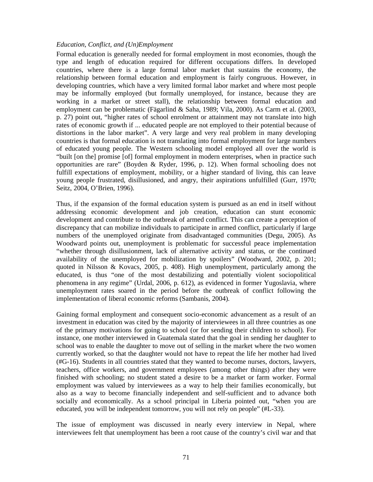### *Education, Conflict, and (Un)Employment*

Formal education is generally needed for formal employment in most economies, though the type and length of education required for different occupations differs. In developed countries, where there is a large formal labor market that sustains the economy, the relationship between formal education and employment is fairly congruous. However, in developing countries, which have a very limited formal labor market and where most people may be informally employed (but formally unemployed, for instance, because they are working in a market or street stall), the relationship between formal education and employment can be problematic (Fägarlind & Saha, 1989; Vila, 2000). As Carm et al. (2003, p. 27) point out, "higher rates of school enrolment or attainment may not translate into high rates of economic growth if ... educated people are not employed to their potential because of distortions in the labor market". A very large and very real problem in many developing countries is that formal education is not translating into formal employment for large numbers of educated young people. The Western schooling model employed all over the world is "built [on the] promise [of] formal employment in modern enterprises, when in practice such opportunities are rare" (Boyden & Ryder, 1996, p. 12). When formal schooling does not fulfill expectations of employment, mobility, or a higher standard of living, this can leave young people frustrated, disillusioned, and angry, their aspirations unfulfilled (Gurr, 1970; Seitz, 2004, O'Brien, 1996).

Thus, if the expansion of the formal education system is pursued as an end in itself without addressing economic development and job creation, education can stunt economic development and contribute to the outbreak of armed conflict. This can create a perception of discrepancy that can mobilize individuals to participate in armed conflict, particularly if large numbers of the unemployed originate from disadvantaged communities (Degu, 2005). As Woodward points out, unemployment is problematic for successful peace implementation "whether through disillusionment, lack of alternative activity and status, or the continued availability of the unemployed for mobilization by spoilers" (Woodward, 2002, p. 201; quoted in Nilsson & Kovacs, 2005, p. 408). High unemployment, particularly among the educated, is thus "one of the most destabilizing and potentially violent sociopolitical phenomena in any regime" (Urdal, 2006, p. 612), as evidenced in former Yugoslavia, where unemployment rates soared in the period before the outbreak of conflict following the implementation of liberal economic reforms (Sambanis, 2004).

Gaining formal employment and consequent socio-economic advancement as a result of an investment in education was cited by the majority of interviewees in all three countries as one of the primary motivations for going to school (or for sending their children to school). For instance, one mother interviewed in Guatemala stated that the goal in sending her daughter to school was to enable the daughter to move out of selling in the market where the two women currently worked, so that the daughter would not have to repeat the life her mother had lived (#G-16). Students in all countries stated that they wanted to become nurses, doctors, lawyers, teachers, office workers, and government employees (among other things) after they were finished with schooling; no student stated a desire to be a market or farm worker. Formal employment was valued by interviewees as a way to help their families economically, but also as a way to become financially independent and self-sufficient and to advance both socially and economically. As a school principal in Liberia pointed out, "when you are educated, you will be independent tomorrow, you will not rely on people" (#L-33).

The issue of employment was discussed in nearly every interview in Nepal, where interviewees felt that unemployment has been a root cause of the country's civil war and that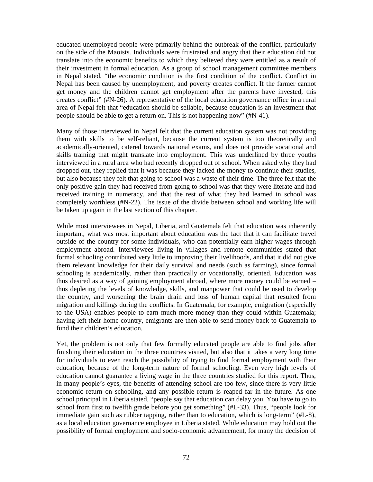educated unemployed people were primarily behind the outbreak of the conflict, particularly on the side of the Maoists. Individuals were frustrated and angry that their education did not translate into the economic benefits to which they believed they were entitled as a result of their investment in formal education. As a group of school management committee members in Nepal stated, "the economic condition is the first condition of the conflict. Conflict in Nepal has been caused by unemployment, and poverty creates conflict. If the farmer cannot get money and the children cannot get employment after the parents have invested, this creates conflict" (#N-26). A representative of the local education governance office in a rural area of Nepal felt that "education should be sellable, because education is an investment that people should be able to get a return on. This is not happening now" (#N-41).

Many of those interviewed in Nepal felt that the current education system was not providing them with skills to be self-reliant, because the current system is too theoretically and academically-oriented, catered towards national exams, and does not provide vocational and skills training that might translate into employment. This was underlined by three youths interviewed in a rural area who had recently dropped out of school. When asked why they had dropped out, they replied that it was because they lacked the money to continue their studies, but also because they felt that going to school was a waste of their time. The three felt that the only positive gain they had received from going to school was that they were literate and had received training in numeracy, and that the rest of what they had learned in school was completely worthless (#N-22). The issue of the divide between school and working life will be taken up again in the last section of this chapter.

While most interviewees in Nepal, Liberia, and Guatemala felt that education was inherently important, what was most important about education was the fact that it can facilitate travel outside of the country for some individuals, who can potentially earn higher wages through employment abroad. Interviewees living in villages and remote communities stated that formal schooling contributed very little to improving their livelihoods, and that it did not give them relevant knowledge for their daily survival and needs (such as farming), since formal schooling is academically, rather than practically or vocationally, oriented. Education was thus desired as a way of gaining employment abroad, where more money could be earned – thus depleting the levels of knowledge, skills, and manpower that could be used to develop the country, and worsening the brain drain and loss of human capital that resulted from migration and killings during the conflicts. In Guatemala, for example, emigration (especially to the USA) enables people to earn much more money than they could within Guatemala; having left their home country, emigrants are then able to send money back to Guatemala to fund their children's education.

Yet, the problem is not only that few formally educated people are able to find jobs after finishing their education in the three countries visited, but also that it takes a very long time for individuals to even reach the possibility of trying to find formal employment with their education, because of the long-term nature of formal schooling. Even very high levels of education cannot guarantee a living wage in the three countries studied for this report. Thus, in many people's eyes, the benefits of attending school are too few, since there is very little economic return on schooling, and any possible return is reaped far in the future. As one school principal in Liberia stated, "people say that education can delay you. You have to go to school from first to twelfth grade before you get something" (#L-33). Thus, "people look for immediate gain such as rubber tapping, rather than to education, which is long-term" (#L-8), as a local education governance employee in Liberia stated. While education may hold out the possibility of formal employment and socio-economic advancement, for many the decision of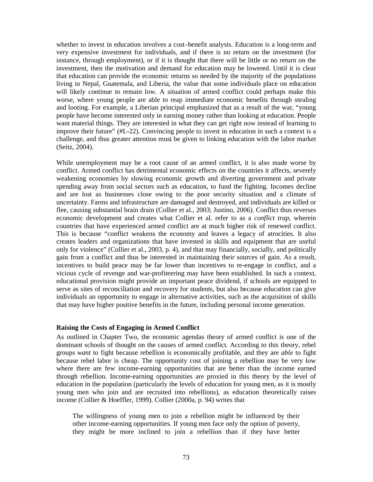whether to invest in education involves a cost–benefit analysis. Education is a long-term and very expensive investment for individuals, and if there is no return on the investment (for instance, through employment), or if it is thought that there will be little or no return on the investment, then the motivation and demand for education may be lowered. Until it is clear that education can provide the economic returns so needed by the majority of the populations living in Nepal, Guatemala, and Liberia, the value that some individuals place on education will likely continue to remain low. A situation of armed conflict could perhaps make this worse, where young people are able to reap immediate economic benefits through stealing and looting. For example, a Liberian principal emphasized that as a result of the war, "young people have become interested only in earning money rather than looking at education. People want material things. They are interested in what they can get right now instead of learning to improve their future" (#L-22). Convincing people to invest in education in such a context is a challenge, and thus greater attention must be given to linking education with the labor market (Seitz, 2004).

While unemployment may be a root cause of an armed conflict, it is also made worse by conflict. Armed conflict has detrimental economic effects on the countries it affects, severely weakening economies by slowing economic growth and diverting government and private spending away from social sectors such as education, to fund the fighting. Incomes decline and are lost as businesses close owing to the poor security situation and a climate of uncertainty. Farms and infrastructure are damaged and destroyed, and individuals are killed or flee, causing substantial brain drain (Collier et al., 2003; Justino, 2006). Conflict thus reverses economic development and creates what Collier et al. refer to as a *conflict trap*, wherein countries that have experienced armed conflict are at much higher risk of renewed conflict. This is because "conflict weakens the economy and leaves a legacy of atrocities. It also creates leaders and organizations that have invested in skills and equipment that are useful only for violence" (Collier et al., 2003, p. 4), and that may financially, socially, and politically gain from a conflict and thus be interested in maintaining their sources of gain. As a result, incentives to build peace may be far lower than incentives to re-engage in conflict, and a vicious cycle of revenge and war-profiteering may have been established. In such a context, educational provision might provide an important peace dividend, if schools are equipped to serve as sites of reconciliation and recovery for students, but also because education can give individuals an opportunity to engage in alternative activities, such as the acquisition of skills that may have higher positive benefits in the future, including personal income generation.

#### **Raising the Costs of Engaging in Armed Conflict**

As outlined in Chapter Two, the economic agendas theory of armed conflict is one of the dominant schools of thought on the causes of armed conflict. According to this theory, rebel groups *want* to fight because rebellion is economically profitable, and they are *able* to fight because rebel labor is cheap. The opportunity cost of joining a rebellion may be very low where there are few income-earning opportunities that are better than the income earned through rebellion. Income-earning opportunities are proxied in this theory by the level of education in the population (particularly the levels of education for young men, as it is mostly young men who join and are recruited into rebellions), as education theoretically raises income (Collier & Hoeffler, 1999). Collier (2000a, p. 94) writes that

The willingness of young men to join a rebellion might be influenced by their other income-earning opportunities. If young men face only the option of poverty, they might be more inclined to join a rebellion than if they have better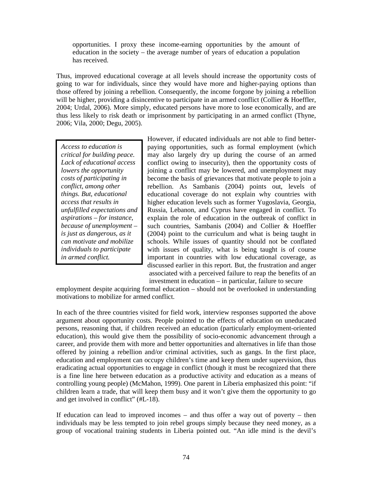opportunities. I proxy these income-earning opportunities by the amount of education in the society – the average number of years of education a population has received.

Thus, improved educational coverage at all levels should increase the opportunity costs of going to war for individuals, since they would have more and higher-paying options than those offered by joining a rebellion. Consequently, the income forgone by joining a rebellion will be higher, providing a disincentive to participate in an armed conflict (Collier & Hoeffler, 2004; Urdal, 2006). More simply, educated persons have more to lose economically, and are thus less likely to risk death or imprisonment by participating in an armed conflict (Thyne, 2006; Vila, 2000; Degu, 2005).

*Access to education is critical for building peace. Lack of educational access lowers the opportunity costs of participating in conflict, among other things. But, educational access that results in unfulfilled expectations and aspirations – for instance, because of unemployment – is just as dangerous, as it can motivate and mobilize individuals to participate in armed conflict.* 

However, if educated individuals are not able to find betterpaying opportunities, such as formal employment (which may also largely dry up during the course of an armed conflict owing to insecurity), then the opportunity costs of joining a conflict may be lowered, and unemployment may become the basis of grievances that motivate people to join a rebellion. As Sambanis (2004) points out, levels of educational coverage do not explain why countries with higher education levels such as former Yugoslavia, Georgia, Russia, Lebanon, and Cyprus have engaged in conflict. To explain the role of education in the outbreak of conflict in such countries, Sambanis (2004) and Collier & Hoeffler (2004) point to the curriculum and what is being taught in schools. While issues of quantity should not be conflated with issues of quality, what is being taught is of course important in countries with low educational coverage, as discussed earlier in this report. But, the frustration and anger associated with a perceived failure to reap the benefits of an investment in education – in particular, failure to secure

employment despite acquiring formal education – should not be overlooked in understanding motivations to mobilize for armed conflict.

In each of the three countries visited for field work, interview responses supported the above argument about opportunity costs. People pointed to the effects of education on uneducated persons, reasoning that, if children received an education (particularly employment-oriented education), this would give them the possibility of socio-economic advancement through a career, and provide them with more and better opportunities and alternatives in life than those offered by joining a rebellion and/or criminal activities, such as gangs. In the first place, education and employment can occupy children's time and keep them under supervision, thus eradicating actual opportunities to engage in conflict (though it must be recognized that there is a fine line here between education as a productive activity and education as a means of controlling young people) (McMahon, 1999). One parent in Liberia emphasized this point: "if children learn a trade, that will keep them busy and it won't give them the opportunity to go and get involved in conflict" (#L-18).

If education can lead to improved incomes – and thus offer a way out of poverty – then individuals may be less tempted to join rebel groups simply because they need money, as a group of vocational training students in Liberia pointed out. "An idle mind is the devil's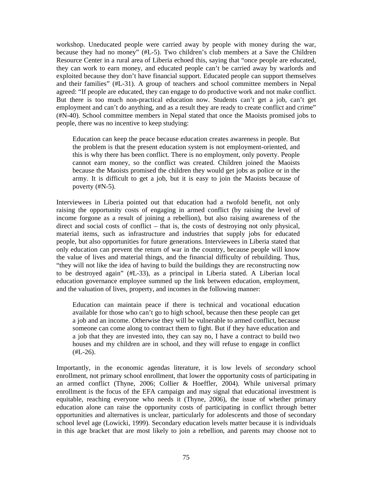workshop. Uneducated people were carried away by people with money during the war, because they had no money" (#L-5). Two children's club members at a Save the Children Resource Center in a rural area of Liberia echoed this, saying that "once people are educated, they can work to earn money, and educated people can't be carried away by warlords and exploited because they don't have financial support. Educated people can support themselves and their families" (#L-31). A group of teachers and school committee members in Nepal agreed: "If people are educated, they can engage to do productive work and not make conflict. But there is too much non-practical education now. Students can't get a job, can't get employment and can't do anything, and as a result they are ready to create conflict and crime" (#N-40). School committee members in Nepal stated that once the Maoists promised jobs to people, there was no incentive to keep studying:

Education can keep the peace because education creates awareness in people. But the problem is that the present education system is not employment-oriented, and this is why there has been conflict. There is no employment, only poverty. People cannot earn money, so the conflict was created. Children joined the Maoists because the Maoists promised the children they would get jobs as police or in the army. It is difficult to get a job, but it is easy to join the Maoists because of poverty (#N-5).

Interviewees in Liberia pointed out that education had a twofold benefit, not only raising the opportunity costs of engaging in armed conflict (by raising the level of income forgone as a result of joining a rebellion), but also raising awareness of the direct and social costs of conflict – that is, the costs of destroying not only physical, material items, such as infrastructure and industries that supply jobs for educated people, but also opportunities for future generations. Interviewees in Liberia stated that only education can prevent the return of war in the country, because people will know the value of lives and material things, and the financial difficulty of rebuilding. Thus, "they will not like the idea of having to build the buildings they are reconstructing now to be destroyed again" (#L-33), as a principal in Liberia stated. A Liberian local education governance employee summed up the link between education, employment, and the valuation of lives, property, and incomes in the following manner:

Education can maintain peace if there is technical and vocational education available for those who can't go to high school, because then these people can get a job and an income. Otherwise they will be vulnerable to armed conflict, because someone can come along to contract them to fight. But if they have education and a job that they are invested into, they can say no, I have a contract to build two houses and my children are in school, and they will refuse to engage in conflict  $(HL-26)$ .

Importantly, in the economic agendas literature, it is low levels of *secondary* school enrollment, not primary school enrollment, that lower the opportunity costs of participating in an armed conflict (Thyne, 2006; Collier & Hoeffler, 2004). While universal primary enrollment is the focus of the EFA campaign and may signal that educational investment is equitable, reaching everyone who needs it (Thyne, 2006), the issue of whether primary education alone can raise the opportunity costs of participating in conflict through better opportunities and alternatives is unclear, particularly for adolescents and those of secondary school level age (Lowicki, 1999). Secondary education levels matter because it is individuals in this age bracket that are most likely to join a rebellion, and parents may choose not to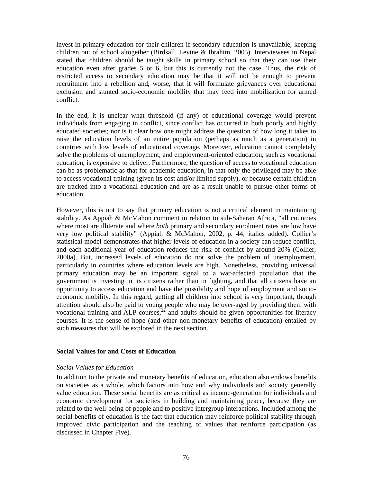invest in primary education for their children if secondary education is unavailable, keeping children out of school altogether (Birdsall, Levine & Ibrahim, 2005). Interviewees in Nepal stated that children should be taught skills in primary school so that they can use their education even after grades 5 or 6, but this is currently not the case. Thus, the risk of restricted access to secondary education may be that it will not be enough to prevent recruitment into a rebellion and, worse, that it will formulate grievances over educational exclusion and stunted socio-economic mobility that may feed into mobilization for armed conflict.

In the end, it is unclear what threshold (if any) of educational coverage would prevent individuals from engaging in conflict, since conflict has occurred in both poorly and highly educated societies; nor is it clear how one might address the question of how long it takes to raise the education levels of an entire population (perhaps as much as a generation) in countries with low levels of educational coverage. Moreover, education cannot completely solve the problems of unemployment, and employment-oriented education, such as vocational education, is expensive to deliver. Furthermore, the question of access to vocational education can be as problematic as that for academic education, in that only the privileged may be able to access vocational training (given its cost and/or limited supply), or because certain children are tracked into a vocational education and are as a result unable to pursue other forms of education.

However, this is not to say that primary education is not a critical element in maintaining stability. As Appiah & McMahon comment in relation to sub-Saharan Africa, "all countries where most are illiterate and where *both* primary and secondary enrolment rates are low have very low political stability" (Appiah & McMahon, 2002, p. 44; italics added). Collier's statistical model demonstrates that higher levels of education in a society can reduce conflict, and each additional year of education reduces the risk of conflict by around 20% (Collier, 2000a). But, increased levels of education do not solve the problem of unemployment, particularly in countries where education levels are high. Nonetheless, providing universal primary education may be an important signal to a war-affected population that the government is investing in its citizens rather than in fighting, and that all citizens have an opportunity to access education and have the possibility and hope of employment and socioeconomic mobility. In this regard, getting all children into school is very important, though attention should also be paid to young people who may be over-aged by providing them with vocational training and ALP courses,  $^{22}$  and adults should be given opportunities for literacy courses. It is the sense of hope (and other non-monetary benefits of education) entailed by such measures that will be explored in the next section.

### **Social Values for and Costs of Education**

### *Social Values for Education*

In addition to the private and monetary benefits of education, education also endows benefits on societies as a whole, which factors into how and why individuals and society generally value education. These social benefits are as critical as income-generation for individuals and economic development for societies in building and maintaining peace, because they are related to the well-being of people and to positive intergroup interactions. Included among the social benefits of education is the fact that education may reinforce political stability through improved civic participation and the teaching of values that reinforce participation (as discussed in Chapter Five).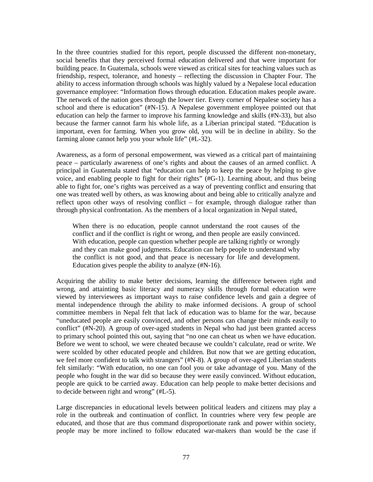In the three countries studied for this report, people discussed the different non-monetary, social benefits that they perceived formal education delivered and that were important for building peace. In Guatemala, schools were viewed as critical sites for teaching values such as friendship, respect, tolerance, and honesty – reflecting the discussion in Chapter Four. The ability to access information through schools was highly valued by a Nepalese local education governance employee: "Information flows through education. Education makes people aware. The network of the nation goes through the lower tier. Every corner of Nepalese society has a school and there is education" (#N-15). A Nepalese government employee pointed out that education can help the farmer to improve his farming knowledge and skills (#N-33), but also because the farmer cannot farm his whole life, as a Liberian principal stated. "Education is important, even for farming. When you grow old, you will be in decline in ability. So the farming alone cannot help you your whole life" (#L-32).

Awareness, as a form of personal empowerment, was viewed as a critical part of maintaining peace – particularly awareness of one's rights and about the causes of an armed conflict. A principal in Guatemala stated that "education can help to keep the peace by helping to give voice, and enabling people to fight for their rights" (#G-1). Learning about, and thus being able to fight for, one's rights was perceived as a way of preventing conflict and ensuring that one was treated well by others, as was knowing about and being able to critically analyze and reflect upon other ways of resolving conflict – for example, through dialogue rather than through physical confrontation. As the members of a local organization in Nepal stated,

When there is no education, people cannot understand the root causes of the conflict and if the conflict is right or wrong, and then people are easily convinced. With education, people can question whether people are talking rightly or wrongly and they can make good judgments. Education can help people to understand why the conflict is not good, and that peace is necessary for life and development. Education gives people the ability to analyze (#N-16).

Acquiring the ability to make better decisions, learning the difference between right and wrong, and attainting basic literacy and numeracy skills through formal education were viewed by interviewees as important ways to raise confidence levels and gain a degree of mental independence through the ability to make informed decisions. A group of school committee members in Nepal felt that lack of education was to blame for the war, because "uneducated people are easily convinced, and other persons can change their minds easily to conflict" (#N-20). A group of over-aged students in Nepal who had just been granted access to primary school pointed this out, saying that "no one can cheat us when we have education. Before we went to school, we were cheated because we couldn't calculate, read or write. We were scolded by other educated people and children. But now that we are getting education, we feel more confident to talk with strangers" (#N-8). A group of over-aged Liberian students felt similarly: "With education, no one can fool you or take advantage of you. Many of the people who fought in the war did so because they were easily convinced. Without education, people are quick to be carried away. Education can help people to make better decisions and to decide between right and wrong" (#L-5).

Large discrepancies in educational levels between political leaders and citizens may play a role in the outbreak and continuation of conflict. In countries where very few people are educated, and those that are thus command disproportionate rank and power within society, people may be more inclined to follow educated war-makers than would be the case if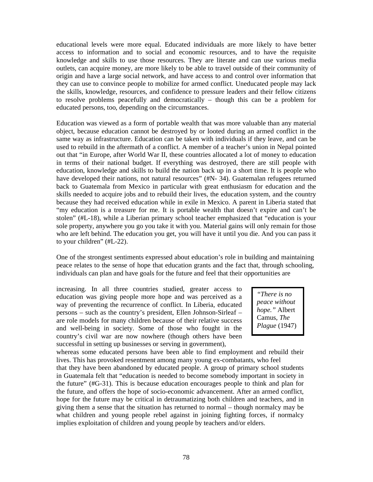educational levels were more equal. Educated individuals are more likely to have better access to information and to social and economic resources, and to have the requisite knowledge and skills to use those resources. They are literate and can use various media outlets, can acquire money, are more likely to be able to travel outside of their community of origin and have a large social network, and have access to and control over information that they can use to convince people to mobilize for armed conflict. Uneducated people may lack the skills, knowledge, resources, and confidence to pressure leaders and their fellow citizens to resolve problems peacefully and democratically – though this can be a problem for educated persons, too, depending on the circumstances.

Education was viewed as a form of portable wealth that was more valuable than any material object, because education cannot be destroyed by or looted during an armed conflict in the same way as infrastructure. Education can be taken with individuals if they leave, and can be used to rebuild in the aftermath of a conflict. A member of a teacher's union in Nepal pointed out that "in Europe, after World War II, these countries allocated a lot of money to education in terms of their national budget. If everything was destroyed, there are still people with education, knowledge and skills to build the nation back up in a short time. It is people who have developed their nations, not natural resources" (#N-34). Guatemalan refugees returned back to Guatemala from Mexico in particular with great enthusiasm for education and the skills needed to acquire jobs and to rebuild their lives, the education system, and the country because they had received education while in exile in Mexico. A parent in Liberia stated that "my education is a treasure for me. It is portable wealth that doesn't expire and can't be stolen" (#L-18), while a Liberian primary school teacher emphasized that "education is your sole property, anywhere you go you take it with you. Material gains will only remain for those who are left behind. The education you get, you will have it until you die. And you can pass it to your children" (#L-22).

One of the strongest sentiments expressed about education's role in building and maintaining peace relates to the sense of hope that education grants and the fact that, through schooling, individuals can plan and have goals for the future and feel that their opportunities are

increasing. In all three countries studied, greater access to education was giving people more hope and was perceived as a way of preventing the recurrence of conflict. In Liberia, educated persons – such as the country's president, Ellen Johnson-Sirleaf – are role models for many children because of their relative success and well-being in society. Some of those who fought in the country's civil war are now nowhere (though others have been successful in setting up businesses or serving in government),

*"There is no peace without hope."* Albert Camus, *The Plague* (1947)

whereas some educated persons have been able to find employment and rebuild their lives. This has provoked resentment among many young ex-combatants, who feel

that they have been abandoned by educated people. A group of primary school students in Guatemala felt that "education is needed to become somebody important in society in the future" (#G-31). This is because education encourages people to think and plan for the future, and offers the hope of socio-economic advancement. After an armed conflict, hope for the future may be critical in detraumatizing both children and teachers, and in giving them a sense that the situation has returned to normal – though normalcy may be what children and young people rebel against in joining fighting forces, if normalcy implies exploitation of children and young people by teachers and/or elders.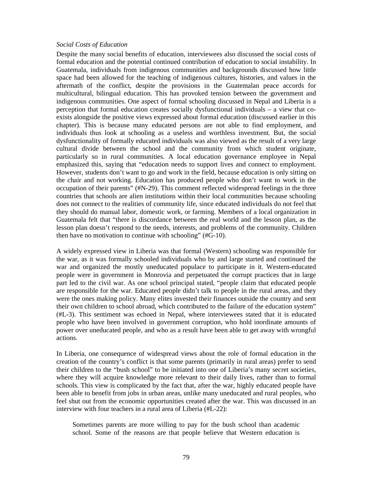#### *Social Costs of Education*

Despite the many social benefits of education, interviewees also discussed the social costs of formal education and the potential continued contribution of education to social instability. In Guatemala, individuals from indigenous communities and backgrounds discussed how little space had been allowed for the teaching of indigenous cultures, histories, and values in the aftermath of the conflict, despite the provisions in the Guatemalan peace accords for multicultural, bilingual education. This has provoked tension between the government and indigenous communities. One aspect of formal schooling discussed in Nepal and Liberia is a perception that formal education creates socially dysfunctional individuals – a view that coexists alongside the positive views expressed about formal education (discussed earlier in this chapter). This is because many educated persons are not able to find employment, and individuals thus look at schooling as a useless and worthless investment. But, the social dysfunctionality of formally educated individuals was also viewed as the result of a very large cultural divide between the school and the community from which student originate, particularly so in rural communities. A local education governance employee in Nepal emphasized this, saying that "education needs to support lives and connect to employment. However, students don't want to go and work in the field, because education is only sitting on the chair and not working. Education has produced people who don't want to work in the occupation of their parents" (#N-29). This comment reflected widespread feelings in the three countries that schools are alien institutions within their local communities because schooling does not connect to the realities of community life, since educated individuals do not feel that they should do manual labor, domestic work, or farming. Members of a local organization in Guatemala felt that "there is discordance between the real world and the lesson plan, as the lesson plan doesn't respond to the needs, interests, and problems of the community. Children then have no motivation to continue with schooling" (#G-10).

A widely expressed view in Liberia was that formal (Western) schooling was responsible for the war, as it was formally schooled individuals who by and large started and continued the war and organized the mostly uneducated populace to participate in it. Western-educated people were in government in Monrovia and perpetuated the corrupt practices that in large part led to the civil war. As one school principal stated, "people claim that educated people are responsible for the war. Educated people didn't talk to people in the rural areas, and they were the ones making policy. Many elites invested their finances outside the country and sent their own children to school abroad, which contributed to the failure of the education system" (#L-3). This sentiment was echoed in Nepal, where interviewees stated that it is educated people who have been involved in government corruption, who hold inordinate amounts of power over uneducated people, and who as a result have been able to get away with wrongful actions.

In Liberia, one consequence of widespread views about the role of formal education in the creation of the country's conflict is that some parents (primarily in rural areas) prefer to send their children to the "bush school" to be initiated into one of Liberia's many secret societies, where they will acquire knowledge more relevant to their daily lives, rather than to formal schools. This view is complicated by the fact that, after the war, highly educated people have been able to benefit from jobs in urban areas, unlike many uneducated and rural peoples, who feel shut out from the economic opportunities created after the war. This was discussed in an interview with four teachers in a rural area of Liberia (#L-22):

Sometimes parents are more willing to pay for the bush school than academic school. Some of the reasons are that people believe that Western education is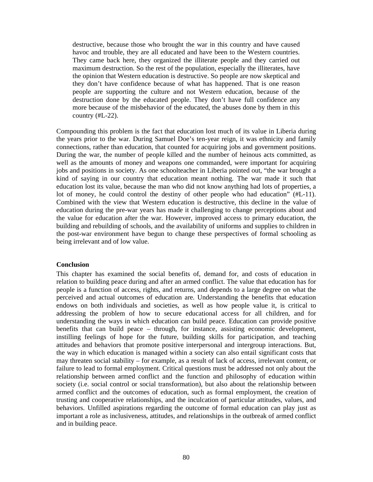destructive, because those who brought the war in this country and have caused havoc and trouble, they are all educated and have been to the Western countries. They came back here, they organized the illiterate people and they carried out maximum destruction. So the rest of the population, especially the illiterates, have the opinion that Western education is destructive. So people are now skeptical and they don't have confidence because of what has happened. That is one reason people are supporting the culture and not Western education, because of the destruction done by the educated people. They don't have full confidence any more because of the misbehavior of the educated, the abuses done by them in this country (#L-22).

Compounding this problem is the fact that education lost much of its value in Liberia during the years prior to the war. During Samuel Doe's ten-year reign, it was ethnicity and family connections, rather than education, that counted for acquiring jobs and government positions. During the war, the number of people killed and the number of heinous acts committed, as well as the amounts of money and weapons one commanded, were important for acquiring jobs and positions in society. As one schoolteacher in Liberia pointed out, "the war brought a kind of saying in our country that education meant nothing. The war made it such that education lost its value, because the man who did not know anything had lots of properties, a lot of money, he could control the destiny of other people who had education" (#L-11). Combined with the view that Western education is destructive, this decline in the value of education during the pre-war years has made it challenging to change perceptions about and the value for education after the war. However, improved access to primary education, the building and rebuilding of schools, and the availability of uniforms and supplies to children in the post-war environment have begun to change these perspectives of formal schooling as being irrelevant and of low value.

#### **Conclusion**

This chapter has examined the social benefits of, demand for, and costs of education in relation to building peace during and after an armed conflict. The value that education has for people is a function of access, rights, and returns, and depends to a large degree on what the perceived and actual outcomes of education are. Understanding the benefits that education endows on both individuals and societies, as well as how people value it, is critical to addressing the problem of how to secure educational access for all children, and for understanding the ways in which education can build peace. Education can provide positive benefits that can build peace – through, for instance, assisting economic development, instilling feelings of hope for the future, building skills for participation, and teaching attitudes and behaviors that promote positive interpersonal and intergroup interactions. But, the way in which education is managed within a society can also entail significant costs that may threaten social stability – for example, as a result of lack of access, irrelevant content, or failure to lead to formal employment. Critical questions must be addressed not only about the relationship between armed conflict and the function and philosophy of education within society (i.e. social control or social transformation), but also about the relationship between armed conflict and the outcomes of education, such as formal employment, the creation of trusting and cooperative relationships, and the inculcation of particular attitudes, values, and behaviors. Unfilled aspirations regarding the outcome of formal education can play just as important a role as inclusiveness, attitudes, and relationships in the outbreak of armed conflict and in building peace.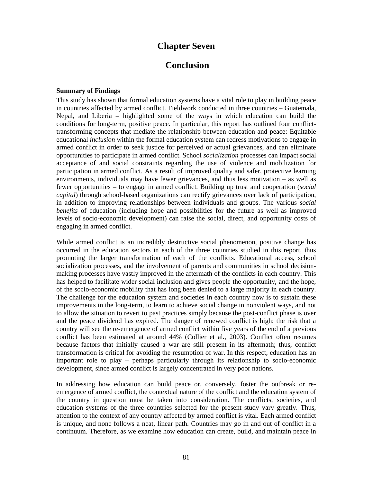## **Chapter Seven**

## **Conclusion**

#### **Summary of Findings**

This study has shown that formal education systems have a vital role to play in building peace in countries affected by armed conflict. Fieldwork conducted in three countries – Guatemala, Nepal, and Liberia – highlighted some of the ways in which education can build the conditions for long-term, positive peace. In particular, this report has outlined four conflicttransforming concepts that mediate the relationship between education and peace: Equitable educational *inclusion* within the formal education system can redress motivations to engage in armed conflict in order to seek justice for perceived or actual grievances, and can eliminate opportunities to participate in armed conflict. School *socialization* processes can impact social acceptance of and social constraints regarding the use of violence and mobilization for participation in armed conflict. As a result of improved quality and safer, protective learning environments, individuals may have fewer grievances, and thus less motivation – as well as fewer opportunities – to engage in armed conflict. Building up trust and cooperation (*social capital*) through school-based organizations can rectify grievances over lack of participation, in addition to improving relationships between individuals and groups. The various *social benefits* of education (including hope and possibilities for the future as well as improved levels of socio-economic development) can raise the social, direct, and opportunity costs of engaging in armed conflict.

While armed conflict is an incredibly destructive social phenomenon, positive change has occurred in the education sectors in each of the three countries studied in this report, thus promoting the larger transformation of each of the conflicts. Educational access, school socialization processes, and the involvement of parents and communities in school decisionmaking processes have vastly improved in the aftermath of the conflicts in each country. This has helped to facilitate wider social inclusion and gives people the opportunity, and the hope, of the socio-economic mobility that has long been denied to a large majority in each country. The challenge for the education system and societies in each country now is to sustain these improvements in the long-term, to learn to achieve social change in nonviolent ways, and not to allow the situation to revert to past practices simply because the post-conflict phase is over and the peace dividend has expired. The danger of renewed conflict is high: the risk that a country will see the re-emergence of armed conflict within five years of the end of a previous conflict has been estimated at around 44% (Collier et al., 2003). Conflict often resumes because factors that initially caused a war are still present in its aftermath; thus, conflict transformation is critical for avoiding the resumption of war. In this respect, education has an important role to play – perhaps particularly through its relationship to socio-economic development, since armed conflict is largely concentrated in very poor nations.

In addressing how education can build peace or, conversely, foster the outbreak or reemergence of armed conflict, the contextual nature of the conflict and the education system of the country in question must be taken into consideration. The conflicts, societies, and education systems of the three countries selected for the present study vary greatly. Thus, attention to the context of any country affected by armed conflict is vital. Each armed conflict is unique, and none follows a neat, linear path. Countries may go in and out of conflict in a continuum. Therefore, as we examine how education can create, build, and maintain peace in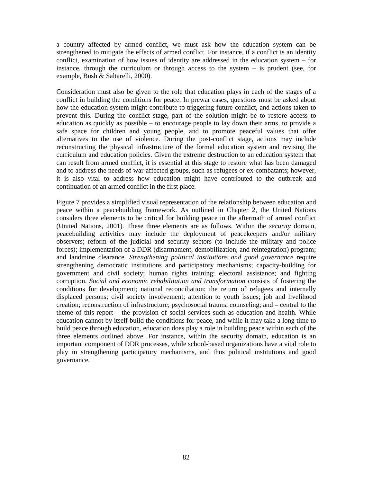a country affected by armed conflict, we must ask how the education system can be strengthened to mitigate the effects of armed conflict. For instance, if a conflict is an identity conflict, examination of how issues of identity are addressed in the education system – for instance, through the curriculum or through access to the system – is prudent (see, for example, Bush & Saltarelli, 2000).

Consideration must also be given to the role that education plays in each of the stages of a conflict in building the conditions for peace. In prewar cases, questions must be asked about how the education system might contribute to triggering future conflict, and actions taken to prevent this. During the conflict stage, part of the solution might be to restore access to education as quickly as possible – to encourage people to lay down their arms, to provide a safe space for children and young people, and to promote peaceful values that offer alternatives to the use of violence. During the post-conflict stage, actions may include reconstructing the physical infrastructure of the formal education system and revising the curriculum and education policies. Given the extreme destruction to an education system that can result from armed conflict, it is essential at this stage to restore what has been damaged and to address the needs of war-affected groups, such as refugees or ex-combatants; however, it is also vital to address how education might have contributed to the outbreak and continuation of an armed conflict in the first place.

Figure 7 provides a simplified visual representation of the relationship between education and peace within a peacebuilding framework. As outlined in Chapter 2, the United Nations considers three elements to be critical for building peace in the aftermath of armed conflict (United Nations, 2001). These three elements are as follows. Within the *security* domain, peacebuilding activities may include the deployment of peacekeepers and/or military observers; reform of the judicial and security sectors (to include the military and police forces); implementation of a DDR (disarmament, demobilization, and reintegration) program; and landmine clearance. *Strengthening political institutions and good governance* require strengthening democratic institutions and participatory mechanisms; capacity-building for government and civil society; human rights training; electoral assistance; and fighting corruption. *Social and economic rehabilitation and transformation* consists of fostering the conditions for development; national reconciliation; the return of refugees and internally displaced persons; civil society involvement; attention to youth issues; job and livelihood creation; reconstruction of infrastructure; psychosocial trauma counseling; and – central to the theme of this report – the provision of social services such as education and health. While education cannot by itself build the conditions for peace, and while it may take a long time to build peace through education, education does play a role in building peace within each of the three elements outlined above. For instance, within the security domain, education is an important component of DDR processes, while school-based organizations have a vital role to play in strengthening participatory mechanisms, and thus political institutions and good governance.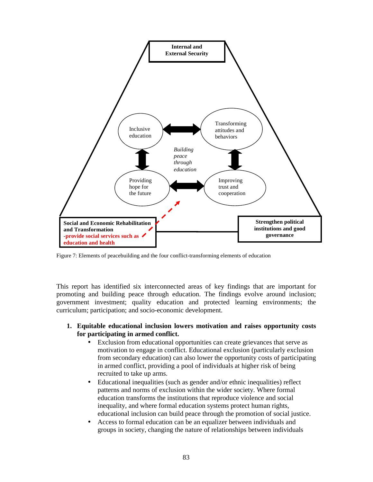

Figure 7: Elements of peacebuilding and the four conflict-transforming elements of education

This report has identified six interconnected areas of key findings that are important for promoting and building peace through education. The findings evolve around inclusion; government investment; quality education and protected learning environments; the curriculum; participation; and socio-economic development.

- **1. Equitable educational inclusion lowers motivation and raises opportunity costs for participating in armed conflict.** 
	- Exclusion from educational opportunities can create grievances that serve as motivation to engage in conflict. Educational exclusion (particularly exclusion from secondary education) can also lower the opportunity costs of participating in armed conflict, providing a pool of individuals at higher risk of being recruited to take up arms.
	- Educational inequalities (such as gender and/or ethnic inequalities) reflect patterns and norms of exclusion within the wider society. Where formal education transforms the institutions that reproduce violence and social inequality, and where formal education systems protect human rights, educational inclusion can build peace through the promotion of social justice.
	- Access to formal education can be an equalizer between individuals and groups in society, changing the nature of relationships between individuals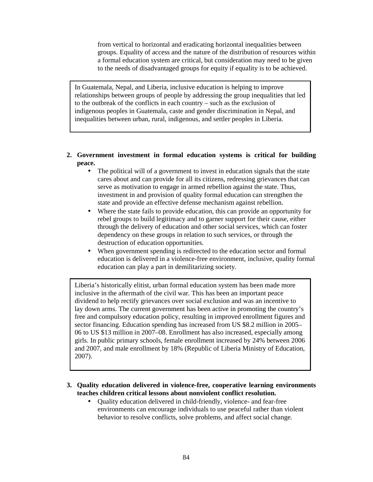from vertical to horizontal and eradicating horizontal inequalities between groups. Equality of access and the nature of the distribution of resources within a formal education system are critical, but consideration may need to be given to the needs of disadvantaged groups for equity if equality is to be achieved.

In Guatemala, Nepal, and Liberia, inclusive education is helping to improve relationships between groups of people by addressing the group inequalities that led to the outbreak of the conflicts in each country – such as the exclusion of indigenous peoples in Guatemala, caste and gender discrimination in Nepal, and inequalities between urban, rural, indigenous, and settler peoples in Liberia.

## **2. Government investment in formal education systems is critical for building peace.**

- The political will of a government to invest in education signals that the state cares about and can provide for all its citizens, redressing grievances that can serve as motivation to engage in armed rebellion against the state. Thus, investment in and provision of quality formal education can strengthen the state and provide an effective defense mechanism against rebellion.
- Where the state fails to provide education, this can provide an opportunity for rebel groups to build legitimacy and to garner support for their cause, either through the delivery of education and other social services, which can foster dependency on these groups in relation to such services, or through the destruction of education opportunities.
- When government spending is redirected to the education sector and formal education is delivered in a violence-free environment, inclusive, quality formal education can play a part in demilitarizing society.

Liberia's historically elitist, urban formal education system has been made more inclusive in the aftermath of the civil war. This has been an important peace dividend to help rectify grievances over social exclusion and was an incentive to lay down arms. The current government has been active in promoting the country's free and compulsory education policy, resulting in improved enrollment figures and sector financing. Education spending has increased from US \$8.2 million in 2005– 06 to US \$13 million in 2007–08. Enrollment has also increased, especially among girls. In public primary schools, female enrollment increased by 24% between 2006 and 2007, and male enrollment by 18% (Republic of Liberia Ministry of Education, 2007).

- **3. Quality education delivered in violence-free, cooperative learning environments teaches children critical lessons about nonviolent conflict resolution.**
	- Ouality education delivered in child-friendly, violence- and fear-free environments can encourage individuals to use peaceful rather than violent behavior to resolve conflicts, solve problems, and affect social change.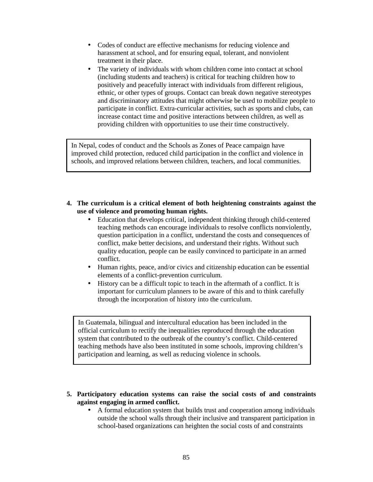- Codes of conduct are effective mechanisms for reducing violence and harassment at school, and for ensuring equal, tolerant, and nonviolent treatment in their place.
- The variety of individuals with whom children come into contact at school (including students and teachers) is critical for teaching children how to positively and peacefully interact with individuals from different religious, ethnic, or other types of groups. Contact can break down negative stereotypes and discriminatory attitudes that might otherwise be used to mobilize people to participate in conflict. Extra-curricular activities, such as sports and clubs, can increase contact time and positive interactions between children, as well as providing children with opportunities to use their time constructively.

In Nepal, codes of conduct and the Schools as Zones of Peace campaign have improved child protection, reduced child participation in the conflict and violence in schools, and improved relations between children, teachers, and local communities.

- **4. The curriculum is a critical element of both heightening constraints against the use of violence and promoting human rights.**
	- Education that develops critical, independent thinking through child-centered teaching methods can encourage individuals to resolve conflicts nonviolently, question participation in a conflict, understand the costs and consequences of conflict, make better decisions, and understand their rights. Without such quality education, people can be easily convinced to participate in an armed conflict.
	- Human rights, peace, and/or civics and citizenship education can be essential elements of a conflict-prevention curriculum.
	- History can be a difficult topic to teach in the aftermath of a conflict. It is important for curriculum planners to be aware of this and to think carefully through the incorporation of history into the curriculum.

In Guatemala, bilingual and intercultural education has been included in the official curriculum to rectify the inequalities reproduced through the education system that contributed to the outbreak of the country's conflict. Child-centered teaching methods have also been instituted in some schools, improving children's participation and learning, as well as reducing violence in schools.

- **5. Participatory education systems can raise the social costs of and constraints against engaging in armed conflict.**
	- A formal education system that builds trust and cooperation among individuals outside the school walls through their inclusive and transparent participation in school-based organizations can heighten the social costs of and constraints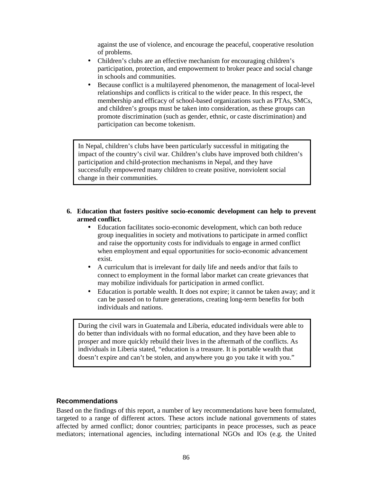against the use of violence, and encourage the peaceful, cooperative resolution of problems.

- Children's clubs are an effective mechanism for encouraging children's participation, protection, and empowerment to broker peace and social change in schools and communities.
- Because conflict is a multilayered phenomenon, the management of local-level relationships and conflicts is critical to the wider peace. In this respect, the membership and efficacy of school-based organizations such as PTAs, SMCs, and children's groups must be taken into consideration, as these groups can promote discrimination (such as gender, ethnic, or caste discrimination) and participation can become tokenism.

In Nepal, children's clubs have been particularly successful in mitigating the impact of the country's civil war. Children's clubs have improved both children's participation and child-protection mechanisms in Nepal, and they have successfully empowered many children to create positive, nonviolent social change in their communities.

### **6. Education that fosters positive socio-economic development can help to prevent armed conflict.**

- Education facilitates socio-economic development, which can both reduce group inequalities in society and motivations to participate in armed conflict and raise the opportunity costs for individuals to engage in armed conflict when employment and equal opportunities for socio-economic advancement exist.
- A curriculum that is irrelevant for daily life and needs and/or that fails to connect to employment in the formal labor market can create grievances that may mobilize individuals for participation in armed conflict.
- Education is portable wealth. It does not expire; it cannot be taken away; and it can be passed on to future generations, creating long-term benefits for both individuals and nations.

During the civil wars in Guatemala and Liberia, educated individuals were able to do better than individuals with no formal education, and they have been able to prosper and more quickly rebuild their lives in the aftermath of the conflicts. As individuals in Liberia stated, "education is a treasure. It is portable wealth that doesn't expire and can't be stolen, and anywhere you go you take it with you."

## **Recommendations**

Based on the findings of this report, a number of key recommendations have been formulated, targeted to a range of different actors. These actors include national governments of states affected by armed conflict; donor countries; participants in peace processes, such as peace mediators; international agencies, including international NGOs and IOs (e.g. the United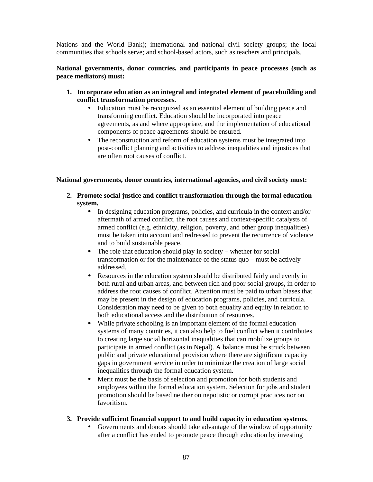Nations and the World Bank); international and national civil society groups; the local communities that schools serve; and school-based actors, such as teachers and principals.

## **National governments, donor countries, and participants in peace processes (such as peace mediators) must:**

- **1. Incorporate education as an integral and integrated element of peacebuilding and conflict transformation processes.** 
	- Education must be recognized as an essential element of building peace and transforming conflict. Education should be incorporated into peace agreements, as and where appropriate, and the implementation of educational components of peace agreements should be ensured.
	- The reconstruction and reform of education systems must be integrated into post-conflict planning and activities to address inequalities and injustices that are often root causes of conflict.

### **National governments, donor countries, international agencies, and civil society must:**

- **2. Promote social justice and conflict transformation through the formal education system.** 
	- In designing education programs, policies, and curricula in the context and/or aftermath of armed conflict, the root causes and context-specific catalysts of armed conflict (e.g. ethnicity, religion, poverty, and other group inequalities) must be taken into account and redressed to prevent the recurrence of violence and to build sustainable peace.
	- The role that education should play in society whether for social transformation or for the maintenance of the status quo – must be actively addressed.
	- Resources in the education system should be distributed fairly and evenly in both rural and urban areas, and between rich and poor social groups, in order to address the root causes of conflict. Attention must be paid to urban biases that may be present in the design of education programs, policies, and curricula. Consideration may need to be given to both equality and equity in relation to both educational access and the distribution of resources.
	- While private schooling is an important element of the formal education systems of many countries, it can also help to fuel conflict when it contributes to creating large social horizontal inequalities that can mobilize groups to participate in armed conflict (as in Nepal). A balance must be struck between public and private educational provision where there are significant capacity gaps in government service in order to minimize the creation of large social inequalities through the formal education system.
	- Merit must be the basis of selection and promotion for both students and employees within the formal education system. Selection for jobs and student promotion should be based neither on nepotistic or corrupt practices nor on favoritism.

## **3. Provide sufficient financial support to and build capacity in education systems.**

• Governments and donors should take advantage of the window of opportunity after a conflict has ended to promote peace through education by investing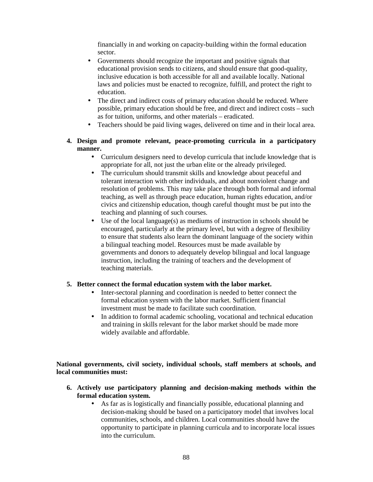financially in and working on capacity-building within the formal education sector.

- Governments should recognize the important and positive signals that educational provision sends to citizens, and should ensure that good-quality, inclusive education is both accessible for all and available locally. National laws and policies must be enacted to recognize, fulfill, and protect the right to education.
- The direct and indirect costs of primary education should be reduced. Where possible, primary education should be free, and direct and indirect costs – such as for tuition, uniforms, and other materials – eradicated.
- Teachers should be paid living wages, delivered on time and in their local area.
- **4. Design and promote relevant, peace-promoting curricula in a participatory manner.** 
	- Curriculum designers need to develop curricula that include knowledge that is appropriate for all, not just the urban elite or the already privileged.
	- The curriculum should transmit skills and knowledge about peaceful and tolerant interaction with other individuals, and about nonviolent change and resolution of problems. This may take place through both formal and informal teaching, as well as through peace education, human rights education, and/or civics and citizenship education, though careful thought must be put into the teaching and planning of such courses.
	- Use of the local language(s) as mediums of instruction in schools should be encouraged, particularly at the primary level, but with a degree of flexibility to ensure that students also learn the dominant language of the society within a bilingual teaching model. Resources must be made available by governments and donors to adequately develop bilingual and local language instruction, including the training of teachers and the development of teaching materials.

## **5. Better connect the formal education system with the labor market.**

- Inter-sectoral planning and coordination is needed to better connect the formal education system with the labor market. Sufficient financial investment must be made to facilitate such coordination.
- In addition to formal academic schooling, vocational and technical education and training in skills relevant for the labor market should be made more widely available and affordable.

**National governments, civil society, individual schools, staff members at schools, and local communities must:** 

- **6. Actively use participatory planning and decision-making methods within the formal education system.** 
	- As far as is logistically and financially possible, educational planning and decision-making should be based on a participatory model that involves local communities, schools, and children. Local communities should have the opportunity to participate in planning curricula and to incorporate local issues into the curriculum.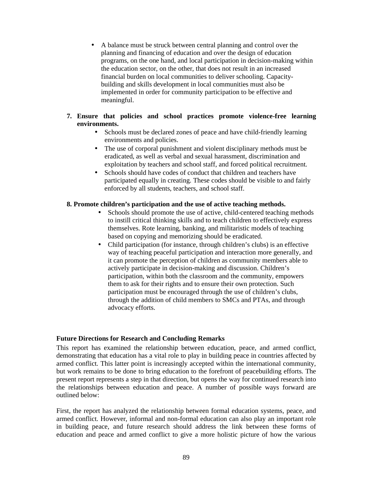• A balance must be struck between central planning and control over the planning and financing of education and over the design of education programs, on the one hand, and local participation in decision-making within the education sector, on the other, that does not result in an increased financial burden on local communities to deliver schooling. Capacitybuilding and skills development in local communities must also be implemented in order for community participation to be effective and meaningful.

## **7. Ensure that policies and school practices promote violence-free learning environments.**

- Schools must be declared zones of peace and have child-friendly learning environments and policies.
- The use of corporal punishment and violent disciplinary methods must be eradicated, as well as verbal and sexual harassment, discrimination and exploitation by teachers and school staff, and forced political recruitment.
- Schools should have codes of conduct that children and teachers have participated equally in creating. These codes should be visible to and fairly enforced by all students, teachers, and school staff.

## **8. Promote children's participation and the use of active teaching methods.**

- Schools should promote the use of active, child-centered teaching methods to instill critical thinking skills and to teach children to effectively express themselves. Rote learning, banking, and militaristic models of teaching based on copying and memorizing should be eradicated.
- Child participation (for instance, through children's clubs) is an effective way of teaching peaceful participation and interaction more generally, and it can promote the perception of children as community members able to actively participate in decision-making and discussion. Children's participation, within both the classroom and the community, empowers them to ask for their rights and to ensure their own protection. Such participation must be encouraged through the use of children's clubs, through the addition of child members to SMCs and PTAs, and through advocacy efforts.

### **Future Directions for Research and Concluding Remarks**

This report has examined the relationship between education, peace, and armed conflict, demonstrating that education has a vital role to play in building peace in countries affected by armed conflict. This latter point is increasingly accepted within the international community, but work remains to be done to bring education to the forefront of peacebuilding efforts. The present report represents a step in that direction, but opens the way for continued research into the relationships between education and peace. A number of possible ways forward are outlined below:

First, the report has analyzed the relationship between formal education systems, peace, and armed conflict. However, informal and non-formal education can also play an important role in building peace, and future research should address the link between these forms of education and peace and armed conflict to give a more holistic picture of how the various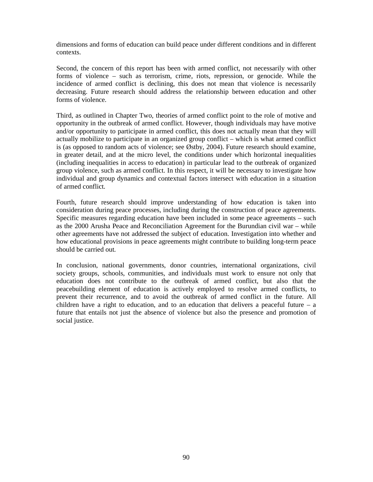dimensions and forms of education can build peace under different conditions and in different contexts.

Second, the concern of this report has been with armed conflict, not necessarily with other forms of violence – such as terrorism, crime, riots, repression, or genocide. While the incidence of armed conflict is declining, this does not mean that violence is necessarily decreasing. Future research should address the relationship between education and other forms of violence.

Third, as outlined in Chapter Two, theories of armed conflict point to the role of motive and opportunity in the outbreak of armed conflict. However, though individuals may have motive and/or opportunity to participate in armed conflict, this does not actually mean that they will actually mobilize to participate in an organized group conflict – which is what armed conflict is (as opposed to random acts of violence; see Østby, 2004). Future research should examine, in greater detail, and at the micro level, the conditions under which horizontal inequalities (including inequalities in access to education) in particular lead to the outbreak of organized group violence, such as armed conflict. In this respect, it will be necessary to investigate how individual and group dynamics and contextual factors intersect with education in a situation of armed conflict.

Fourth, future research should improve understanding of how education is taken into consideration during peace processes, including during the construction of peace agreements. Specific measures regarding education have been included in some peace agreements – such as the 2000 Arusha Peace and Reconciliation Agreement for the Burundian civil war – while other agreements have not addressed the subject of education. Investigation into whether and how educational provisions in peace agreements might contribute to building long-term peace should be carried out.

In conclusion, national governments, donor countries, international organizations, civil society groups, schools, communities, and individuals must work to ensure not only that education does not contribute to the outbreak of armed conflict, but also that the peacebuilding element of education is actively employed to resolve armed conflicts, to prevent their recurrence, and to avoid the outbreak of armed conflict in the future. All children have a right to education, and to an education that delivers a peaceful future  $-$  a future that entails not just the absence of violence but also the presence and promotion of social justice.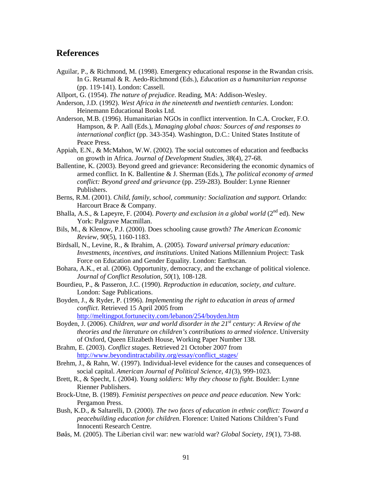## **References**

- Aguilar, P., & Richmond, M. (1998). Emergency educational response in the Rwandan crisis. In G. Retamal & R. Aedo-Richmond (Eds.), *Education as a humanitarian response* (pp. 119-141). London: Cassell.
- Allport, G. (1954). *The nature of prejudice*. Reading, MA: Addison-Wesley.

Anderson, J.D. (1992). *West Africa in the nineteenth and twentieth centuries*. London: Heinemann Educational Books Ltd.

- Anderson, M.B. (1996). Humanitarian NGOs in conflict intervention. In C.A. Crocker, F.O. Hampson, & P. Aall (Eds.), *Managing global chaos: Sources of and responses to international conflict* (pp. 343-354). Washington, D.C.: United States Institute of Peace Press.
- Appiah, E.N., & McMahon, W.W. (2002). The social outcomes of education and feedbacks on growth in Africa. *Journal of Development Studies, 38*(4)*,* 27-68.
- Ballentine, K. (2003). Beyond greed and grievance: Reconsidering the economic dynamics of armed conflict. In K. Ballentine & J. Sherman (Eds.), *The political economy of armed conflict: Beyond greed and grievance* (pp. 259-283). Boulder: Lynne Rienner Publishers.
- Berns, R.M. (2001). *Child, family, school, community: Socialization and support.* Orlando: Harcourt Brace & Company.
- Bhalla, A.S., & Lapeyre, F. (2004). *Poverty and exclusion in a global world* (2<sup>nd</sup> ed). New York: Palgrave Macmillan.
- Bils, M., & Klenow, P.J. (2000). Does schooling cause growth? *The American Economic Review, 90*(5), 1160-1183.
- Birdsall, N., Levine, R., & Ibrahim, A. (2005). *Toward universal primary education: Investments, incentives, and institutions*. United Nations Millennium Project: Task Force on Education and Gender Equality. London: Earthscan.
- Bohara, A.K., et al. (2006). Opportunity, democracy, and the exchange of political violence. *Journal of Conflict Resolution, 50*(1)*,* 108-128.
- Bourdieu, P., & Passeron, J.C. (1990). *Reproduction in education, society, and culture*. London: Sage Publications.
- Boyden, J., & Ryder, P. (1996). *Implementing the right to education in areas of armed conflict*. Retrieved 15 April 2005 from http://meltingpot.fortunecity.com/lebanon/254/boyden.htm
- Boyden, J. (2006). *Children, war and world disorder in the 21st century: A Review of the theories and the literature on children's contributions to armed violence*. University of Oxford, Queen Elizabeth House, Working Paper Number 138.
- Brahm, E. (2003). *Conflict stages*. Retrieved 21 October 2007 from http://www.beyondintractability.org/essay/conflict\_stages/
- Brehm, J., & Rahn, W. (1997). Individual-level evidence for the causes and consequences of social capital. *American Journal of Political Science, 41*(3)*,* 999-1023.
- Brett, R., & Specht, I. (2004). *Young soldiers: Why they choose to fight*. Boulder: Lynne Rienner Publishers.
- Brock-Utne, B. (1989). *Feminist perspectives on peace and peace education.* New York: Pergamon Press.
- Bush, K.D., & Saltarelli, D. (2000). *The two faces of education in ethnic conflict: Toward a peacebuilding education for children*. Florence: United Nations Children's Fund Innocenti Research Centre.
- Bøås, M. (2005). The Liberian civil war: new war/old war? *Global Society, 19*(1)*,* 73-88.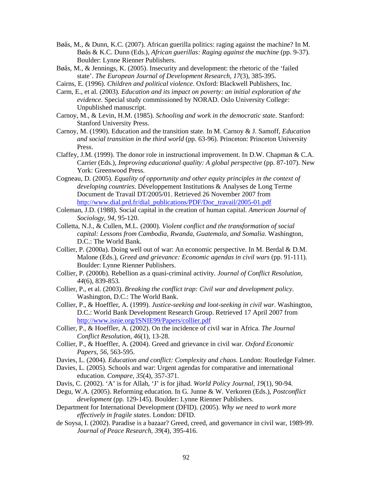- Bøås, M., & Dunn, K.C. (2007). African guerilla politics: raging against the machine? In M. Bøås & K.C. Dunn (Eds.), *African guerillas: Raging against the machine* (pp. 9-37). Boulder: Lynne Rienner Publishers.
- Bøås, M., & Jennings, K. (2005). Insecurity and development: the rhetoric of the 'failed state'. *The European Journal of Development Research, 17*(3)*,* 385-395.
- Cairns, E. (1996). *Children and political violence*. Oxford: Blackwell Publishers, Inc.
- Carm, E., et al. (2003). *Education and its impact on poverty: an initial exploration of the evidence*. Special study commissioned by NORAD. Oslo University College: Unpublished manuscript.
- Carnoy, M., & Levin, H.M. (1985). *Schooling and work in the democratic state*. Stanford: Stanford University Press.
- Carnoy, M. (1990). Education and the transition state. In M. Carnoy & J. Samoff, *Education and social transition in the third world* (pp. 63-96). Princeton: Princeton University Press.
- Claffey, J.M. (1999). The donor role in instructional improvement. In D.W. Chapman & C.A. Carrier (Eds.), *Improving educational quality: A global perspective* (pp. 87-107). New York: Greenwood Press.
- Cogneau, D. (2005). *Equality of opportunity and other equity principles in the context of developing countries*. Développement Institutions & Analyses de Long Terme Document de Travail DT/2005/01. Retrieved 26 November 2007 from http://www.dial.prd.fr/dial\_publications/PDF/Doc\_travail/2005-01.pdf
- Coleman, J.D. (1988). Social capital in the creation of human capital. *American Journal of Sociology, 94,* 95-120.
- Colletta, N.J., & Cullen, M.L. (2000). *Violent conflict and the transformation of social capital: Lessons from Cambodia, Rwanda, Guatemala, and Somalia*. Washington, D.C.: The World Bank.
- Collier, P. (2000a). Doing well out of war: An economic perspective. In M. Berdal & D.M. Malone (Eds.), *Greed and grievance: Economic agendas in civil wars* (pp. 91-111). Boulder: Lynne Rienner Publishers.
- Collier, P. (2000b). Rebellion as a quasi-criminal activity. *Journal of Conflict Resolution, 44*(6)*,* 839-853.
- Collier, P., et al. (2003). *Breaking the conflict trap: Civil war and development policy*. Washington, D.C.: The World Bank.
- Collier, P., & Hoeffler, A. (1999). *Justice-seeking and loot-seeking in civil war*. Washington, D.C.: World Bank Development Research Group. Retrieved 17 April 2007 from http://www.isnie.org/ISNIE99/Papers/collier.pdf
- Collier, P., & Hoeffler, A. (2002). On the incidence of civil war in Africa. *The Journal Conflict Resolution, 46*(1)*,* 13-28.
- Collier, P., & Hoeffler, A. (2004). Greed and grievance in civil war. *Oxford Economic Papers, 56,* 563-595.
- Davies, L. (2004). *Education and conflict: Complexity and chaos*. London: Routledge Falmer.
- Davies, L. (2005). Schools and war: Urgent agendas for comparative and international education. *Compare, 35*(4)*,* 357-371.
- Davis, C. (2002). 'A' is for Allah, 'J' is for jihad. *World Policy Journal, 19*(1), 90-94.
- Degu, W.A. (2005). Reforming education. In G. Junne & W. Verkoren (Eds.), *Postconflict development* (pp. 129-145). Boulder: Lynne Rienner Publishers.
- Department for International Development (DFID). (2005). *Why we need to work more effectively in fragile states*. London: DFID.
- de Soysa, I. (2002). Paradise is a bazaar? Greed, creed, and governance in civil war, 1989-99. *Journal of Peace Research, 39*(4), 395-416.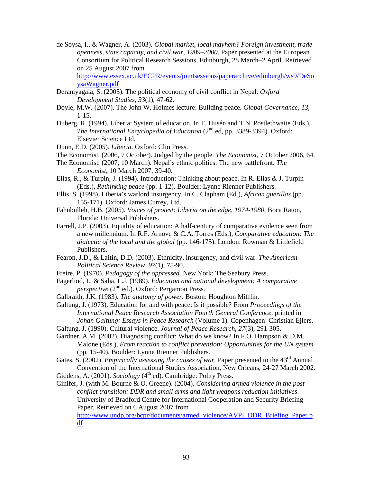de Soysa, I., & Wagner, A. (2003). *Global market, local mayhem? Foreign investment, trade openness, state capacity, and civil war, 1989–2000*. Paper presented at the European Consortium for Political Research Sessions, Edinburgh, 28 March–2 April. Retrieved on 25 August 2007 from

http://www.essex.ac.uk/ECPR/events/jointsessions/paperarchive/edinburgh/ws9/DeSo ysaWagner.pdf

- Deraniyagala, S. (2005). The political economy of civil conflict in Nepal. *Oxford Development Studies, 33*(1)*,* 47-62.
- Doyle, M.W. (2007). The John W. Holmes lecture: Building peace. *Global Governance, 13*, 1-15.
- Duberg, R. (1994). Liberia: System of education. In T. Husén and T.N. Postlethwaite (Eds.), *The International Encyclopedia of Education* (2<sup>nd</sup> ed, pp. 3389-3394). Oxford: Elsevier Science Ltd.
- Dunn, E.D. (2005). *Liberia*. Oxford: Clio Press.
- The Economist. (2006, 7 October). Judged by the people. *The Economist*, 7 October 2006, 64.
- The Economist. (2007, 10 March). Nepal's ethnic politics: The new battlefront. *The Economist,* 10 March 2007, 39-40.
- Elias, R., & Turpin, J. (1994). Introduction: Thinking about peace. In R. Elias & J. Turpin (Eds.), *Rethinking peace* (pp. 1-12). Boulder: Lynne Rienner Publishers.
- Ellis, S. (1998). Liberia's warlord insurgency. In C. Clapham (Ed.), *African guerillas* (pp. 155-171). Oxford: James Currey, Ltd.
- Fahnbulleh, H.B. (2005). *Voices of protest: Liberia on the edge, 1974-1980*. Boca Raton, Florida: Universal Publishers.
- Farrell, J.P. (2003). Equality of education: A half-century of comparative evidence seen from a new millennium. In R.F. Arnove & C.A. Torres (Eds.), *Comparative education: The dialectic of the local and the global* (pp. 146-175). London: Rowman & Littlefield Publishers.
- Fearon, J.D., & Laitin, D.D. (2003). Ethnicity, insurgency, and civil war. *The American Political Science Review, 97*(1)*,* 75-90.
- Freire, P. (1970). *Pedagogy of the oppressed*. New York: The Seabury Press.
- Fägerlind, I., & Saha, L.J. (1989). *Education and national development: A comparative perspective* (2<sup>nd</sup> ed.). Oxford: Pergamon Press.
- Galbraith, J.K. (1983). *The anatomy of power*. Boston: Houghton Mifflin.

Galtung, J. (1973). Education for and with peace: Is it possible? From *Proceedings of the International Peace Research Association Fourth General Conference*, printed in *Johan Galtung: Essays in Peace Research* (Volume 1). Copenhagen: Christian Ejlers. Galtung, J. (1990). Cultural violence. *Journal of Peace Research, 27*(3), 291-305.

- Gardner, A.M. (2002). Diagnosing conflict: What do we know? In F.O. Hampson & D.M. Malone (Eds.), *From reaction to conflict prevention: Opportunities for the UN system* (pp. 15-40). Boulder: Lynne Rienner Publishers.
- Gates, S. (2002). *Empirically assessing the causes of war*. Paper presented to the 43<sup>rd</sup> Annual Convention of the International Studies Association, New Orleans, 24-27 March 2002. Giddens, A. (2001). *Sociology* (4<sup>th</sup> ed). Cambridge: Polity Press.
- 
- Ginifer, J. (with M. Bourne & O. Greene). (2004). *Considering armed violence in the postconflict transition: DDR and small arms and light weapons reduction initiatives*. University of Bradford Centre for International Cooperation and Security Briefing Paper. Retrieved on 6 August 2007 from

http://www.undp.org/bcpr/documents/armed\_violence/AVPI\_DDR\_Briefing\_Paper.p df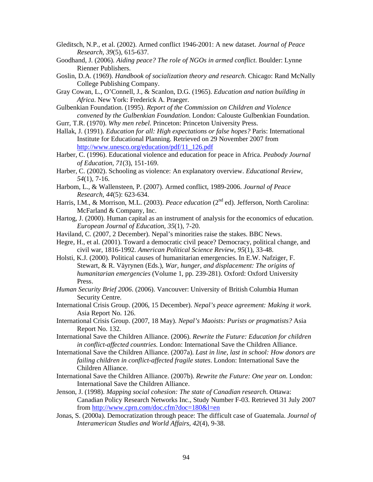- Gleditsch, N.P., et al. (2002). Armed conflict 1946-2001: A new dataset. *Journal of Peace Research, 39*(5)*,* 615-637.
- Goodhand, J. (2006). *Aiding peace? The role of NGOs in armed conflict*. Boulder: Lynne Rienner Publishers.
- Goslin, D.A. (1969). *Handbook of socialization theory and research*. Chicago: Rand McNally College Publishing Company.
- Gray Cowan, L., O'Connell, J., & Scanlon, D.G. (1965). *Education and nation building in Africa*. New York: Frederick A. Praeger.
- Gulbenkian Foundation. (1995). *Report of the Commission on Children and Violence convened by the Gulbenkian Foundation*. London: Calouste Gulbenkian Foundation.
- Gurr, T.R. (1970). *Why men rebel*. Princeton: Princeton University Press.
- Hallak, J. (1991). *Education for all: High expectations or false hopes?* Paris: International Institute for Educational Planning. Retrieved on 29 November 2007 from http://www.unesco.org/education/pdf/11\_126.pdf
- Harber, C. (1996). Educational violence and education for peace in Africa. *Peabody Journal of Education, 71*(3), 151-169.
- Harber, C. (2002). Schooling as violence: An explanatory overview. *Educational Review, 54*(1), 7-16.
- Harbom, L., & Wallensteen, P. (2007). Armed conflict, 1989-2006. *Journal of Peace Research, 44*(5): 623-634.
- Harris, I.M., & Morrison, M.L. (2003). *Peace education* (2<sup>nd</sup> ed). Jefferson, North Carolina: McFarland & Company, Inc.
- Hartog, J. (2000). Human capital as an instrument of analysis for the economics of education. *European Journal of Education, 35*(1), 7-20.
- Haviland, C. (2007, 2 December). Nepal's minorities raise the stakes. BBC News.
- Hegre, H., et al. (2001). Toward a democratic civil peace? Democracy, political change, and civil war, 1816-1992. *American Political Science Review, 95*(1)*,* 33-48.
- Holsti, K.J. (2000). Political causes of humanitarian emergencies. In E.W. Nafziger, F. Stewart, & R. Väyrynen (Eds.), *War, hunger, and displacement: The origins of humanitarian emergencies* (Volume 1, pp. 239-281). Oxford: Oxford University Press.
- *Human Security Brief 2006*. (2006). Vancouver: University of British Columbia Human Security Centre.
- International Crisis Group. (2006, 15 December). *Nepal's peace agreement: Making it work*. Asia Report No. 126.
- International Crisis Group. (2007, 18 May). *Nepal's Maoists: Purists or pragmatists?* Asia Report No. 132.
- International Save the Children Alliance. (2006). *Rewrite the Future: Education for children in conflict-affected countries*. London: International Save the Children Alliance.
- International Save the Children Alliance. (2007a). *Last in line, last in school: How donors are failing children in conflict-affected fragile states*. London: International Save the Children Alliance.
- International Save the Children Alliance. (2007b). *Rewrite the Future: One year on*. London: International Save the Children Alliance.
- Jenson, J. (1998). *Mapping social cohesion: The state of Canadian research*. Ottawa: Canadian Policy Research Networks Inc., Study Number F-03. Retrieved 31 July 2007 from http://www.cprn.com/doc.cfm?doc=180&l=en
- Jonas, S. (2000a). Democratization through peace: The difficult case of Guatemala. *Journal of Interamerican Studies and World Affairs, 42*(4), 9-38.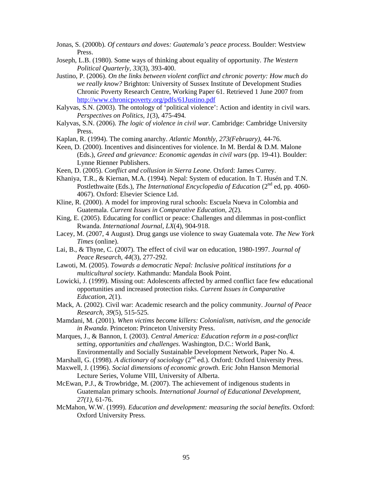- Jonas, S. (2000b). *Of centaurs and doves: Guatemala's peace process*. Boulder: Westview Press.
- Joseph, L.B. (1980). Some ways of thinking about equality of opportunity. *The Western Political Quarterly, 33*(3), 393-400.
- Justino, P. (2006). *On the links between violent conflict and chronic poverty: How much do we really know?* Brighton: University of Sussex Institute of Development Studies Chronic Poverty Research Centre, Working Paper 61. Retrieved 1 June 2007 from http://www.chronicpoverty.org/pdfs/61Justino.pdf
- Kalyvas, S.N. (2003). The ontology of 'political violence': Action and identity in civil wars. *Perspectives on Politics, 1*(3), 475-494.
- Kalyvas, S.N. (2006). *The logic of violence in civil war*. Cambridge: Cambridge University Press.
- Kaplan, R. (1994). The coming anarchy. *Atlantic Monthly, 273(February),* 44-76.
- Keen, D. (2000). Incentives and disincentives for violence. In M. Berdal & D.M. Malone (Eds.), *Greed and grievance: Economic agendas in civil wars* (pp. 19-41). Boulder: Lynne Rienner Publishers.
- Keen, D. (2005). *Conflict and collusion in Sierra Leone*. Oxford: James Currey.
- Khaniya, T.R., & Kiernan, M.A. (1994). Nepal: System of education. In T. Husén and T.N. Postlethwaite (Eds.), *The International Encyclopedia of Education* (2<sup>nd</sup> ed, pp. 4060-4067). Oxford: Elsevier Science Ltd.
- Kline, R. (2000). A model for improving rural schools: Escuela Nueva in Colombia and Guatemala. *Current Issues in Comparative Education, 2*(2).
- King, E. (2005). Educating for conflict or peace: Challenges and dilemmas in post-conflict Rwanda. *International Journal, LX*(4)*,* 904-918.
- Lacey, M. (2007, 4 August). Drug gangs use violence to sway Guatemala vote. *The New York Times* (online).
- Lai, B., & Thyne, C. (2007). The effect of civil war on education, 1980-1997. *Journal of Peace Research, 44*(3)*,* 277-292.
- Lawoti, M. (2005). *Towards a democratic Nepal: Inclusive political institutions for a multicultural society*. Kathmandu: Mandala Book Point.
- Lowicki, J. (1999). Missing out: Adolescents affected by armed conflict face few educational opportunities and increased protection risks. *Current Issues in Comparative Education, 2*(1).
- Mack, A. (2002). Civil war: Academic research and the policy community. *Journal of Peace Research, 39*(5), 515-525.
- Mamdani, M. (2001). *When victims become killers: Colonialism, nativism, and the genocide in Rwanda*. Princeton: Princeton University Press.
- Marques, J., & Bannon, I. (2003). *Central America: Education reform in a post-conflict setting, opportunities and challenges*. Washington, D.C.: World Bank, Environmentally and Socially Sustainable Development Network, Paper No. 4.
- Marshall, G. (1998). *A dictionary of sociology* (2<sup>nd</sup> ed.). Oxford: Oxford University Press.
- Maxwell, J. (1996). *Social dimensions of economic growth*. Eric John Hanson Memorial
- Lecture Series, Volume VIII, University of Alberta.
- McEwan, P.J., & Trowbridge, M. (2007). The achievement of indigenous students in Guatemalan primary schools. *International Journal of Educational Development, 27(1),* 61-76.
- McMahon, W.W. (1999). *Education and development: measuring the social benefits*. Oxford: Oxford University Press.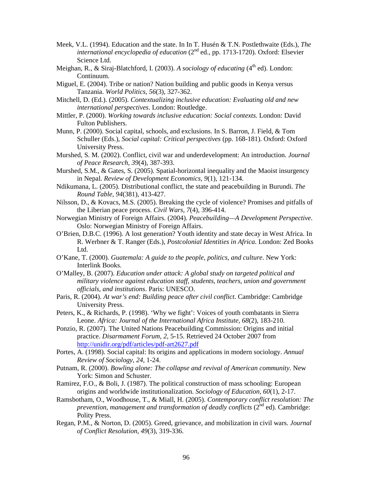- Meek, V.L. (1994). Education and the state. In In T. Husén & T.N. Postlethwaite (Eds.), *The international encyclopedia of education* (2<sup>nd</sup> ed., pp. 1713-1720). Oxford: Elsevier Science Ltd.
- Meighan, R., & Siraj-Blatchford, I. (2003). *A sociology of educating* (4<sup>th</sup> ed). London: Continuum.
- Miguel, E. (2004). Tribe or nation? Nation building and public goods in Kenya versus Tanzania. *World Politics, 56*(3), 327-362.
- Mitchell, D. (Ed.). (2005). *Contextualizing inclusive education: Evaluating old and new international perspectives*. London: Routledge.
- Mittler, P. (2000). *Working towards inclusive education: Social contexts*. London: David Fulton Publishers.
- Munn, P. (2000). Social capital, schools, and exclusions. In S. Barron, J. Field, & Tom Schuller (Eds.), *Social capital: Critical perspectives* (pp. 168-181). Oxford: Oxford University Press.
- Murshed, S. M. (2002). Conflict, civil war and underdevelopment: An introduction. *Journal of Peace Research, 39*(4), 387-393.
- Murshed, S.M., & Gates, S. (2005). Spatial-horizontal inequality and the Maoist insurgency in Nepal. *Review of Development Economics, 9*(1)*,* 121-134.
- Ndikumana, L. (2005). Distributional conflict, the state and peacebuilding in Burundi. *The Round Table, 94*(381), 413-427.
- Nilsson, D., & Kovacs, M.S. (2005). Breaking the cycle of violence? Promises and pitfalls of the Liberian peace process. *Civil Wars, 7*(4)*,* 396-414.
- Norwegian Ministry of Foreign Affairs. (2004). *Peacebuilding—A Development Perspective*. Oslo: Norwegian Ministry of Foreign Affairs.
- O'Brien, D.B.C. (1996). A lost generation? Youth identity and state decay in West Africa. In R. Werbner & T. Ranger (Eds.), *Postcolonial Identities in Africa*. London: Zed Books Ltd.
- O'Kane, T. (2000). *Guatemala: A guide to the people, politics, and culture*. New York: Interlink Books.
- O'Malley, B. (2007). *Education under attack: A global study on targeted political and military violence against education staff, students, teachers, union and government officials, and institutions*. Paris: UNESCO.
- Paris, R. (2004). *At war's end: Building peace after civil conflict*. Cambridge: Cambridge University Press.
- Peters, K., & Richards, P. (1998). 'Why we fight': Voices of youth combatants in Sierra Leone. *Africa: Journal of the International Africa Institute, 68*(2)*,* 183-210.
- Ponzio, R. (2007). The United Nations Peacebuilding Commission: Origins and initial practice. *Disarmament Forum, 2,* 5-15. Retrieved 24 October 2007 from http://unidir.org/pdf/articles/pdf-art2627.pdf
- Portes, A. (1998). Social capital: Its origins and applications in modern sociology. *Annual Review of Sociology, 24,* 1-24.
- Putnam, R. (2000). *Bowling alone: The collapse and revival of American community*. New York: Simon and Schuster.
- Ramirez, F.O., & Boli, J. (1987). The political construction of mass schooling: European origins and worldwide institutionalization. *Sociology of Education, 60*(1), 2-17.
- Ramsbotham, O., Woodhouse, T., & Miall, H. (2005). *Contemporary conflict resolution: The prevention, management and transformation of deadly conflicts* (2<sup>nd</sup> ed). Cambridge: Polity Press.
- Regan, P.M., & Norton, D. (2005). Greed, grievance, and mobilization in civil wars. *Journal of Conflict Resolution, 49*(3), 319-336.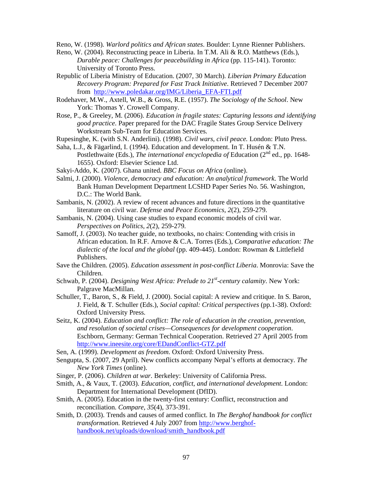Reno, W. (1998). *Warlord politics and African states*. Boulder: Lynne Rienner Publishers.

- Reno, W. (2004). Reconstructing peace in Liberia. In T.M. Ali & R.O. Matthews (Eds.), *Durable peace: Challenges for peacebuilding in Africa* (pp. 115-141). Toronto: University of Toronto Press.
- Republic of Liberia Ministry of Education. (2007, 30 March). *Liberian Primary Education Recovery Program: Prepared for Fast Track Initiative*. Retrieved 7 December 2007 from http://www.poledakar.org/IMG/Liberia\_EFA-FTI.pdf
- Rodehaver, M.W., Axtell, W.B., & Gross, R.E. (1957). *The Sociology of the School*. New York: Thomas Y. Crowell Company.
- Rose, P., & Greeley, M. (2006). *Education in fragile states: Capturing lessons and identifying good practice*. Paper prepared for the DAC Fragile States Group Service Delivery Workstream Sub-Team for Education Services.
- Rupesinghe, K. (with S.N. Anderlini). (1998). *Civil wars, civil peace.* London: Pluto Press.
- Saha, L.J., & Fägarlind, I. (1994). Education and development. In T. Husén & T.N. Postlethwaite (Eds.), *The international encyclopedia of* Education (2<sup>nd</sup> ed., pp. 1648-1655). Oxford: Elsevier Science Ltd.
- Sakyi-Addo, K. (2007). Ghana united. *BBC Focus on Africa* (online).
- Salmi, J. (2000). *Violence, democracy and education: An analytical framework*. The World Bank Human Development Department LCSHD Paper Series No. 56. Washington, D.C.: The World Bank.
- Sambanis, N. (2002). A review of recent advances and future directions in the quantitative literature on civil war. *Defense and Peace Economics, 2*(2)*,* 259-279.
- Sambanis, N. (2004). Using case studies to expand economic models of civil war. *Perspectives on Politics, 2*(2)*,* 259-279.
- Samoff, J. (2003). No teacher guide, no textbooks, no chairs: Contending with crisis in African education. In R.F. Arnove & C.A. Torres (Eds.), *Comparative education: The dialectic of the local and the global* (pp. 409-445). London: Rowman & Littlefield Publishers.
- Save the Children. (2005). *Education assessment in post-conflict Liberia*. Monrovia: Save the Children.
- Schwab, P. (2004). *Designing West Africa: Prelude to 21<sup>st</sup>-century calamity*. New York: Palgrave MacMillan.
- Schuller, T., Baron, S., & Field, J. (2000). Social capital: A review and critique. In S. Baron, J. Field, & T. Schuller (Eds.), *Social capital: Critical perspectives* (pp.1-38). Oxford: Oxford University Press.
- Seitz, K. (2004). *Education and conflict: The role of education in the creation, prevention, and resolution of societal crises—Consequences for development cooperation*. Eschborn, Germany: German Technical Cooperation. Retrieved 27 April 2005 from http://www.ineesite.org/core/EDandConflict-GTZ.pdf
- Sen, A. (1999). *Development as freedom*. Oxford: Oxford University Press.
- Sengupta, S. (2007, 29 April). New conflicts accompany Nepal's efforts at democracy. *The New York Times* (online).
- Singer, P. (2006). *Children at war*. Berkeley: University of California Press.
- Smith, A., & Vaux, T. (2003). *Education, conflict, and international development*. London: Department for International Development (DfID).
- Smith, A. (2005). Education in the twenty-first century: Conflict, reconstruction and reconciliation. *Compare, 35*(4), 373-391.
- Smith, D. (2003). Trends and causes of armed conflict. In *The Berghof handbook for conflict transformation*. Retrieved 4 July 2007 from http://www.berghofhandbook.net/uploads/download/smith\_handbook.pdf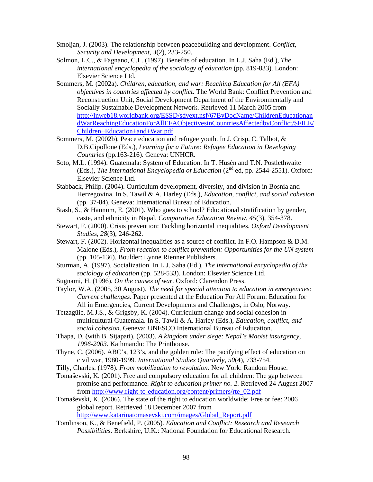- Smoljan, J. (2003). The relationship between peacebuilding and development. *Conflict, Security and Development, 3*(2)*,* 233-250.
- Solmon, L.C., & Fagnano, C.L. (1997). Benefits of education. In L.J. Saha (Ed.), *The international encyclopedia of the sociology of education* (pp. 819-833). London: Elsevier Science Ltd.
- Sommers, M. (2002a). *Children, education, and war: Reaching Education for All (EFA) objectives in countries affected by conflict*. The World Bank: Conflict Prevention and Reconstruction Unit, Social Development Department of the Environmentally and Socially Sustainable Development Network. Retrieved 11 March 2005 from http://lnweb18.worldbank.org/ESSD/sdvext.nsf/67ByDocName/ChildrenEducationan dWarReachingEducationForAllEFAObjectivesinCountriesAffectedbyConflict/\$FILE/ Children+Education+and+War.pdf
- Sommers, M. (2002b). Peace education and refugee youth. In J. Crisp, C. Talbot, & D.B.Cipollone (Eds.), *Learning for a Future: Refugee Education in Developing Countries* (pp.163-216). Geneva: UNHCR.
- Soto, M.L. (1994). Guatemala: System of Education. In T. Husén and T.N. Postlethwaite (Eds.), *The International Encyclopedia of Education* (2<sup>nd</sup> ed, pp. 2544-2551). Oxford: Elsevier Science Ltd.
- Stabback, Philip. (2004). Curriculum development, diversity, and division in Bosnia and Herzegovina. In S. Tawil & A. Harley (Eds.), *Education, conflict, and social cohesion* (pp. 37-84). Geneva: International Bureau of Education.
- Stash, S., & Hannum, E. (2001). Who goes to school? Educational stratification by gender, caste, and ethnicity in Nepal. *Comparative Education Review, 45*(3), 354-378.
- Stewart, F. (2000). Crisis prevention: Tackling horizontal inequalities. *Oxford Development Studies, 28*(3)*,* 246-262.
- Stewart, F. (2002). Horizontal inequalities as a source of conflict. In F.O. Hampson & D.M. Malone (Eds.), *From reaction to conflict prevention: Opportunities for the UN system* (pp. 105-136). Boulder: Lynne Rienner Publishers.
- Sturman, A. (1997). Socialization. In L.J. Saha (Ed.), *The international encyclopedia of the sociology of education* (pp. 528-533). London: Elsevier Science Ltd.
- Sugnami, H. (1996). *On the causes of war*. Oxford: Clarendon Press.
- Taylor, W.A. (2005, 30 August). *The need for special attention to education in emergencies: Current challenges*. Paper presented at the Education For All Forum: Education for All in Emergencies, Current Developments and Challenges, in Oslo, Norway.
- Tetzagüic, M.J.S., & Grigsby, K. (2004). Curriculum change and social cohesion in multicultural Guatemala. In S. Tawil & A. Harley (Eds.), *Education, conflict, and social cohesion*. Geneva: UNESCO International Bureau of Education.
- Thapa, D. (with B. Sijapati). (2003). *A kingdom under siege: Nepal's Maoist insurgency, 1996-2003.* Kathmandu: The Printhouse.
- Thyne, C. (2006). ABC's, 123's, and the golden rule: The pacifying effect of education on civil war, 1980-1999. *International Studies Quarterly, 50*(4)*,* 733-754.
- Tilly, Charles. (1978). *From mobilization to revolution*. New York: Random House.
- Tomaševski, K. (2001). Free and compulsory education for all children: The gap between promise and performance. *Right to education primer no. 2*. Retrieved 24 August 2007 from http://www.right-to-education.org/content/primers/rte\_02.pdf
- Tomaševski, K. (2006). The state of the right to education worldwide: Free or fee: 2006 global report. Retrieved 18 December 2007 from http://www.katarinatomasevski.com/images/Global\_Report.pdf
- Tomlinson, K., & Benefield, P. (2005). *Education and Conflict: Research and Research Possibilities*. Berkshire, U.K.: National Foundation for Educational Research.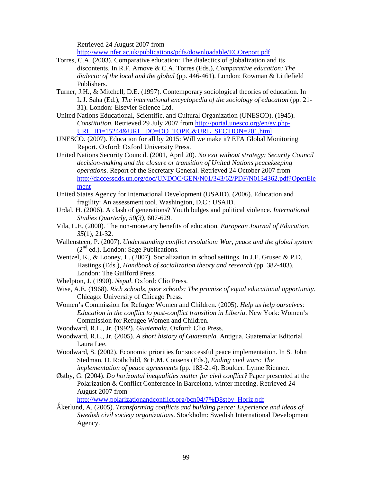Retrieved 24 August 2007 from

http://www.nfer.ac.uk/publications/pdfs/downloadable/ECOreport.pdf

- Torres, C.A. (2003). Comparative education: The dialectics of globalization and its discontents. In R.F. Arnove & C.A. Torres (Eds.), *Comparative education: The dialectic of the local and the global* (pp. 446-461). London: Rowman & Littlefield Publishers.
- Turner, J.H., & Mitchell, D.E. (1997). Contemporary sociological theories of education. In L.J. Saha (Ed.), *The international encyclopedia of the sociology of education* (pp. 21- 31). London: Elsevier Science Ltd.
- United Nations Educational, Scientific, and Cultural Organization (UNESCO). (1945). *Constitution*. Retrieved 29 July 2007 from http://portal.unesco.org/en/ev.php-URL\_ID=15244&URL\_DO=DO\_TOPIC&URL\_SECTION=201.html
- UNESCO. (2007). Education for all by 2015: Will we make it? EFA Global Monitoring Report. Oxford: Oxford University Press.
- United Nations Security Council. (2001, April 20). *No exit without strategy: Security Council decision-making and the closure or transition of United Nations peacekeeping operations*. Report of the Secretary General. Retrieved 24 October 2007 from http://daccessdds.un.org/doc/UNDOC/GEN/N01/343/62/PDF/N0134362.pdf?OpenEle ment
- United States Agency for International Development (USAID). (2006). Education and fragility: An assessment tool. Washington, D.C.: USAID.
- Urdal, H. (2006). A clash of generations? Youth bulges and political violence. *International Studies Quarterly, 50(3),* 607-629.
- Vila, L.E. (2000). The non-monetary benefits of education. *European Journal of Education, 35*(1), 21-32.
- Wallensteen, P. (2007). *Understanding conflict resolution: War, peace and the global system*   $(2<sup>nd</sup>$  ed.). London: Sage Publications.
- Wentzel, K., & Looney, L. (2007). Socialization in school settings. In J.E. Grusec & P.D. Hastings (Eds.), *Handbook of socialization theory and research* (pp. 382-403). London: The Guilford Press.
- Whelpton, J. (1990). *Nepal*. Oxford: Clio Press.
- Wise, A.E. (1968). *Rich schools, poor schools: The promise of equal educational opportunity*. Chicago: University of Chicago Press.
- Women's Commission for Refugee Women and Children. (2005). *Help us help ourselves: Education in the conflict to post-conflict transition in Liberia*. New York: Women's Commission for Refugee Women and Children.
- Woodward, R.L., Jr. (1992). *Guatemala*. Oxford: Clio Press.
- Woodward, R.L., Jr. (2005). *A short history of Guatemala*. Antigua, Guatemala: Editorial Laura Lee.
- Woodward, S. (2002). Economic priorities for successful peace implementation. In S. John Stedman, D. Rothchild, & E.M. Cousens (Eds.), *Ending civil wars: The implementation of peace agreements* (pp. 183-214). Boulder: Lynne Rienner.
- Østby, G. (2004). *Do horizontal inequalities matter for civil conflict?* Paper presented at the Polarization & Conflict Conference in Barcelona, winter meeting. Retrieved 24 August 2007 from

http://www.polarizationandconflict.org/bcn04/7%D8stby\_Horiz.pdf

Åkerlund, A. (2005). *Transforming conflicts and building peace: Experience and ideas of Swedish civil society organizations*. Stockholm: Swedish International Development Agency.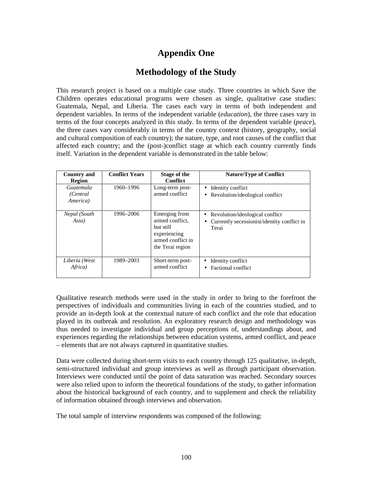# **Appendix One**

# **Methodology of the Study**

This research project is based on a multiple case study. Three countries in which Save the Children operates educational programs were chosen as single, qualitative case studies: Guatemala, Nepal, and Liberia. The cases each vary in terms of both independent and dependent variables. In terms of the independent variable (*education*), the three cases vary in terms of the four concepts analyzed in this study. In terms of the dependent variable (*peace*), the three cases vary considerably in terms of the country context (history, geography, social and cultural composition of each country); the nature, type, and root causes of the conflict that affected each country; and the (post-)conflict stage at which each country currently finds itself. Variation in the dependent variable is demonstrated in the table below:

| <b>Country and</b><br><b>Region</b> | <b>Conflict Years</b> | Stage of the<br><b>Conflict</b>                                                                        | <b>Nature/Type of Conflict</b>                                                               |
|-------------------------------------|-----------------------|--------------------------------------------------------------------------------------------------------|----------------------------------------------------------------------------------------------|
| Guatemala<br>(Central)<br>America)  | 1960-1996             | Long-term post-<br>armed conflict                                                                      | Identity conflict<br>Revolution/ideological conflict                                         |
| Nepal (South<br>Asia)               | 1996–2006             | Emerging from<br>armed conflict.<br>but still<br>experiencing<br>armed conflict in<br>the Terai region | Revolution/ideological conflict<br>٠<br>Currently secessionist/identity conflict in<br>Terai |
| Liberia (West<br>Africa)            | 1989-2003             | Short-term post-<br>armed conflict                                                                     | Identity conflict<br>Factional conflict                                                      |

Qualitative research methods were used in the study in order to bring to the forefront the perspectives of individuals and communities living in each of the countries studied, and to provide an in-depth look at the contextual nature of each conflict and the role that education played in its outbreak and resolution. An exploratory research design and methodology was thus needed to investigate individual and group perceptions of, understandings about, and experiences regarding the relationships between education systems, armed conflict, and peace – elements that are not always captured in quantitative studies.

Data were collected during short-term visits to each country through 125 qualitative, in-depth, semi-structured individual and group interviews as well as through participant observation. Interviews were conducted until the point of data saturation was reached. Secondary sources were also relied upon to inform the theoretical foundations of the study, to gather information about the historical background of each country, and to supplement and check the reliability of information obtained through interviews and observation.

The total sample of interview respondents was composed of the following: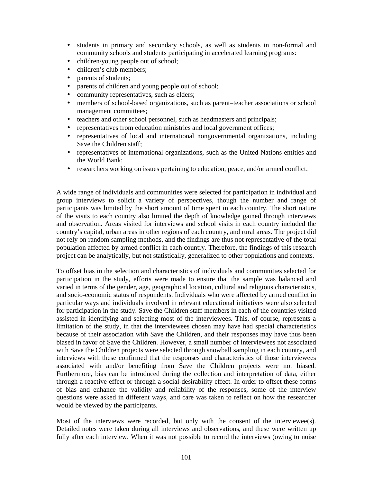- students in primary and secondary schools, as well as students in non-formal and community schools and students participating in accelerated learning programs:
- children/young people out of school;
- children's club members:
- parents of students;
- parents of children and young people out of school;
- community representatives, such as elders;
- members of school-based organizations, such as parent–teacher associations or school management committees;
- teachers and other school personnel, such as headmasters and principals;
- representatives from education ministries and local government offices;
- representatives of local and international nongovernmental organizations, including Save the Children staff;
- representatives of international organizations, such as the United Nations entities and the World Bank;
- researchers working on issues pertaining to education, peace, and/or armed conflict.

A wide range of individuals and communities were selected for participation in individual and group interviews to solicit a variety of perspectives, though the number and range of participants was limited by the short amount of time spent in each country. The short nature of the visits to each country also limited the depth of knowledge gained through interviews and observation. Areas visited for interviews and school visits in each country included the country's capital, urban areas in other regions of each country, and rural areas. The project did not rely on random sampling methods, and the findings are thus not representative of the total population affected by armed conflict in each country. Therefore, the findings of this research project can be analytically, but not statistically, generalized to other populations and contexts.

To offset bias in the selection and characteristics of individuals and communities selected for participation in the study, efforts were made to ensure that the sample was balanced and varied in terms of the gender, age, geographical location, cultural and religious characteristics, and socio-economic status of respondents. Individuals who were affected by armed conflict in particular ways and individuals involved in relevant educational initiatives were also selected for participation in the study. Save the Children staff members in each of the countries visited assisted in identifying and selecting most of the interviewees. This, of course, represents a limitation of the study, in that the interviewees chosen may have had special characteristics because of their association with Save the Children, and their responses may have thus been biased in favor of Save the Children. However, a small number of interviewees not associated with Save the Children projects were selected through snowball sampling in each country, and interviews with these confirmed that the responses and characteristics of those interviewees associated with and/or benefiting from Save the Children projects were not biased. Furthermore, bias can be introduced during the collection and interpretation of data, either through a reactive effect or through a social-desirability effect. In order to offset these forms of bias and enhance the validity and reliability of the responses, some of the interview questions were asked in different ways, and care was taken to reflect on how the researcher would be viewed by the participants.

Most of the interviews were recorded, but only with the consent of the interviewee(s). Detailed notes were taken during all interviews and observations, and these were written up fully after each interview. When it was not possible to record the interviews (owing to noise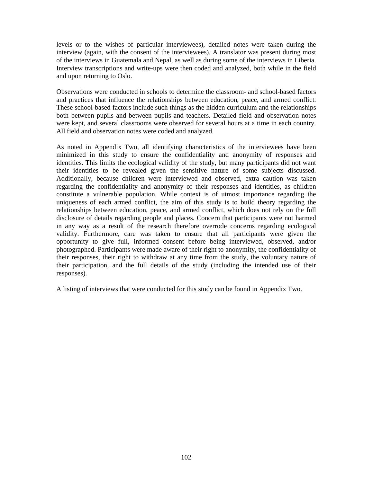levels or to the wishes of particular interviewees), detailed notes were taken during the interview (again, with the consent of the interviewees). A translator was present during most of the interviews in Guatemala and Nepal, as well as during some of the interviews in Liberia. Interview transcriptions and write-ups were then coded and analyzed, both while in the field and upon returning to Oslo.

Observations were conducted in schools to determine the classroom- and school-based factors and practices that influence the relationships between education, peace, and armed conflict. These school-based factors include such things as the hidden curriculum and the relationships both between pupils and between pupils and teachers. Detailed field and observation notes were kept, and several classrooms were observed for several hours at a time in each country. All field and observation notes were coded and analyzed.

As noted in Appendix Two, all identifying characteristics of the interviewees have been minimized in this study to ensure the confidentiality and anonymity of responses and identities. This limits the ecological validity of the study, but many participants did not want their identities to be revealed given the sensitive nature of some subjects discussed. Additionally, because children were interviewed and observed, extra caution was taken regarding the confidentiality and anonymity of their responses and identities, as children constitute a vulnerable population. While context is of utmost importance regarding the uniqueness of each armed conflict, the aim of this study is to build theory regarding the relationships between education, peace, and armed conflict, which does not rely on the full disclosure of details regarding people and places. Concern that participants were not harmed in any way as a result of the research therefore overrode concerns regarding ecological validity. Furthermore, care was taken to ensure that all participants were given the opportunity to give full, informed consent before being interviewed, observed, and/or photographed. Participants were made aware of their right to anonymity, the confidentiality of their responses, their right to withdraw at any time from the study, the voluntary nature of their participation, and the full details of the study (including the intended use of their responses).

A listing of interviews that were conducted for this study can be found in Appendix Two.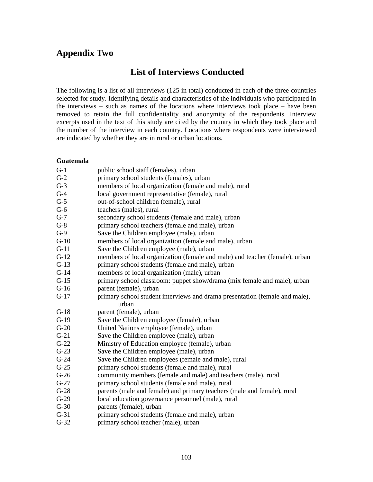# **Appendix Two**

# **List of Interviews Conducted**

The following is a list of all interviews (125 in total) conducted in each of the three countries selected for study. Identifying details and characteristics of the individuals who participated in the interviews – such as names of the locations where interviews took place – have been removed to retain the full confidentiality and anonymity of the respondents. Interview excerpts used in the text of this study are cited by the country in which they took place and the number of the interview in each country. Locations where respondents were interviewed are indicated by whether they are in rural or urban locations.

## **Guatemala**

| $G-1$  | public school staff (females), urban                                        |
|--------|-----------------------------------------------------------------------------|
| $G-2$  | primary school students (females), urban                                    |
| $G-3$  | members of local organization (female and male), rural                      |
| $G-4$  | local government representative (female), rural                             |
| $G-5$  | out-of-school children (female), rural                                      |
| $G-6$  | teachers (males), rural                                                     |
| $G-7$  | secondary school students (female and male), urban                          |
| $G-8$  | primary school teachers (female and male), urban                            |
| $G-9$  | Save the Children employee (male), urban                                    |
| $G-10$ | members of local organization (female and male), urban                      |
| $G-11$ | Save the Children employee (male), urban                                    |
| $G-12$ | members of local organization (female and male) and teacher (female), urban |
| $G-13$ | primary school students (female and male), urban                            |
| $G-14$ | members of local organization (male), urban                                 |
| $G-15$ | primary school classroom: puppet show/drama (mix female and male), urban    |
| $G-16$ | parent (female), urban                                                      |
| $G-17$ | primary school student interviews and drama presentation (female and male), |
|        | urban                                                                       |
| $G-18$ | parent (female), urban                                                      |
| $G-19$ | Save the Children employee (female), urban                                  |
| $G-20$ | United Nations employee (female), urban                                     |
| $G-21$ | Save the Children employee (male), urban                                    |
| $G-22$ | Ministry of Education employee (female), urban                              |
| $G-23$ | Save the Children employee (male), urban                                    |
| $G-24$ | Save the Children employees (female and male), rural                        |
| $G-25$ | primary school students (female and male), rural                            |
| $G-26$ | community members (female and male) and teachers (male), rural              |
| $G-27$ | primary school students (female and male), rural                            |
| $G-28$ | parents (male and female) and primary teachers (male and female), rural     |
| $G-29$ | local education governance personnel (male), rural                          |
| $G-30$ | parents (female), urban                                                     |
| $G-31$ | primary school students (female and male), urban                            |
| $G-32$ | primary school teacher (male), urban                                        |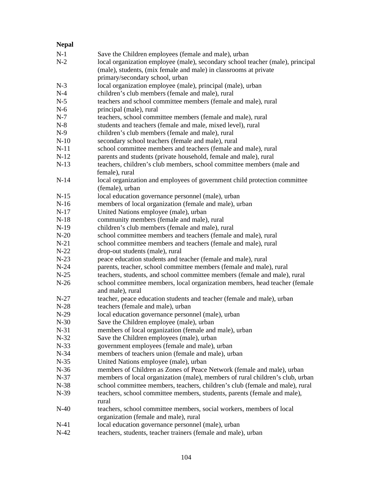| <b>Nepal</b> |                                                                                                               |
|--------------|---------------------------------------------------------------------------------------------------------------|
| $N-1$        | Save the Children employees (female and male), urban                                                          |
| $N-2$        | local organization employee (male), secondary school teacher (male), principal                                |
|              | (male), students, (mix female and male) in classrooms at private                                              |
|              | primary/secondary school, urban                                                                               |
| $N-3$        | local organization employee (male), principal (male), urban                                                   |
| $N-4$        | children's club members (female and male), rural                                                              |
| $N-5$        | teachers and school committee members (female and male), rural                                                |
| $N-6$        | principal (male), rural                                                                                       |
| $N-7$        | teachers, school committee members (female and male), rural                                                   |
| $N-8$        | students and teachers (female and male, mixed level), rural                                                   |
| $N-9$        | children's club members (female and male), rural                                                              |
| $N-10$       | secondary school teachers (female and male), rural                                                            |
| $N-11$       | school committee members and teachers (female and male), rural                                                |
| $N-12$       | parents and students (private household, female and male), rural                                              |
| $N-13$       | teachers, children's club members, school committee members (male and                                         |
|              | female), rural                                                                                                |
| $N-14$       | local organization and employees of government child protection committee                                     |
|              | (female), urban                                                                                               |
| $N-15$       | local education governance personnel (male), urban                                                            |
| $N-16$       | members of local organization (female and male), urban                                                        |
| $N-17$       | United Nations employee (male), urban                                                                         |
| $N-18$       | community members (female and male), rural                                                                    |
| $N-19$       | children's club members (female and male), rural                                                              |
| $N-20$       | school committee members and teachers (female and male), rural                                                |
| $N-21$       | school committee members and teachers (female and male), rural                                                |
| $N-22$       | drop-out students (male), rural                                                                               |
| $N-23$       | peace education students and teacher (female and male), rural                                                 |
| $N-24$       | parents, teacher, school committee members (female and male), rural                                           |
| $N-25$       | teachers, students, and school committee members (female and male), rural                                     |
| $N-26$       | school committee members, local organization members, head teacher (female<br>and male), rural                |
| $N-27$       | teacher, peace education students and teacher (female and male), urban                                        |
| $N-28$       | teachers (female and male), urban                                                                             |
| $N-29$       | local education governance personnel (male), urban                                                            |
| $N-30$       | Save the Children employee (male), urban                                                                      |
| $N-31$       | members of local organization (female and male), urban                                                        |
| $N-32$       | Save the Children employees (male), urban                                                                     |
| $N-33$       | government employees (female and male), urban                                                                 |
| $N-34$       | members of teachers union (female and male), urban                                                            |
| $N-35$       | United Nations employee (male), urban                                                                         |
| $N-36$       | members of Children as Zones of Peace Network (female and male), urban                                        |
| $N-37$       | members of local organization (male), members of rural children's club, urban                                 |
| $N-38$       | school committee members, teachers, children's club (female and male), rural                                  |
| $N-39$       | teachers, school committee members, students, parents (female and male),                                      |
|              | rural                                                                                                         |
| $N-40$       | teachers, school committee members, social workers, members of local<br>organization (female and male), rural |
| $N-41$       | local education governance personnel (male), urban                                                            |
| $N-42$       | teachers, students, teacher trainers (female and male), urban                                                 |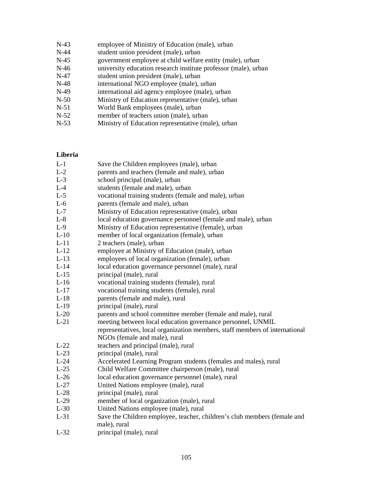| $N-43$  | employee of Ministry of Education (male), urban                 |
|---------|-----------------------------------------------------------------|
| $N-44$  | student union president (male), urban                           |
| $N-45$  | government employee at child welfare entity (male), urban       |
| $N-46$  | university education research institute professor (male), urban |
| N-47    | student union president (male), urban                           |
| $N-48$  | international NGO employee (male), urban                        |
| N-49    | international aid agency employee (male), urban                 |
| $N-50$  | Ministry of Education representative (male), urban              |
| N-51    | World Bank employees (male), urban                              |
| $N-52$  | member of teachers union (male), urban                          |
| $T - F$ |                                                                 |

### N-53 Ministry of Education representative (male), urban

#### **Liberia**

- L-1 Save the Children employees (male), urban
- L-2 parents and teachers (female and male), urban
- L-3 school principal (male), urban
- L-4 students (female and male), urban
- L-5 vocational training students (female and male), urban
- L-6 parents (female and male), urban
- L-7 Ministry of Education representative (male), urban
- L-8 local education governance personnel (female and male), urban
- L-9 Ministry of Education representative (female), urban
- L-10 member of local organization (female), urban
- L-11 2 teachers (male), urban
- L-12 employee at Ministry of Education (male), urban
- L-13 employees of local organization (female), urban
- L-14 local education governance personnel (male), rural
- L-15 principal (male), rural
- L-16 vocational training students (female), rural
- L-17 vocational training students (female), rural
- L-18 parents (female and male), rural
- L-19 principal (male), rural
- L-20 parents and school committee member (female and male), rural
- L-21 meeting between local education governance personnel, UNMIL representatives, local organization members, staff members of international
- NGOs (female and male), rural
- L-22 teachers and principal (male), rural<br>L-23 principal (male), rural
- principal (male), rural
- L-24 Accelerated Learning Program students (females and males), rural
- L-25 Child Welfare Committee chairperson (male), rural
- L-26 local education governance personnel (male), rural
- L-27 United Nations employee (male), rural
- L-28 principal (male), rural
- L-29 member of local organization (male), rural
- L-30 United Nations employee (male), rural
- L-31 Save the Children employee, teacher, children's club members (female and male), rural
- L-32 principal (male), rural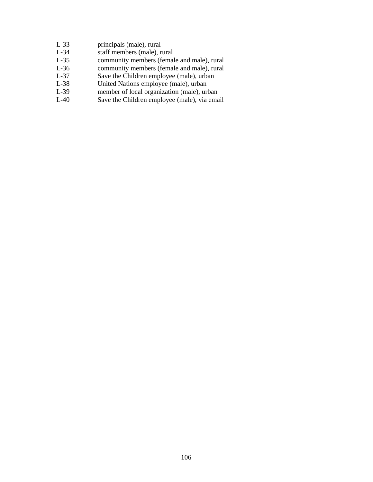- L-33 principals (male), rural
- L-34 staff members (male), rural
- L-35 community members (female and male), rural<br>L-36 community members (female and male), rural
- L-36 community members (female and male), rural<br>L-37 Save the Children employee (male), urban
- Save the Children employee (male), urban
- L-38 United Nations employee (male), urban<br>L-39 member of local organization (male), urb
- L-39 member of local organization (male), urban<br>L-40 Save the Children employee (male), via ema
- Save the Children employee (male), via email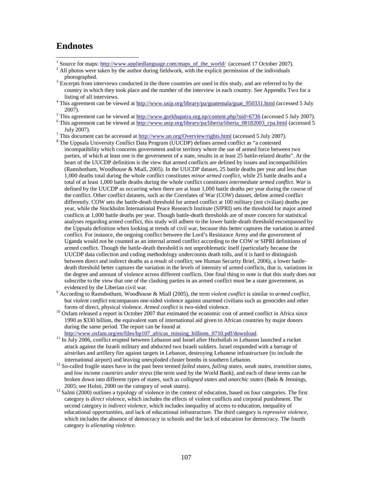## **Endnotes**

 $\overline{a}$ 

- <sup>1</sup> Source for maps:  $\frac{http://www.applied language.com/maps_of_fhe_words/d}/(accessed 17 October 2007)$ .
- $2$  All photos were taken by the author during fieldwork, with the explicit permission of the individuals photographed.
- <sup>3</sup> Excerpts from interviews conducted in the three countries are used in this study, and are referred to by the country in which they took place and the number of the interview in each country. See Appendix Two for a listing of all interviews.
- <sup>4</sup> This agreement can be viewed at http://www.usip.org/library/pa/guatemala/guat\_950331.html (accessed 5 July 2007).
- <sup>5</sup> This agreement can be viewed at  $\frac{http://www.govkhapatra.org,np/content.php?nid=6736}$  (accessed 5 July 2007).
- <sup>6</sup> This agreement can be viewed at  $\frac{http://www.usip.org/library/pa/liberia/liberia_08182003cpa.html}{http://www.usip.org/liberia/liberia_08182003cpa.html}$  (accessed 5 July 2007).
- <sup>7</sup> This document can be accessed at  $\frac{http://www.un.org/Overview/rights.html}{http://www.un.org/Overview/rights.html}$  (accessed 5 July 2007).
- <sup>8</sup> The Uppsala University Conflict Data Program (UUCDP) defines armed conflict as "a contested incompatibility which concerns government and/or territory where the use of armed force between two parties, of which at least one is the government of a state, results in at least 25 battle-related deaths". At the heart of the UUCDP definition is the view that armed conflicts are defined by issues and incompatibilities (Ramsbotham, Woodhouse & Miall, 2005). In the UUCDP dataset, 25 battle deaths per year and less than 1,000 deaths total during the whole conflict constitutes *minor armed conflict*, while 25 battle deaths and a total of at least 1,000 battle deaths during the whole conflict constitutes *intermediate armed conflict*. *War* is defined by the UUCDP as occurring when there are at least 1,000 battle deaths per year during the course of the conflict. Other conflict datasets, such as the Correlates of War (COW) dataset, define armed conflict differently. COW sets the battle-death threshold for armed conflict at 100 military (not civilian) deaths per year, while the Stockholm International Peace Research Institute (SIPRI) sets the threshold for major armed conflicts at 1,000 battle deaths per year. Though battle-death thresholds are of more concern for statistical analyses regarding armed conflict, this study will adhere to the lower battle-death threshold encompassed by the Uppsala definition when looking at trends of civil war, because this better captures the variation in armed conflict. For instance, the ongoing conflict between the Lord's Resistance Army and the government of Uganda would not be counted as an internal armed conflict according to the COW or SIPRI definitions of armed conflict. Though the battle-death threshold is not unproblematic itself (particularly because the UUCDP data collection and coding methodology undercounts death tolls, and it is hard to distinguish between direct and indirect deaths as a result of conflict; see Human Security Brief, 2006), a lower battledeath threshold better captures the variation in the levels of intensity of armed conflicts, that is, variations in the degree and amount of violence across different conflicts. One final thing to note is that this study does not subscribe to the view that one of the clashing parties in an armed conflict must be a state government, as evidenced by the Liberian civil war.
- 9 According to Ramsbotham, Woodhouse & Miall (2005), the term *violent conflict* is similar to *armed conflict*, but *violent conflict* encompasses one-sided violence against unarmed civilians such as genocides and other forms of direct, physical violence. *Armed conflict* is two-sided violence.
- <sup>10</sup> Oxfam released a report in October 2007 that estimated the economic cost of armed conflict in Africa since 1990 as \$330 billion, the equivalent sum of international aid given to African countries by major donors during the same period. The report can be found at http://www.oxfam.org/en/files/bp107\_africas\_missing\_billions\_0710.pdf/download.
- <sup>11</sup> In July 2006, conflict erupted between Lebanon and Israel after Hezbollah in Lebanon launched a rocket attack against the Israeli military and abducted two Israeli soldiers. Israel responded with a barrage of airstrikes and artillery fire against targets in Lebanon, destroying Lebanese infrastructure (to include the international airport) and leaving unexploded cluster bombs in southern Lebanon.
- <sup>12</sup> So-called fragile states have in the past been termed *failed states, failing states, weak states, transition states,* and *low income countries under stress* (the term used by the World Bank)*,* and each of these terms can be broken down into different types of states, such as *collapsed states* and *anarchic states* (Bøås & Jennings, 2005; see Holsti, 2000 on the category of *weak states*).
- <sup>13</sup> Salmi (2000) outlines a typology of violence in the context of education, based on four categories. The first category is *direct violence*, which includes the effects of violent conflicts and corporal punishment. The second category is *indirect violence*, which includes inequality of access to education, inequality of educational opportunities, and lack of educational infrastructure. The third category is *repressive violence*, which includes the absence of democracy in schools and the lack of education for democracy. The fourth category is *alienating violence*.